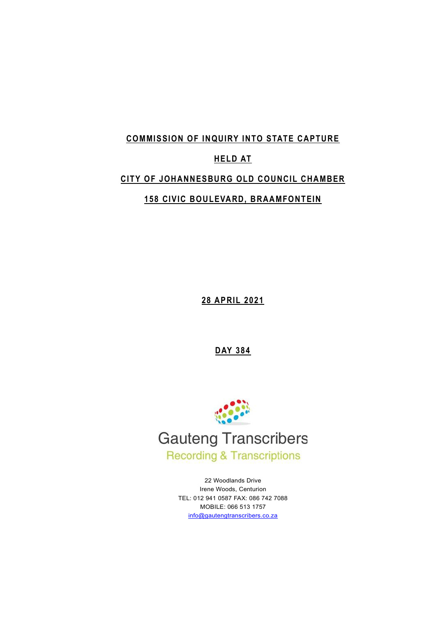### **COMMISSION OF INQUIRY INTO STATE CAPTURE**

# **HELD AT**

# **CITY OF JOHANNESBURG OLD COUNCIL CHAMBER**

# **158 CIVIC BOULEVARD, BRAAMFONTEIN**

**28 APRIL 2021**

**DAY 384**



22 Woodlands Drive Irene Woods, Centurion TEL: 012 941 0587 FAX: 086 742 7088 MOBILE: 066 513 1757 [info@gautengtranscribers.co.za](mailto:info@gautengtranscribers.co.za)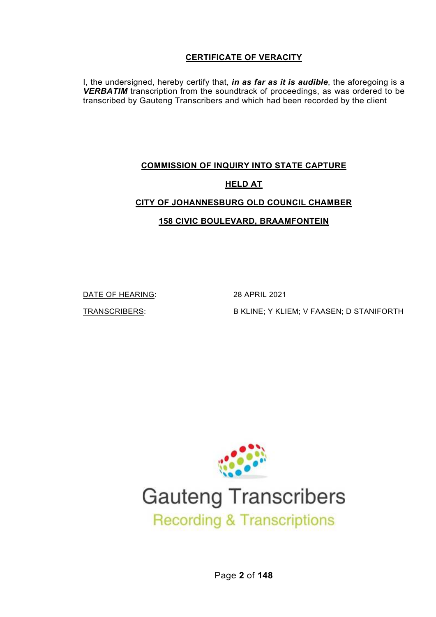# **CERTIFICATE OF VERACITY**

I, the undersigned, hereby certify that, *in as far as it is audible*, the aforegoing is a *VERBATIM* transcription from the soundtrack of proceedings, as was ordered to be transcribed by Gauteng Transcribers and which had been recorded by the client

# **COMMISSION OF INQUIRY INTO STATE CAPTURE HELD AT**

# **CITY OF JOHANNESBURG OLD COUNCIL CHAMBER**

**158 CIVIC BOULEVARD, BRAAMFONTEIN**

DATE OF HEARING: 28 APRIL 2021

TRANSCRIBERS: B KLINE; Y KLIEM; V FAASEN; D STANIFORTH



# **Gauteng Transcribers Recording & Transcriptions**

Page **2** of **148**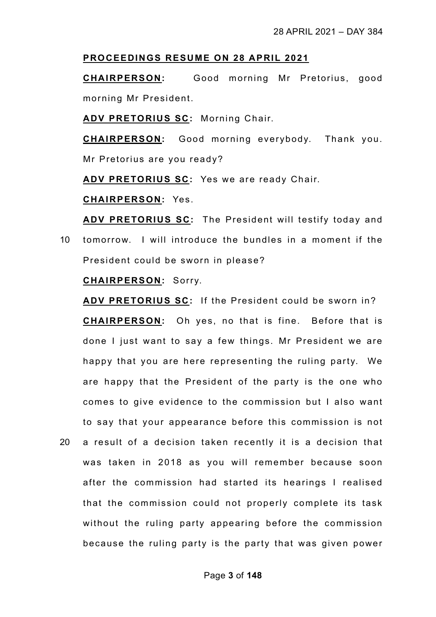#### **PROCEEDINGS RESUME ON 28 APRIL 2021**

**CHAIRPERSON:** Good morning Mr Pretorius, good morning Mr President.

**ADV PRETORIUS SC:** Morning Chair.

**CHAIRPERSON:** Good morning everybody. Thank you. Mr Pretorius are you ready?

**ADV PRETORIUS SC:** Yes we are ready Chair.

**CHAIRPERSON:** Yes.

**ADV PRETORIUS SC:** The President will testify today and 10 tomorrow. I will introduce the bundles in a moment if the President could be sworn in please?

#### **CHAIRPERSON:** Sorry.

**ADV PRETORIUS SC:** If the President could be sworn in? **CHAIRPERSON:** Oh yes, no that is fine. Before that is done I just want to say a few things. Mr President we are happy that you are here representing the ruling party. We are happy that the President of the party is the one who comes to give evidence to the commission but I also want to say that your appearance before this commission is not

20 a result of a decision taken recently it is a decision that was taken in 2018 as you will remember because soon after the commission had started its hearings I realised that the commission could not properly complete its task without the ruling party appearing before the commission because the ruling party is the party that was given power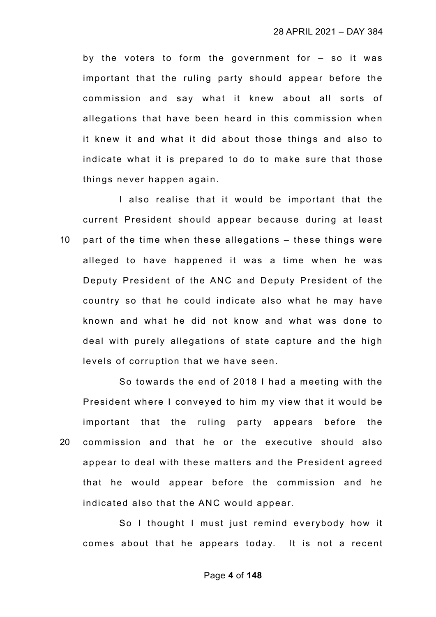by the voters to form the government for – so it was important that the ruling party should appear before the commission and say what it knew about all sorts of allegations that have been heard in this commission when it knew it and what it did about those things and also to indicate what it is prepared to do to make sure that those things never happen again.

I also realise that it would be important that the current President should appear because during at least 10 part of the time when these allegations – these things were alleged to have happened it was a time when he was Deputy President of the ANC and Deputy President of the country so that he could indicate also what he may have known and what he did not know and what was done to deal with purely allegations of state capture and the high levels of corruption that we have seen.

So towards the end of 2018 I had a meeting with the President where I conveyed to him my view that it would be important that the ruling party appears before the 20 commission and that he or the executive should also appear to deal with these matters and the President agreed that he would appear before the commission and he indicated also that the ANC would appear.

So I thought I must just remind everybody how it comes about that he appears today. It is not a recent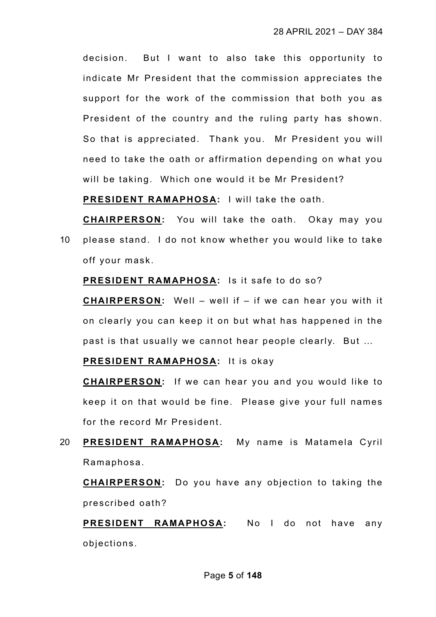decision. But I want to also take this opportunity to indicate Mr President that the commission appreciates the support for the work of the commission that both you as President of the country and the ruling party has shown. So that is appreciated. Thank you. Mr President you will need to take the oath or affirmation depending on what you will be taking. Which one would it be Mr President?

**PRESIDENT RAMAPHOSA:** I will take the oath.

**CHAIRPERSON:** You will take the oath. Okay may you 10 please stand. I do not know whether you would like to take off your mask.

**PRESIDENT RAMAPHOSA:** Is it safe to do so?

**CHAIRPERSON:** Well – well if – if we can hear you with it on clearly you can keep it on but what has happened in the past is that usually we cannot hear people clearly. But …

**PRESIDENT RAMAPHOSA:** It is okay

**CHAIRPERSON:** If we can hear you and you would like to keep it on that would be fine. Please give your full names for the record Mr President.

20 **PRESIDENT RAMAPHOSA:** My name is Matamela Cyril Ramaphosa.

**CHAIRPERSON:** Do you have any objection to taking the prescribed oath?

**PRESIDENT RAMAPHOSA:** No I do not have any objections.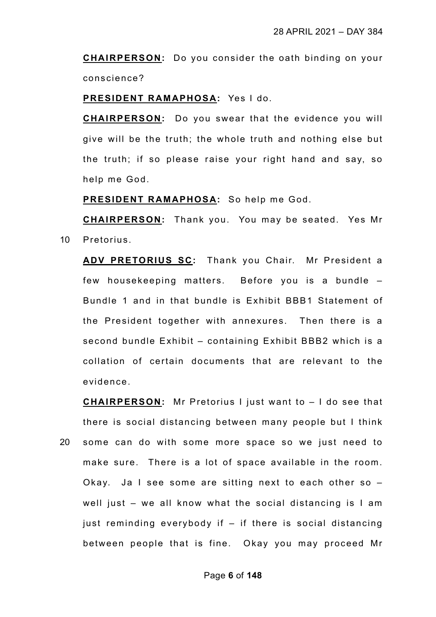**CHAIRPERSON:** Do you consider the oath binding on your conscience?

**PRESIDENT RAMAPHOSA:** Yes I do.

**CHAIRPERSON:** Do you swear that the evidence you will give will be the truth; the whole truth and nothing else but the truth; if so please raise your right hand and say, so help me God.

**PRESIDENT RAMAPHOSA:** So help me God.

**CHAIRPERSON:** Thank you. You may be seated. Yes Mr 10 Pretorius.

**ADV PRETORIUS SC:** Thank you Chair. Mr President a few housekeeping matters. Before you is a bundle – Bundle 1 and in that bundle is Exhibit BBB1 Statement of the President together with annexures. Then there is a second bundle Exhibit – containing Exhibit BBB2 which is a collation of certain documents that are relevant to the evidence.

**CHAIRPERSON:** Mr Pretorius I just want to – I do see that there is social distancing between many people but I think 20 some can do with some more space so we just need to make sure. There is a lot of space available in the room. Okay. Ja I see some are sitting next to each other so – well just – we all know what the social distancing is I am just reminding everybody if – if there is social distancing between people that is fine. Okay you may proceed Mr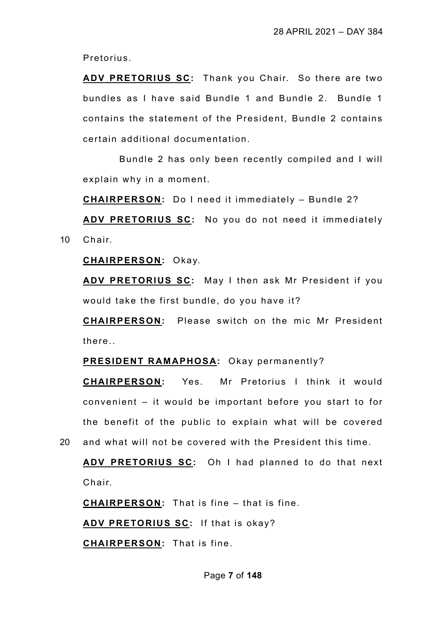Pretorius.

**ADV PRETORIUS SC:** Thank you Chair. So there are two bundles as I have said Bundle 1 and Bundle 2. Bundle 1 contains the statement of the President, Bundle 2 contains certain additional documentation.

Bundle 2 has only been recently compiled and I will explain why in a moment.

**CHAIRPERSON:** Do I need it immediately – Bundle 2?

**ADV PRETORIUS SC:** No you do not need it immediately 10 Chair.

**CHAIRPERSON:** Okay.

**ADV PRETORIUS SC:** May I then ask Mr President if you would take the first bundle, do you have it?

**CHAIRPERSON:** Please switch on the mic Mr President there..

**PRESIDENT RAMAPHOSA:** Okay permanently?

**CHAIRPERSON:** Yes. Mr Pretorius I think it would convenient – it would be important before you start to for the benefit of the public to explain what will be covered

20 and what will not be covered with the President this time.

**ADV PRETORIUS SC:** Oh I had planned to do that next Chair.

**CHAIRPERSON:** That is fine – that is fine.

**ADV PRETORIUS SC:** If that is okay?

**CHAIRPERSON:** That is fine.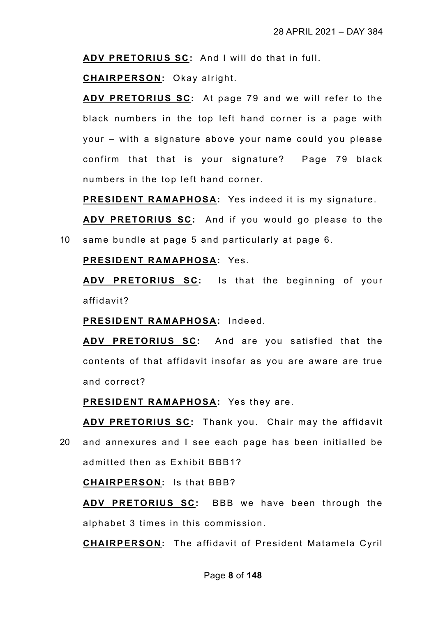**ADV PRETORIUS SC:** And I will do that in full.

**CHAIRPERSON:** Okay alright.

**ADV PRETORIUS SC:** At page 79 and we will refer to the black numbers in the top left hand corner is a page with your – with a signature above your name could you please confirm that that is your signature? Page 79 black numbers in the top left hand corner.

**PRESIDENT RAMAPHOSA:** Yes indeed it is my signature.

**ADV PRETORIUS SC:** And if you would go please to the 10 same bundle at page 5 and particularly at page 6.

### **PRESIDENT RAMAPHOSA:** Yes.

**ADV PRETORIUS SC:** Is that the beginning of your affidavit?

**PRESIDENT RAMAPHOSA:** Indeed.

**ADV PRETORIUS SC:** And are you satisfied that the contents of that affidavit insofar as you are aware are true and correct?

**PRESIDENT RAMAPHOSA:** Yes they are.

**ADV PRETORIUS SC:** Thank you. Chair may the affidavit

20 and annexures and I see each page has been initialled be admitted then as Exhibit BBB1?

**CHAIRPERSON:** Is that BBB?

**ADV PRETORIUS SC:** BBB we have been through the alphabet 3 times in this commission.

**CHAIRPERSON:** The affidavit of President Matamela Cyril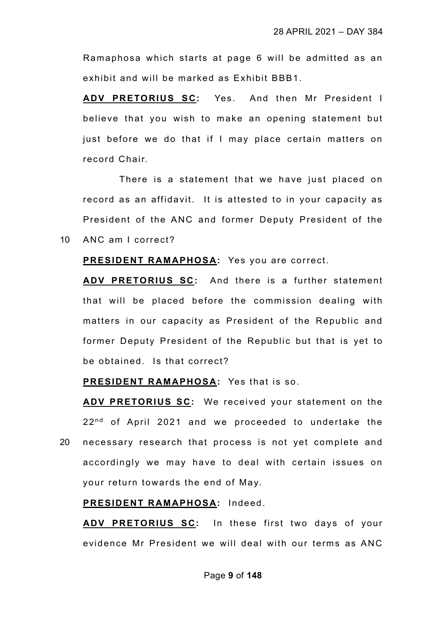Ramaphosa which starts at page 6 will be admitted as an exhibit and will be marked as Exhibit BBB1.

**ADV PRETORIUS SC:** Yes. And then Mr President I believe that you wish to make an opening statement but just before we do that if I may place certain matters on record Chair.

There is a statement that we have just placed on record as an affidavit. It is attested to in your capacity as President of the ANC and former Deputy President of the 10 ANC am I correct?

#### **PRESIDENT RAMAPHOSA:** Yes you are correct.

**ADV PRETORIUS SC:** And there is a further statement that will be placed before the commission dealing with matters in our capacity as President of the Republic and former Deputy President of the Republic but that is yet to be obtained. Is that correct?

#### **PRESIDENT RAMAPHOSA:** Yes that is so.

**ADV PRETORIUS SC:** We received your statement on the  $22<sup>nd</sup>$  of April 2021 and we proceeded to undertake the

20 necessary research that process is not yet complete and accordingly we may have to deal with certain issues on your return towards the end of May.

## **PRESIDENT RAMAPHOSA:** Indeed.

**ADV PRETORIUS SC:** In these first two days of your evidence Mr President we will deal with our terms as ANC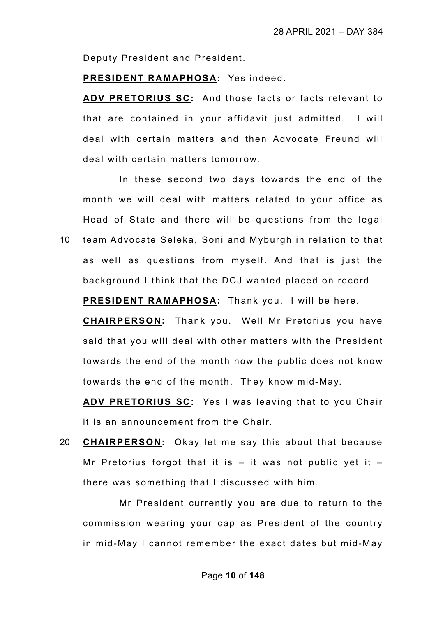Deputy President and President.

#### **PRESIDENT RAMAPHOSA:** Yes indeed.

**ADV PRETORIUS SC:** And those facts or facts relevant to that are contained in your affidavit just admitted. I will deal with certain matters and then Advocate Freund will deal with certain matters tomorrow.

In these second two days towards the end of the month we will deal with matters related to your office as Head of State and there will be questions from the legal 10 team Advocate Seleka, Soni and Myburgh in relation to that as well as questions from myself. And that is just the

background I think that the DCJ wanted placed on record.

**PRESIDENT RAMAPHOSA:** Thank you. I will be here.

**CHAIRPERSON:** Thank you. Well Mr Pretorius you have said that you will deal with other matters with the President towards the end of the month now the public does not know towards the end of the month. They know mid-May.

**ADV PRETORIUS SC:** Yes I was leaving that to you Chair it is an announcement from the Chair.

20 **CHAIRPERSON:** Okay let me say this about that because Mr Pretorius forgot that it is  $-$  it was not public yet it  $$ there was something that I discussed with him.

Mr President currently you are due to return to the commission wearing your cap as President of the country in mid-May I cannot remember the exact dates but mid-May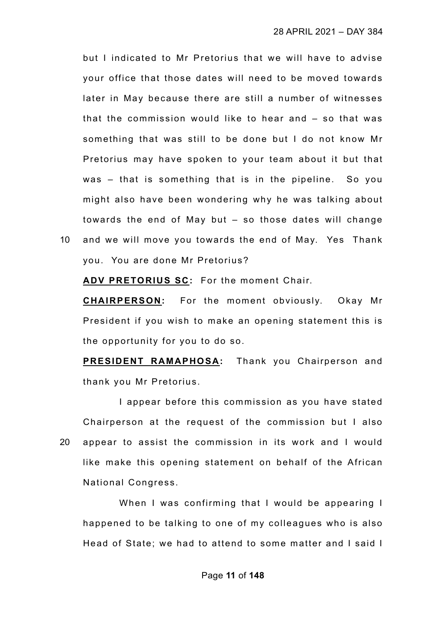but I indicated to Mr Pretorius that we will have to advise your office that those dates will need to be moved towards later in May because there are still a number of witnesses that the commission would like to hear and – so that was something that was still to be done but I do not know Mr Pretorius may have spoken to your team about it but that was – that is something that is in the pipeline. So you might also have been wondering why he was talking about towards the end of May but – so those dates will change 10 and we will move you towards the end of May. Yes Thank

you. You are done Mr Pretorius?

**ADV PRETORIUS SC:** For the moment Chair.

**CHAIRPERSON:** For the moment obviously. Okay Mr President if you wish to make an opening statement this is the opportunity for you to do so.

**PRESIDENT RAMAPHOSA:** Thank you Chairperson and thank you Mr Pretorius.

I appear before this commission as you have stated Chairperson at the request of the commission but I also 20 appear to assist the commission in its work and I would like make this opening statement on behalf of the African National Congress.

When I was confirming that I would be appearing I happened to be talking to one of my colleagues who is also Head of State; we had to attend to some matter and I said I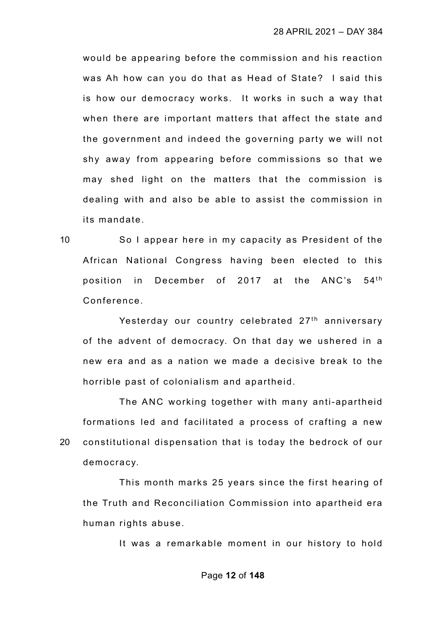would be appearing before the commission and his reaction was Ah how can you do that as Head of State? I said this is how our democracy works. It works in such a way that when there are important matters that affect the state and the government and indeed the governing party we will not shy away from appearing before commissions so that we may shed light on the matters that the commission is dealing with and also be able to assist the commission in its mandate.

10 So I appear here in my capacity as President of the African National Congress having been elected to this position in December of 2017 at the  $ANC's$  54<sup>th</sup> Conference.

Yesterday our country celebrated 27<sup>th</sup> anniversary of the advent of democracy. On that day we ushered in a new era and as a nation we made a decisive break to the horrible past of colonialism and apartheid.

The ANC working together with many anti-apartheid formations led and facilitated a process of crafting a new 20 constitutional dispensation that is today the bedrock of our democracy.

This month marks 25 years since the first hearing of the Truth and Reconciliation Commission into apartheid era human rights abuse.

It was a remarkable moment in our history to hold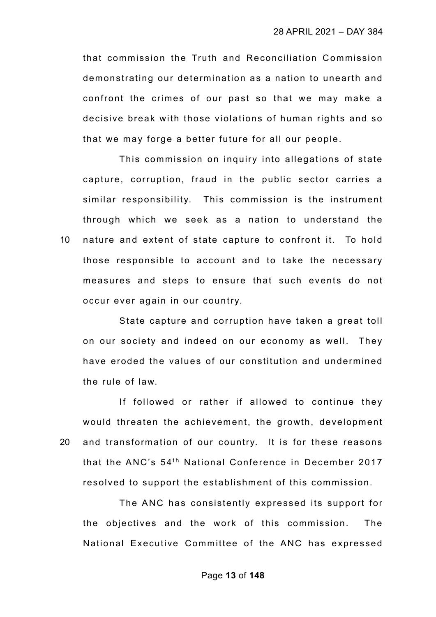that commission the Truth and Reconciliation Commission demonstrating our determination as a nation to unearth and confront the crimes of our past so that we may make a decisive break with those violations of human rights and so that we may forge a better future for all our people.

This commission on inquiry into allegations of state capture, corruption, fraud in the public sector carries a similar responsibility. This commission is the instrument through which we seek as a nation to understand the 10 nature and extent of state capture to confront it. To hold those responsible to account and to take the necessary measures and steps to ensure that such events do not occur ever again in our country.

State capture and corruption have taken a great toll on our society and indeed on our economy as well. They have eroded the values of our constitution and undermined the rule of law.

If followed or rather if allowed to continue they would threaten the achievement, the growth, development 20 and transformation of our country. It is for these reasons that the ANC's 54<sup>th</sup> National Conference in December 2017 resolved to support the establishment of this commission.

The ANC has consistently expressed its support for the objectives and the work of this commission. The National Executive Committee of the ANC has expressed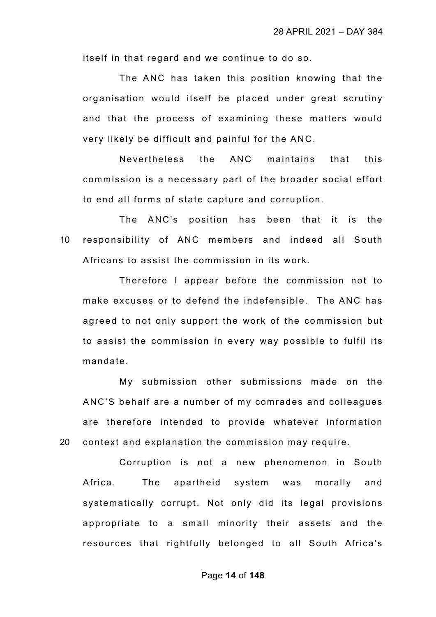itself in that regard and we continue to do so.

The ANC has taken this position knowing that the organisation would itself be placed under great scrutiny and that the process of examining these matters would very likely be difficult and painful for the ANC.

Nevertheless the ANC maintains that this commission is a necessary part of the broader social effort to end all forms of state capture and corruption.

The ANC's position has been that it is the 10 responsibility of ANC members and indeed all South Africans to assist the commission in its work.

Therefore I appear before the commission not to make excuses or to defend the indefensible. The ANC has agreed to not only support the work of the commission but to assist the commission in every way possible to fulfil its mandate.

My submission other submissions made on the ANC'S behalf are a number of my comrades and colleagues are therefore intended to provide whatever information 20 context and explanation the commission may require.

Corruption is not a new phenomenon in South Africa. The apartheid system was morally and systematically corrupt. Not only did its legal provisions appropriate to a small minority their assets and the resources that rightfully belonged to all South Africa's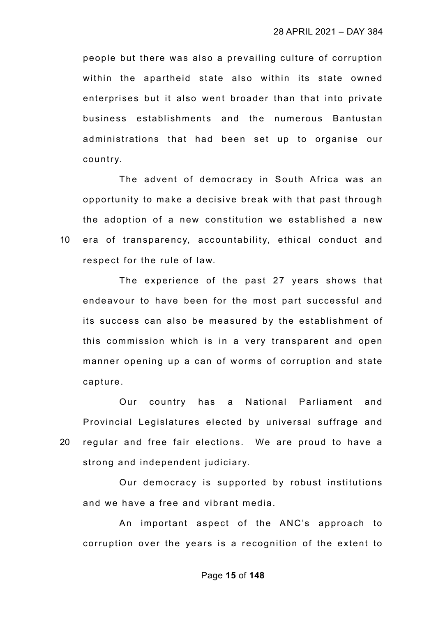people but there was also a prevailing culture of corruption within the apartheid state also within its state owned enterprises but it also went broader than that into private business establishments and the numerous Bantustan administrations that had been set up to organise our country.

The advent of democracy in South Africa was an opportunity to make a decisive break with that past through the adoption of a new constitution we established a new 10 era of transparency, accountability, ethical conduct and respect for the rule of law.

The experience of the past 27 years shows that endeavour to have been for the most part successful and its success can also be measured by the establishment of this commission which is in a very transparent and open manner opening up a can of worms of corruption and state capture.

Our country has a National Parliament and Provincial Legislatures elected by universal suffrage and 20 regular and free fair elections. We are proud to have a strong and independent judiciary.

Our democracy is supported by robust institutions and we have a free and vibrant media.

An important aspect of the ANC's approach to corruption over the years is a recognition of the extent to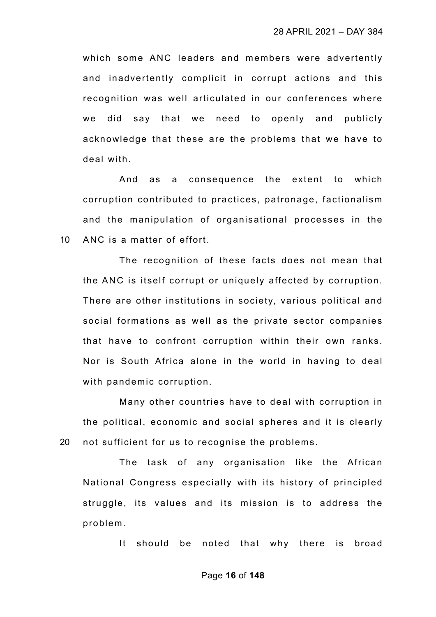which some ANC leaders and members were advertently and inadvertently complicit in corrupt actions and this recognition was well articulated in our conferences where we did say that we need to openly and publicly acknowledge that these are the problems that we have to deal with.

And as a consequence the extent to which corruption contributed to practices, patronage, factionalism and the manipulation of organisational processes in the 10 ANC is a matter of effort.

The recognition of these facts does not mean that the ANC is itself corrupt or uniquely affected by corruption. There are other institutions in society, various political and social formations as well as the private sector companies that have to confront corruption within their own ranks. Nor is South Africa alone in the world in having to deal with pandemic corruption.

Many other countries have to deal with corruption in the political, economic and social spheres and it is clearly 20 not sufficient for us to recognise the problems.

The task of any organisation like the African National Congress especially with its history of principled struggle, its values and its mission is to address the problem.

It should be noted that why there is broad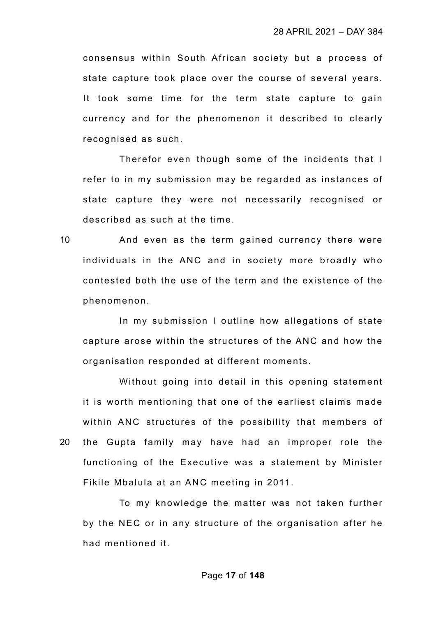consensus within South African society but a process of state capture took place over the course of several years. It took some time for the term state capture to gain currency and for the phenomenon it described to clearly recognised as such.

Therefor even though some of the incidents that I refer to in my submission may be regarded as instances of state capture they were not necessarily recognised or described as such at the time.

10 And even as the term gained currency there were individuals in the ANC and in society more broadly who contested both the use of the term and the existence of the phenomenon.

In my submission I outline how allegations of state capture arose within the structures of the ANC and how the organisation responded at different moments.

Without going into detail in this opening statement it is worth mentioning that one of the earliest claims made within ANC structures of the possibility that members of 20 the Gupta family may have had an improper role the functioning of the Executive was a statement by Minister Fikile Mbalula at an ANC meeting in 2011.

To my knowledge the matter was not taken further by the NEC or in any structure of the organisation after he had mentioned it.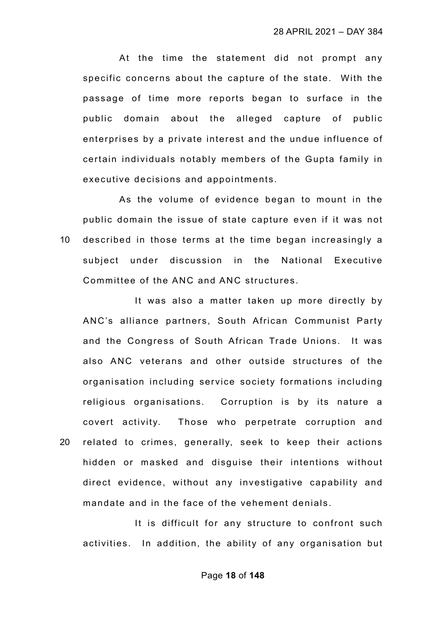At the time the statement did not prompt any specific concerns about the capture of the state. With the passage of time more reports began to surface in the public domain about the alleged capture of public enterprises by a private interest and the undue influence of certain individuals notably members of the Gupta family in executive decisions and appointments.

As the volume of evidence began to mount in the public domain the issue of state capture even if it was not 10 described in those terms at the time began increasingly a subject under discussion in the National Executive Committee of the ANC and ANC structures.

It was also a matter taken up more directly by ANC's alliance partners, South African Communist Party and the Congress of South African Trade Unions. It was also ANC veterans and other outside structures of the organisation including service society formations including religious organisations. Corruption is by its nature a covert activity. Those who perpetrate corruption and 20 related to crimes, generally, seek to keep their actions hidden or masked and disguise their intentions without direct evidence, without any investigative capability and mandate and in the face of the vehement denials.

It is difficult for any structure to confront such activities. In addition, the ability of any organisation but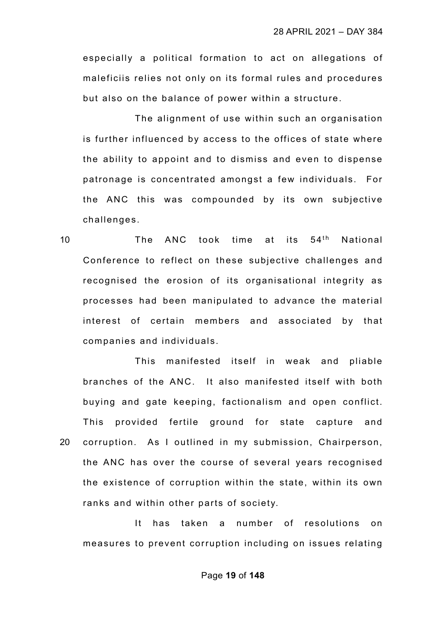especially a political formation to act on allegations of maleficiis relies not only on its formal rules and procedures but also on the balance of power within a structure.

The alignment of use within such an organisation is further influenced by access to the offices of state where the ability to appoint and to dismiss and even to dispense patronage is concentrated amongst a few individuals. For the ANC this was compounded by its own subjective challenges.

10  $\blacksquare$  The ANC took time at its  $54^{\text{th}}$  National Conference to reflect on these subjective challenges and recognised the erosion of its organisational integrity as processes had been manipulated to advance the material interest of certain members and associated by that companies and individuals.

This manifested itself in weak and pliable branches of the ANC. It also manifested itself with both buying and gate keeping, factionalism and open conflict. This provided fertile ground for state capture and 20 corruption. As I outlined in my submission, Chairperson, the ANC has over the course of several years recognised the existence of corruption within the state, within its own ranks and within other parts of society.

It has taken a number of resolutions on measures to prevent corruption including on issues relating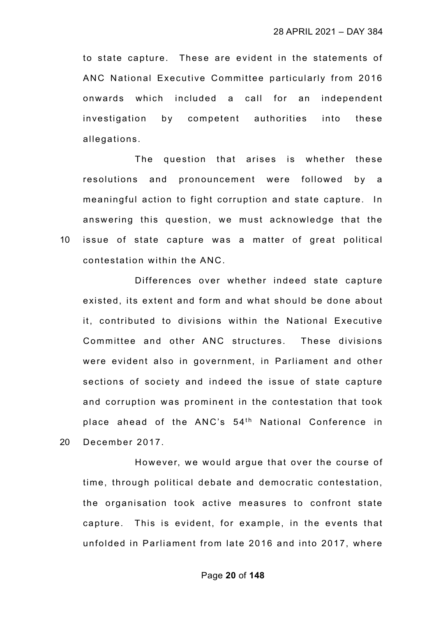to state capture. These are evident in the statements of ANC National Executive Committee particularly from 2016 onwards which included a call for an independent investigation by competent authorities into these allegations.

The question that arises is whether these resolutions and pronouncement were followed by a meaningful action to fight corruption and state capture. In answering this question, we must acknowledge that the 10 issue of state capture was a matter of great political contestation within the ANC.

Differences over whether indeed state capture existed, its extent and form and what should be done about it, contributed to divisions within the National Executive Committee and other ANC structures. These divisions were evident also in government, in Parliament and other sections of society and indeed the issue of state capture and corruption was prominent in the contestation that took place ahead of the ANC's  $54<sup>th</sup>$  National Conference in

20 December 2017.

However, we would argue that over the course of time, through political debate and democratic contestation, the organisation took active measures to confront state capture. This is evident, for example, in the events that unfolded in Parliament from late 2016 and into 2017, where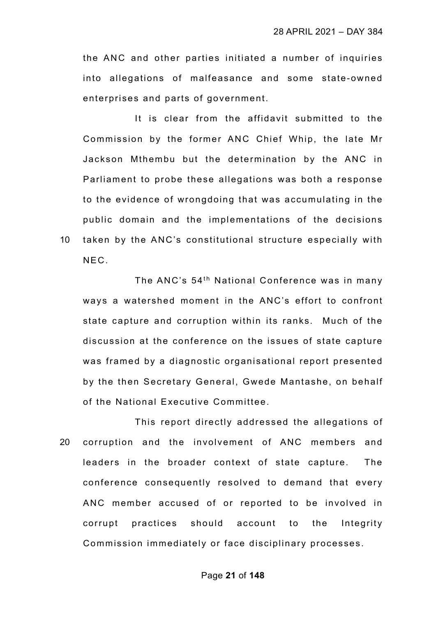the ANC and other parties initiated a number of inquiries into allegations of malfeasance and some state-owned enterprises and parts of government.

It is clear from the affidavit submitted to the Commission by the former ANC Chief Whip, the late Mr Jackson Mthembu but the determination by the ANC in Parliament to probe these allegations was both a response to the evidence of wrongdoing that was accumulating in the public domain and the implementations of the decisions 10 taken by the ANC's constitutional structure especially with NEC.

The ANC's 54<sup>th</sup> National Conference was in many ways a watershed moment in the ANC's effort to confront state capture and corruption within its ranks. Much of the discussion at the conference on the issues of state capture was framed by a diagnostic organisational report presented by the then Secretary General, Gwede Mantashe, on behalf of the National Executive Committee.

This report directly addressed the allegations of 20 corruption and the involvement of ANC members and leaders in the broader context of state capture. The conference consequently resolved to demand that every ANC member accused of or reported to be involved in corrupt practices should account to the Integrity Commission immediately or face disciplinary processes.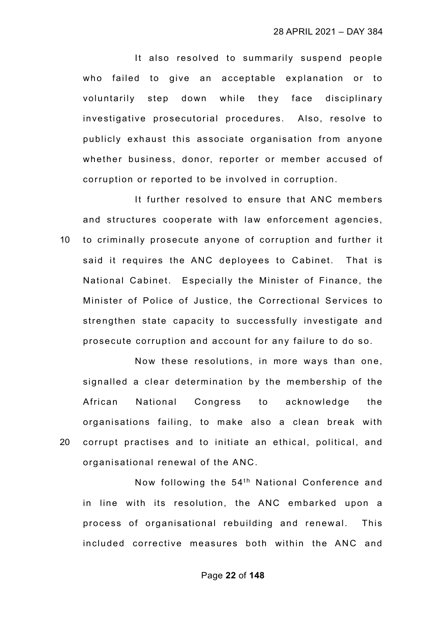It also resolved to summarily suspend people who failed to give an acceptable explanation or to voluntarily step down while they face disciplinary investigative prosecutorial procedures. Also, resolve to publicly exhaust this associate organisation from anyone whether business, donor, reporter or member accused of corruption or reported to be involved in corruption.

It further resolved to ensure that ANC members and structures cooperate with law enforcement agencies, 10 to criminally prosecute anyone of corruption and further it said it requires the ANC deployees to Cabinet. That is National Cabinet. Especially the Minister of Finance, the Minister of Police of Justice, the Correctional Services to strengthen state capacity to successfully investigate and prosecute corruption and account for any failure to do so.

Now these resolutions, in more ways than one, signalled a clear determination by the membership of the African National Congress to acknowledge the organisations failing, to make also a clean break with 20 corrupt practises and to initiate an ethical, political, and organisational renewal of the ANC.

Now following the 54<sup>th</sup> National Conference and in line with its resolution, the ANC embarked upon a process of organisational rebuilding and renewal. This included corrective measures both within the ANC and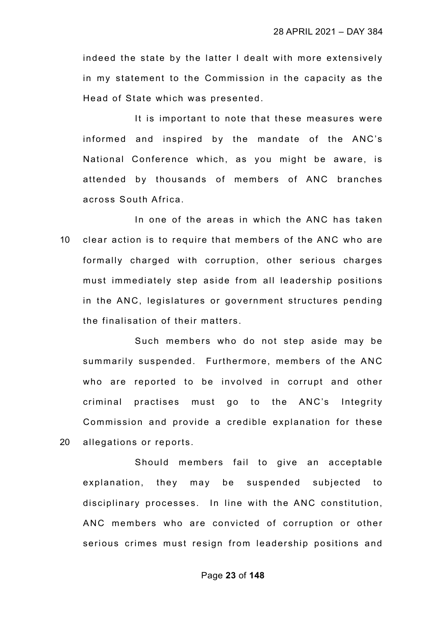indeed the state by the latter I dealt with more extensively in my statement to the Commission in the capacity as the Head of State which was presented.

It is important to note that these measures were informed and inspired by the mandate of the ANC's National Conference which, as you might be aware, is attended by thousands of members of ANC branches across South Africa.

In one of the areas in which the ANC has taken 10 clear action is to require that members of the ANC who are formally charged with corruption, other serious charges must immediately step aside from all leadership positions in the ANC, legislatures or government structures pending the finalisation of their matters.

Such members who do not step aside may be summarily suspended. Furthermore, members of the ANC who are reported to be involved in corrupt and other criminal practises must go to the ANC's Integrity Commission and provide a credible explanation for these 20 allegations or reports.

Should members fail to give an acceptable explanation, they may be suspended subjected to disciplinary processes. In line with the ANC constitution, ANC members who are convicted of corruption or other serious crimes must resign from leadership positions and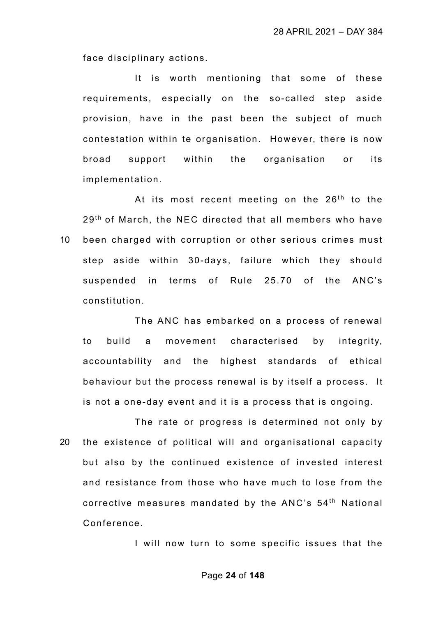face disciplinary actions.

It is worth mentioning that some of these requirements, especially on the so-called step aside provision, have in the past been the subject of much contestation within te organisation. However, there is now broad support within the organisation or its implementation.

At its most recent meeting on the 26<sup>th</sup> to the 29<sup>th</sup> of March, the NEC directed that all members who have 10 been charged with corruption or other serious crimes must step aside within 30-days, failure which they should suspended in terms of Rule 25.70 of the ANC's constitution.

The ANC has embarked on a process of renewal to build a movement characterised by integrity, accountability and the highest standards of ethical behaviour but the process renewal is by itself a process. It is not a one-day event and it is a process that is ongoing.

The rate or progress is determined not only by 20 the existence of political will and organisational capacity but also by the continued existence of invested interest and resistance from those who have much to lose from the corrective measures mandated by the ANC's  $54<sup>th</sup>$  National Conference.

I will now turn to some specific issues that the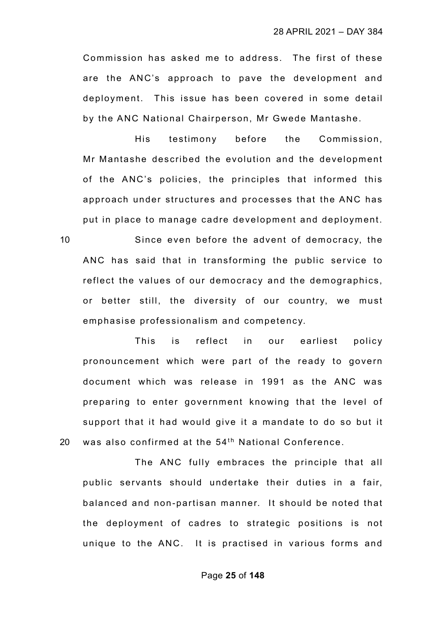Commission has asked me to address. The first of these are the ANC's approach to pave the development and deployment. This issue has been covered in some detail by the ANC National Chairperson, Mr Gwede Mantashe.

His testimony before the Commission, Mr Mantashe described the evolution and the development of the ANC's policies, the principles that informed this approach under structures and processes that the ANC has put in place to manage cadre development and deployment.

10 Since even before the advent of democracy, the ANC has said that in transforming the public service to reflect the values of our democracy and the demographics, or better still, the diversity of our country, we must emphasise professionalism and competency.

This is reflect in our earliest policy pronouncement which were part of the ready to govern document which was release in 1991 as the ANC was preparing to enter government knowing that the level of support that it had would give it a mandate to do so but it 20 was also confirmed at the  $54<sup>th</sup>$  National Conference.

The ANC fully embraces the principle that all public servants should undertake their duties in a fair, balanced and non-partisan manner. It should be noted that the deployment of cadres to strategic positions is not unique to the ANC. It is practised in various forms and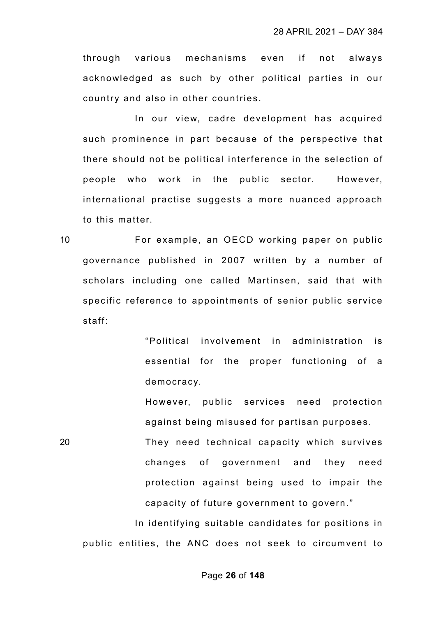through various mechanisms even if not always acknowledged as such by other political parties in our country and also in other countries.

In our view, cadre development has acquired such prominence in part because of the perspective that there should not be political interference in the selection of people who work in the public sector. However, international practise suggests a more nuanced approach to this matter.

10 For example, an OECD working paper on public governance published in 2007 written by a number of scholars including one called Martinsen, said that with specific reference to appointments of senior public service staff:

> "Political involvement in administration is essential for the proper functioning of a democracy.

> However, public services need protection against being misused for partisan purposes.

20 They need technical capacity which survives changes of government and they need protection against being used to impair the capacity of future government to govern."

In identifying suitable candidates for positions in public entities, the ANC does not seek to circumvent to

#### Page **26** of **148**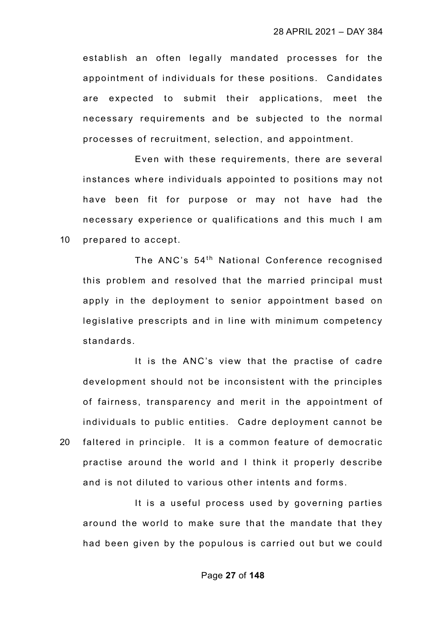establish an often legally mandated processes for the appointment of individuals for these positions. Candidates are expected to submit their applications, meet the necessary requirements and be subjected to the normal processes of recruitment, selection, and appointment.

Even with these requirements, there are several instances where individuals appointed to positions may not have been fit for purpose or may not have had the necessary experience or qualifications and this much I am 10 prepared to accept.

The ANC's 54<sup>th</sup> National Conference recognised this problem and resolved that the married principal must apply in the deployment to senior appointment based on legislative prescripts and in line with minimum competency standards.

It is the ANC's view that the practise of cadre development should not be inconsistent with the principles of fairness, transparency and merit in the appointment of individuals to public entities. Cadre deployment cannot be 20 faltered in principle. It is a common feature of democratic practise around the world and I think it properly describe and is not diluted to various other intents and forms.

It is a useful process used by governing parties around the world to make sure that the mandate that they had been given by the populous is carried out but we could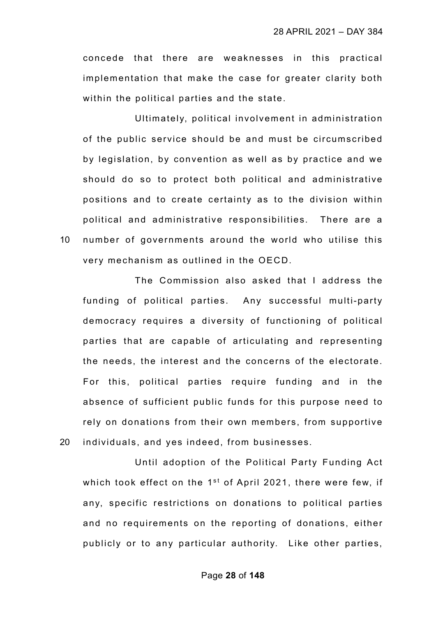concede that there are weaknesses in this practical implementation that make the case for greater clarity both within the political parties and the state.

Ultimately, political involvement in administration of the public service should be and must be circumscribed by legislation, by convention as well as by practice and we should do so to protect both political and administrative positions and to create certainty as to the division within political and administrative responsibilities. There are a 10 number of governments around the world who utilise this very mechanism as outlined in the OECD.

The Commission also asked that I address the funding of political parties. Any successful multi-party democracy requires a diversity of functioning of political parties that are capable of articulating and representing the needs, the interest and the concerns of the electorate. For this, political parties require funding and in the absence of sufficient public funds for this purpose need to rely on donations from their own members, from supportive 20 individuals, and yes indeed, from businesses.

Until adoption of the Political Party Funding Act which took effect on the  $1<sup>st</sup>$  of April 2021, there were few, if any, specific restrictions on donations to political parties and no requirements on the reporting of donations, either publicly or to any particular authority. Like other parties,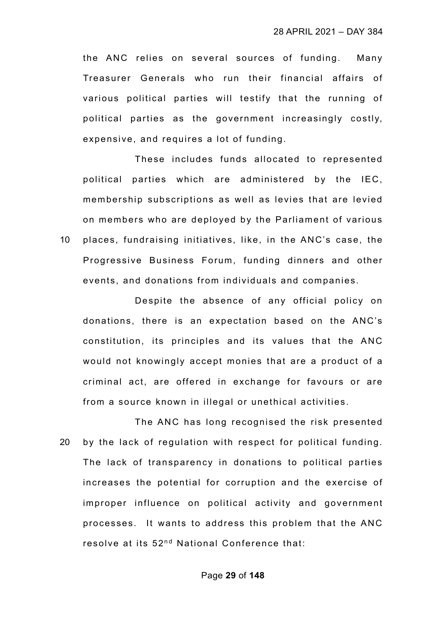the ANC relies on several sources of funding. Many Treasurer Generals who run their financial affairs of various political parties will testify that the running of political parties as the government increasingly costly, expensive, and requires a lot of funding.

These includes funds allocated to represented political parties which are administered by the IEC, membership subscriptions as well as levies that are levied on members who are deployed by the Parliament of various 10 places, fundraising initiatives, like, in the ANC's case, the Progressive Business Forum, funding dinners and other events, and donations from individuals and companies.

Despite the absence of any official policy on donations, there is an expectation based on the ANC's constitution, its principles and its values that the ANC would not knowingly accept monies that are a product of a criminal act, are offered in exchange for favours or are from a source known in illegal or unethical activities.

The ANC has long recognised the risk presented 20 by the lack of regulation with respect for political funding. The lack of transparency in donations to political parties increases the potential for corruption and the exercise of improper influence on political activity and government processes. It wants to address this problem that the ANC resolve at its 52<sup>nd</sup> National Conference that: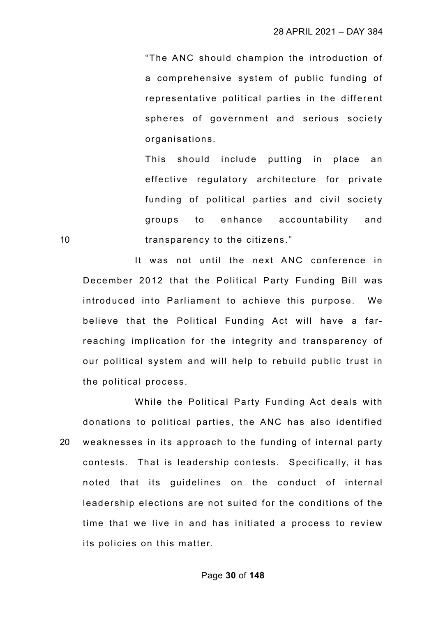"The ANC should champion the introduction of a comprehensive system of public funding of representative political parties in the different spheres of government and serious society organisations.

This should include putting in place an effective regulatory architecture for private funding of political parties and civil society groups to enhance accountability and 10 **transparency to the citizens.**"

It was not until the next ANC conference in December 2012 that the Political Party Funding Bill was introduced into Parliament to achieve this purpose. We believe that the Political Funding Act will have a farreaching implication for the integrity and transparency of our political system and will help to rebuild public trust in the political process.

While the Political Party Funding Act deals with donations to political parties, the ANC has also identified 20 weaknesses in its approach to the funding of internal party contests. That is leadership contests. Specifically, it has noted that its guidelines on the conduct of internal leadership elections are not suited for the conditions of the time that we live in and has initiated a process to review its policies on this matter.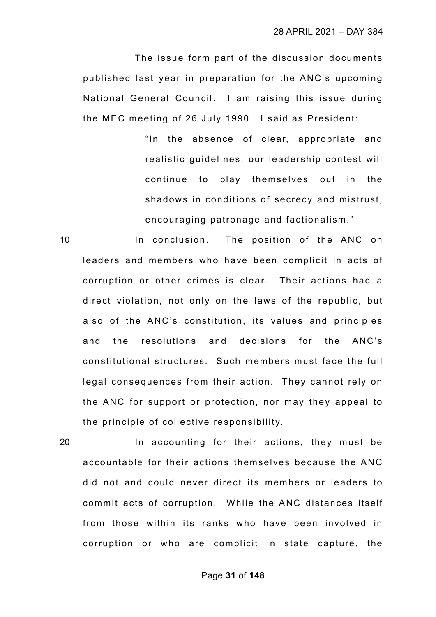The issue form part of the discussion documents published last year in preparation for the ANC's upcoming National General Council. I am raising this issue during the MEC meeting of 26 July 1990. I said as President:

> "In the absence of clear, appropriate and realistic guidelines, our leadership contest will continue to play themselves out in the shadows in conditions of secrecy and mistrust, encouraging patronage and factionalism."

10 In conclusion. The position of the ANC on leaders and members who have been complicit in acts of corruption or other crimes is clear. Their actions had a direct violation, not only on the laws of the republic, but also of the ANC's constitution, its values and principles and the resolutions and decisions for the ANC's constitutional structures. Such members must face the full legal consequences from their action. They cannot rely on the ANC for support or protection, nor may they appeal to the principle of collective responsibility.

20 In accounting for their actions, they must be accountable for their actions themselves because the ANC did not and could never direct its members or leaders to commit acts of corruption. While the ANC distances itself from those within its ranks who have been involved in corruption or who are complicit in state capture, the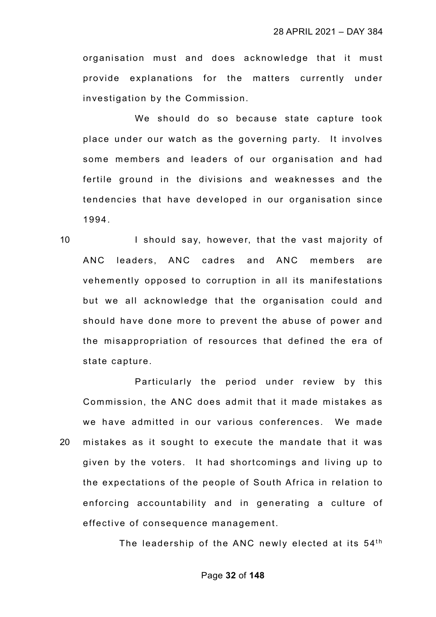organisation must and does acknowledge that it must provide explanations for the matters currently under investigation by the Commission.

We should do so because state capture took place under our watch as the governing party. It involves some members and leaders of our organisation and had fertile ground in the divisions and weaknesses and the tendencies that have developed in our organisation since 1994.

10 I should say, however, that the vast majority of ANC leaders, ANC cadres and ANC members are vehemently opposed to corruption in all its manifestations but we all acknowledge that the organisation could and should have done more to prevent the abuse of power and the misappropriation of resources that defined the era of state capture.

Particularly the period under review by this Commission, the ANC does admit that it made mistakes as we have admitted in our various conferences. We made 20 mistakes as it sought to execute the mandate that it was given by the voters. It had shortcomings and living up to the expectations of the people of South Africa in relation to enforcing accountability and in generating a culture of effective of consequence management.

The leadership of the ANC newly elected at its 54<sup>th</sup>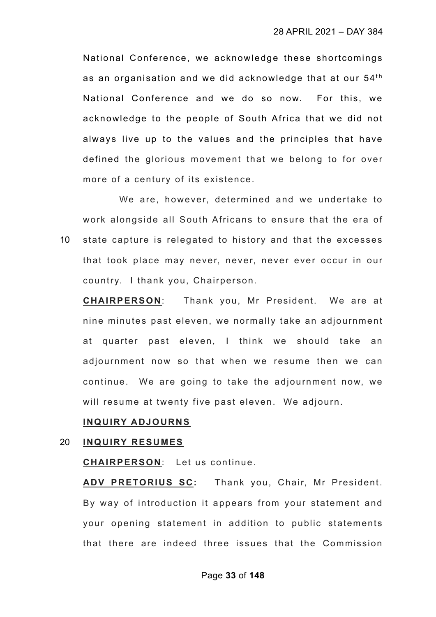National Conference, we acknowledge these shortcomings as an organisation and we did acknowledge that at our  $54<sup>th</sup>$ National Conference and we do so now. For this, we acknowledge to the people of South Africa that we did not always live up to the values and the principles that have defined the glorious movement that we belong to for over more of a century of its existence.

We are, however, determined and we undertake to work alongside all South Africans to ensure that the era of 10 state capture is relegated to history and that the excesses that took place may never, never, never ever occur in our country. I thank you, Chairperson.

**CHAIRPERSON**: Thank you, Mr President. We are at nine minutes past eleven, we normally take an adjournment at quarter past eleven, I think we should take an adjournment now so that when we resume then we can continue. We are going to take the adjournment now, we will resume at twenty five past eleven. We adjourn.

#### **INQUIRY ADJOURNS**

#### 20 **INQUIRY RESUMES**

**CHAIRPERSON**: Let us continue.

**ADV PRETORIUS SC:** Thank you, Chair, Mr President. By way of introduction it appears from your statement and your opening statement in addition to public statements that there are indeed three issues that the Commission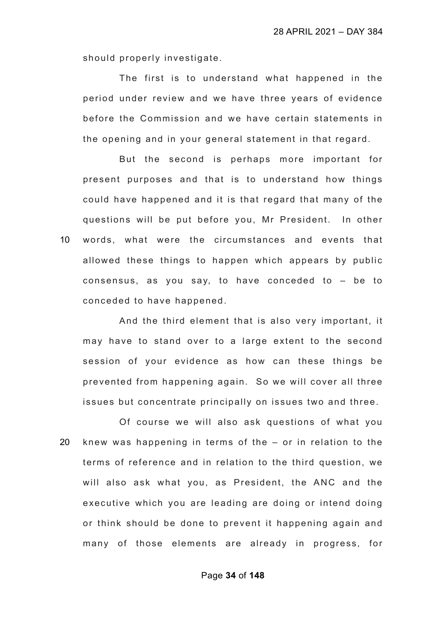should properly investigate.

The first is to understand what happened in the period under review and we have three years of evidence before the Commission and we have certain statements in the opening and in your general statement in that regard.

But the second is perhaps more important for present purposes and that is to understand how things could have happened and it is that regard that many of the questions will be put before you, Mr President. In other 10 words, what were the circumstances and events that allowed these things to happen which appears by public consensus, as you say, to have conceded to – be to conceded to have happened.

And the third element that is also very important, it may have to stand over to a large extent to the second session of your evidence as how can these things be prevented from happening again. So we will cover all three issues but concentrate principally on issues two and three.

Of course we will also ask questions of what you 20 knew was happening in terms of the – or in relation to the terms of reference and in relation to the third question, we will also ask what you, as President, the ANC and the executive which you are leading are doing or intend doing or think should be done to prevent it happening again and many of those elements are already in progress, for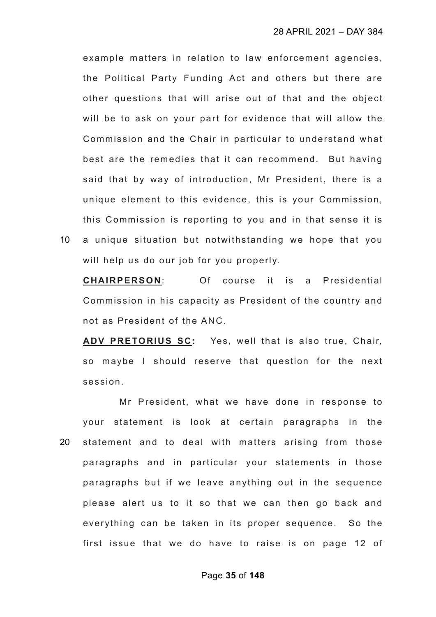example matters in relation to law enforcement agencies, the Political Party Funding Act and others but there are other questions that will arise out of that and the object will be to ask on your part for evidence that will allow the Commission and the Chair in particular to understand what best are the remedies that it can recommend. But having said that by way of introduction, Mr President, there is a unique element to this evidence, this is your Commission, this Commission is reporting to you and in that sense it is 10 a unique situation but notwithstanding we hope that you

will help us do our job for you properly.

**CHAIRPERSON**: Of course it is a Presidential Commission in his capacity as President of the country and not as President of the ANC.

**ADV PRETORIUS SC:** Yes, well that is also true, Chair, so maybe I should reserve that question for the next session.

Mr President, what we have done in response to your statement is look at certain paragraphs in the 20 statement and to deal with matters arising from those paragraphs and in particular your statements in those paragraphs but if we leave anything out in the sequence please alert us to it so that we can then go back and everything can be taken in its proper sequence. So the first issue that we do have to raise is on page 12 of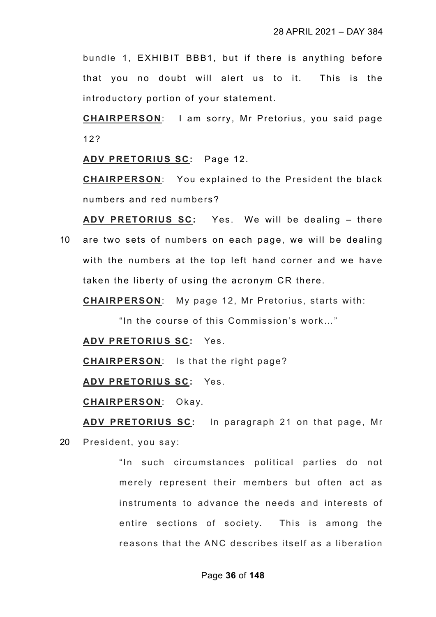bundle 1, EXHIBIT BBB1, but if there is anything before that you no doubt will alert us to it. This is the introductory portion of your statement.

**CHAIRPERSON**: I am sorry, Mr Pretorius, you said page 12?

**ADV PRETORIUS SC:** Page 12.

**CHAIRPERSON**: You explained to the President the black numbers and red numbers?

**ADV PRETORIUS SC:** Yes. We will be dealing – there 10 are two sets of numbers on each page, we will be dealing with the numbers at the top left hand corner and we have taken the liberty of using the acronym CR there.

**CHAIRPERSON**: My page 12, Mr Pretorius, starts with:

"In the course of this Commission's work…"

**ADV PRETORIUS SC:** Yes.

**CHAIRPERSON**: Is that the right page?

**ADV PRETORIUS SC:** Yes.

**CHAIRPERSON**: Okay.

**ADV PRETORIUS SC:** In paragraph 21 on that page, Mr 20 President, you say:

> "In such circumstances political parties do not merely represent their members but often act as instruments to advance the needs and interests of entire sections of society. This is among the reasons that the ANC describes itself as a liberation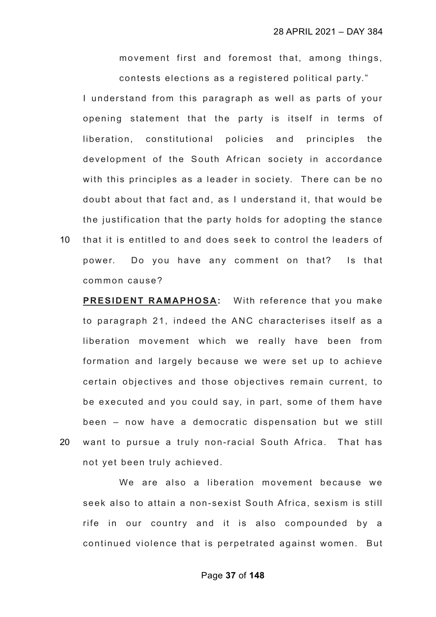movement first and foremost that, among things, contests elections as a registered political party."

I understand from this paragraph as well as parts of your opening statement that the party is itself in terms of liberation, constitutional policies and principles the development of the South African society in accordance with this principles as a leader in society. There can be no doubt about that fact and, as I understand it, that would be the justification that the party holds for adopting the stance

10 that it is entitled to and does seek to control the leaders of power. Do you have any comment on that? Is that common cause?

**PRESIDENT RAMAPHOSA:** With reference that you make to paragraph 21, indeed the ANC characterises itself as a liberation movement which we really have been from formation and largely because we were set up to achieve certain objectives and those objectives remain current, to be executed and you could say, in part, some of them have been – now have a democratic dispensation but we still 20 want to pursue a truly non-racial South Africa. That has not yet been truly achieved.

We are also a liberation movement because we seek also to attain a non-sexist South Africa, sexism is still rife in our country and it is also compounded by a continued violence that is perpetrated against women. But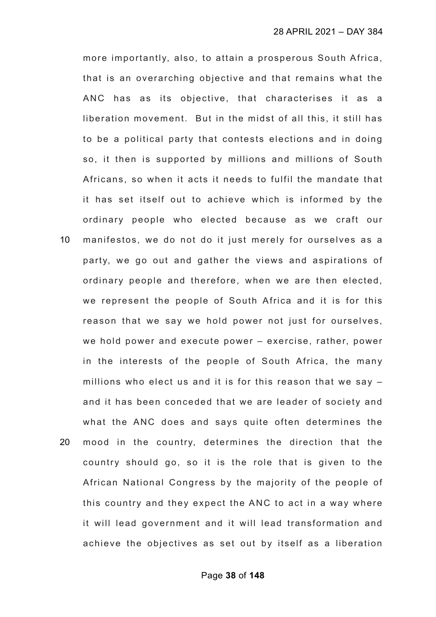more importantly, also, to attain a prosperous South Africa, that is an overarching objective and that remains what the ANC has as its objective, that characterises it as a liberation movement. But in the midst of all this, it still has to be a political party that contests elections and in doing so, it then is supported by millions and millions of South Africans, so when it acts it needs to fulfil the mandate that it has set itself out to achieve which is informed by the ordinary people who elected because as we craft our

10 manifestos, we do not do it just merely for ourselves as a party, we go out and gather the views and aspirations of ordinary people and therefore, when we are then elected, we represent the people of South Africa and it is for this reason that we say we hold power not just for ourselves, we hold power and execute power – exercise, rather, power in the interests of the people of South Africa, the many millions who elect us and it is for this reason that we say – and it has been conceded that we are leader of society and what the ANC does and says quite often determines the 20 mood in the country, determines the direction that the country should go, so it is the role that is given to the African National Congress by the majority of the people of this country and they expect the ANC to act in a way where it will lead government and it will lead transformation and

achieve the objectives as set out by itself as a liberation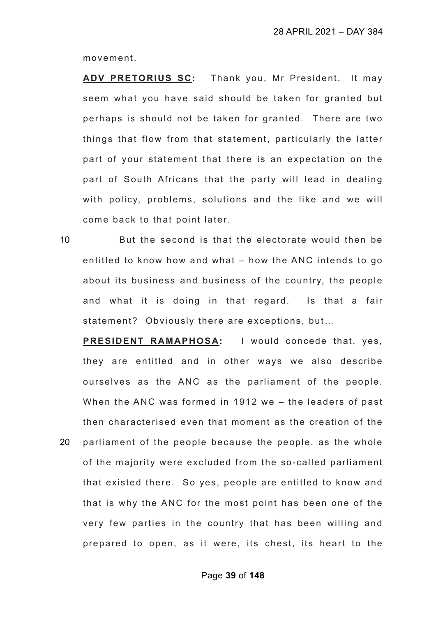movement.

**ADV PRETORIUS SC:** Thank you, Mr President. It may seem what you have said should be taken for granted but perhaps is should not be taken for granted. There are two things that flow from that statement, particularly the latter part of your statement that there is an expectation on the part of South Africans that the party will lead in dealing with policy, problems, solutions and the like and we will come back to that point later.

10 But the second is that the electorate would then be entitled to know how and what – how the ANC intends to go about its business and business of the country, the people and what it is doing in that regard. Is that a fair statement? Obviously there are exceptions, but…

**PRESIDENT RAMAPHOSA:** I would concede that, yes, they are entitled and in other ways we also describe ourselves as the ANC as the parliament of the people. When the ANC was formed in 1912 we – the leaders of past then characterised even that moment as the creation of the 20 parliament of the people because the people, as the whole of the majority were excluded from the so-called parliament that existed there. So yes, people are entitled to know and that is why the ANC for the most point has been one of the very few parties in the country that has been willing and prepared to open, as it were, its chest, its heart to the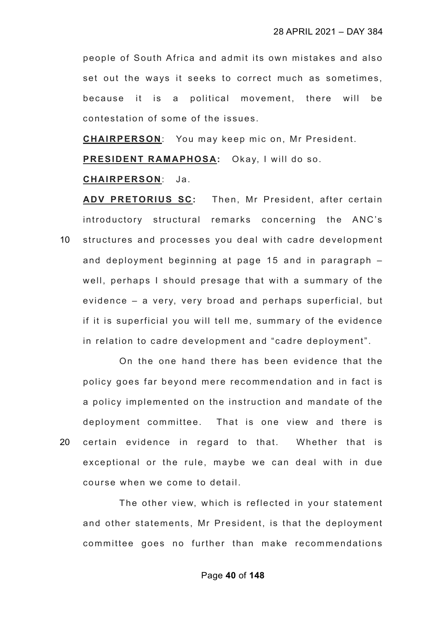people of South Africa and admit its own mistakes and also set out the ways it seeks to correct much as sometimes, because it is a political movement, there will be contestation of some of the issues.

**CHAIRPERSON**: You may keep mic on, Mr President.

**PRESIDENT RAMAPHOSA:** Okay, I will do so.

### **CHAIRPERSON**: Ja.

**ADV PRETORIUS SC:** Then, Mr President, after certain introductory structural remarks concerning the ANC's 10 structures and processes you deal with cadre development and deployment beginning at page 15 and in paragraph – well, perhaps I should presage that with a summary of the evidence – a very, very broad and perhaps superficial, but if it is superficial you will tell me, summary of the evidence in relation to cadre development and "cadre deployment".

On the one hand there has been evidence that the policy goes far beyond mere recommendation and in fact is a policy implemented on the instruction and mandate of the deployment committee. That is one view and there is 20 certain evidence in regard to that. Whether that is exceptional or the rule, maybe we can deal with in due course when we come to detail.

The other view, which is reflected in your statement and other statements, Mr President, is that the deployment committee goes no further than make recommendations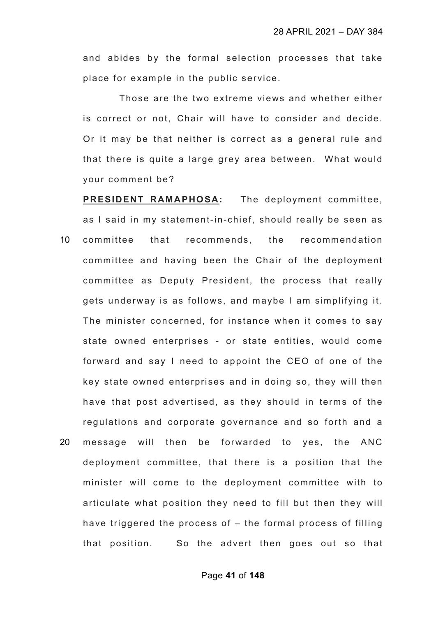and abides by the formal selection processes that take place for example in the public service.

Those are the two extreme views and whether either is correct or not, Chair will have to consider and decide. Or it may be that neither is correct as a general rule and that there is quite a large grey area between. What would your comment be?

**PRESIDENT RAMAPHOSA:** The deployment committee, as I said in my statement-in- chief, should really be seen as 10 committee that recommends, the recommendation committee and having been the Chair of the deployment committee as Deputy President, the process that really gets underway is as follows, and maybe I am simplifying it. The minister concerned, for instance when it comes to say state owned enterprises - or state entities, would come forward and say I need to appoint the CEO of one of the key state owned enterprises and in doing so, they will then have that post advertised, as they should in terms of the regulations and corporate governance and so forth and a 20 message will then be forwarded to yes, the ANC deployment committee, that there is a position that the minister will come to the deployment committee with to articulate what position they need to fill but then they will have triggered the process of – the formal process of filling that position. So the advert then goes out so that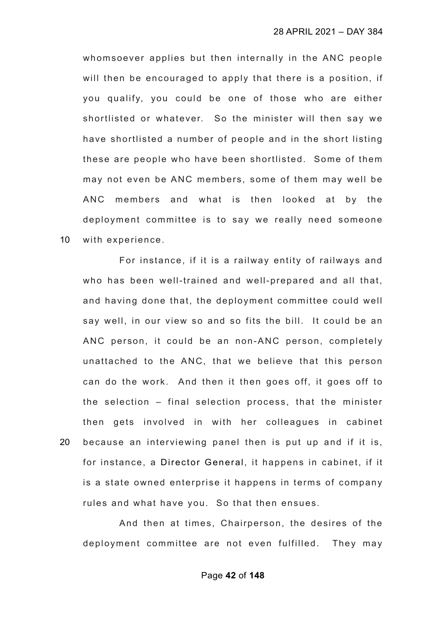whomsoever applies but then internally in the ANC people will then be encouraged to apply that there is a position, if you qualify, you could be one of those who are either shortlisted or whatever. So the minister will then say we have shortlisted a number of people and in the short listing these are people who have been shortlisted. Some of them may not even be ANC members, some of them may well be ANC members and what is then looked at by the deployment committee is to say we really need someone 10 with experience.

For instance, if it is a railway entity of railways and who has been well-trained and well-prepared and all that, and having done that, the deployment committee could well say well, in our view so and so fits the bill. It could be an ANC person, it could be an non-ANC person, completely unattached to the ANC, that we believe that this person can do the work. And then it then goes off, it goes off to the selection – final selection process, that the minister then gets involved in with her colleagues in cabinet 20 because an interviewing panel then is put up and if it is, for instance, a Director General, it happens in cabinet, if it is a state owned enterprise it happens in terms of company rules and what have you. So that then ensues.

And then at times, Chairperson, the desires of the deployment committee are not even fulfilled. They may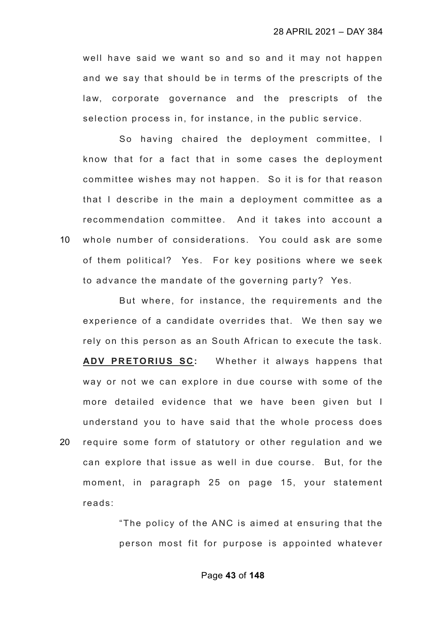well have said we want so and so and it may not happen and we say that should be in terms of the prescripts of the law, corporate governance and the prescripts of the selection process in, for instance, in the public service.

So having chaired the deployment committee, I know that for a fact that in some cases the deployment committee wishes may not happen. So it is for that reason that I describe in the main a deployment committee as a recommendation committee. And it takes into account a 10 whole number of considerations. You could ask are some of them political? Yes. For key positions where we seek to advance the mandate of the governing party? Yes.

But where, for instance, the requirements and the experience of a candidate overrides that. We then say we rely on this person as an South African to execute the task. **ADV PRETORIUS SC:** Whether it always happens that way or not we can explore in due course with some of the more detailed evidence that we have been given but I understand you to have said that the whole process does 20 require some form of statutory or other regulation and we can explore that issue as well in due course. But, for the moment, in paragraph 25 on page 15, your statement reads:

> "The policy of the ANC is aimed at ensuring that the person most fit for purpose is appointed whatever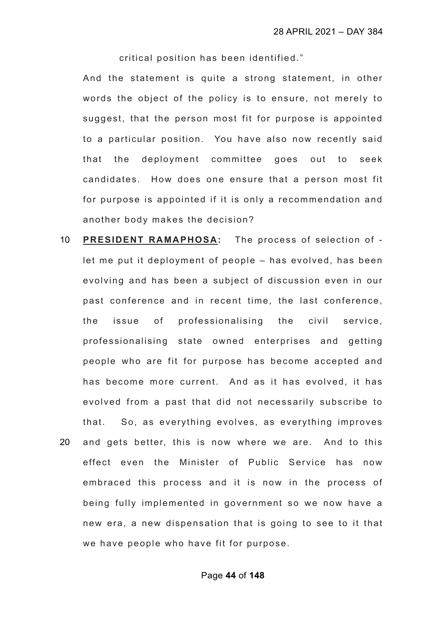critical position has been identified."

And the statement is quite a strong statement, in other words the object of the policy is to ensure, not merely to suggest, that the person most fit for purpose is appointed to a particular position. You have also now recently said that the deployment committee goes out to seek candidates. How does one ensure that a person most fit for purpose is appointed if it is only a recommendation and another body makes the decision?

- 10 **PRESIDENT RAMAPHOSA:** The process of selection of let me put it deployment of people – has evolved, has been evolving and has been a subject of discussion even in our past conference and in recent time, the last conference, the issue of professionalising the civil service, professionalising state owned enterprises and getting people who are fit for purpose has become accepted and has become more current. And as it has evolved, it has evolved from a past that did not necessarily subscribe to that. So, as everything evolves, as everything improves 20 and gets better, this is now where we are. And to this
- effect even the Minister of Public Service has now embraced this process and it is now in the process of being fully implemented in government so we now have a new era, a new dispensation that is going to see to it that we have people who have fit for purpose.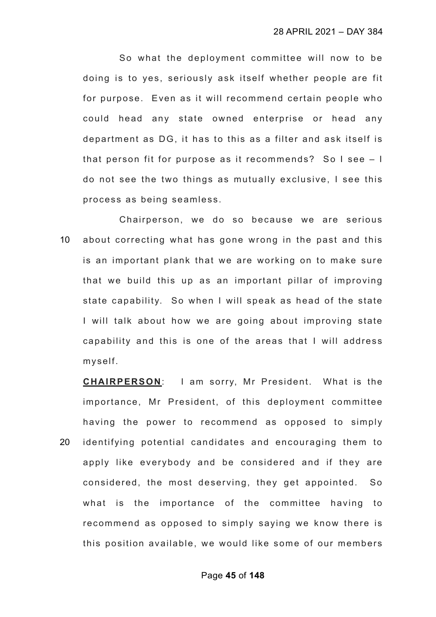So what the deployment committee will now to be doing is to yes, seriously ask itself whether people are fit for purpose. Even as it will recommend certain people who could head any state owned enterprise or head any department as DG, it has to this as a filter and ask itself is that person fit for purpose as it recommends? So I see – I do not see the two things as mutually exclusive, I see this process as being seamless.

Chairperson, we do so because we are serious 10 about correcting what has gone wrong in the past and this is an important plank that we are working on to make sure that we build this up as an important pillar of improving state capability. So when I will speak as head of the state I will talk about how we are going about improving state capability and this is one of the areas that I will address myself.

**CHAIRPERSON**: I am sorry, Mr President. What is the importance, Mr President, of this deployment committee having the power to recommend as opposed to simply 20 identifying potential candidates and encouraging them to apply like everybody and be considered and if they are considered, the most deserving, they get appointed. So what is the importance of the committee having to recommend as opposed to simply saying we know there is this position available, we would like some of our members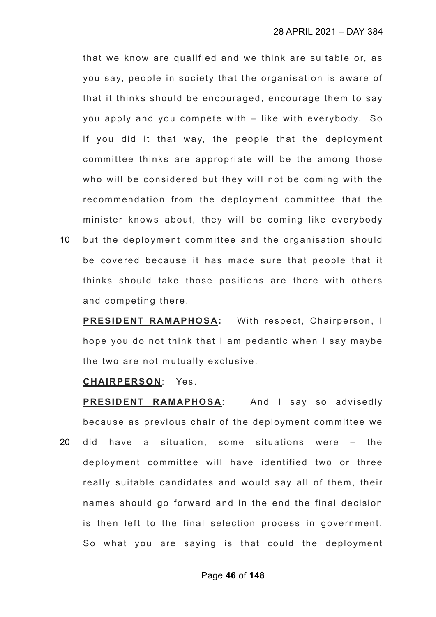that we know are qualified and we think are suitable or, as you say, people in society that the organisation is aware of that it thinks should be encouraged, encourage them to say you apply and you compete with – like with everybody. So if you did it that way, the people that the deployment committee thinks are appropriate will be the among those who will be considered but they will not be coming with the recommendation from the deployment committee that the minister knows about, they will be coming like everybody

10 but the deployment committee and the organisation should be covered because it has made sure that people that it thinks should take those positions are there with others and competing there.

**PRESIDENT RAMAPHOSA:** With respect, Chairperson, I hope you do not think that I am pedantic when I say maybe the two are not mutually exclusive.

### **CHAIRPERSON**: Yes.

**PRESIDENT RAMAPHOSA:** And I say so advisedly because as previous chair of the deployment committee we 20 did have a situation, some situations were – the deployment committee will have identified two or three really suitable candidates and would say all of them, their names should go forward and in the end the final decision is then left to the final selection process in government. So what you are saying is that could the deployment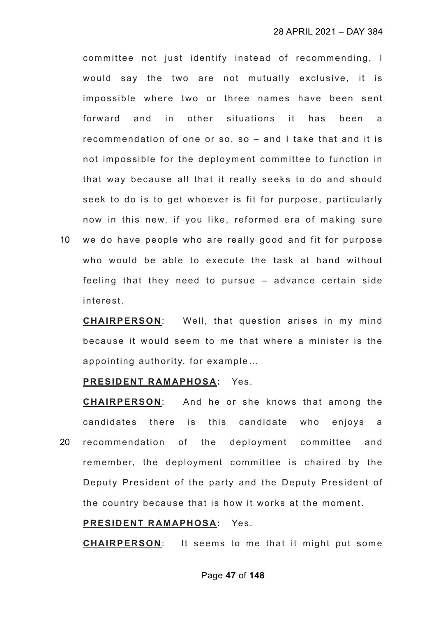committee not just identify instead of recommending, I would say the two are not mutually exclusive, it is impossible where two or three names have been sent forward and in other situations it has been a recommendation of one or so, so – and I take that and it is not impossible for the deployment committee to function in that way because all that it really seeks to do and should seek to do is to get whoever is fit for purpose, particularly now in this new, if you like, reformed era of making sure

10 we do have people who are really good and fit for purpose who would be able to execute the task at hand without feeling that they need to pursue – advance certain side interest.

**CHAIRPERSON**: Well, that question arises in my mind because it would seem to me that where a minister is the appointing authority, for example…

## **PRESIDENT RAMAPHOSA:** Yes.

**CHAIRPERSON**: And he or she knows that among the candidates there is this candidate who enjoys a 20 recommendation of the deployment committee and remember, the deployment committee is chaired by the Deputy President of the party and the Deputy President of the country because that is how it works at the moment.

## **PRESIDENT RAMAPHOSA:** Yes.

**CHAIRPERSON**: It seems to me that it might put some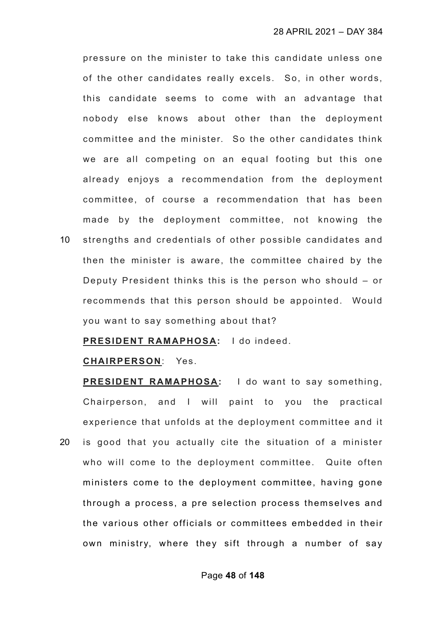pressure on the minister to take this candidate unless one of the other candidates really excels. So, in other words, this candidate seems to come with an advantage that nobody else knows about other than the deployment committee and the minister. So the other candidates think we are all competing on an equal footing but this one already enjoys a recommendation from the deployment committee, of course a recommendation that has been made by the deployment committee, not knowing the

10 strengths and credentials of other possible candidates and then the minister is aware, the committee chaired by the Deputy President thinks this is the person who should – or recommends that this person should be appointed. Would you want to say something about that?

**PRESIDENT RAMAPHOSA:** I do indeed.

### **CHAIRPERSON**: Yes.

**PRESIDENT RAMAPHOSA:** I do want to say something, Chairperson, and I will paint to you the practical experience that unfolds at the deployment committee and it 20 is good that you actually cite the situation of a minister who will come to the deployment committee. Quite often ministers come to the deployment committee, having gone through a process, a pre selection process themselves and the various other officials or committees embedded in their own ministry, where they sift through a number of say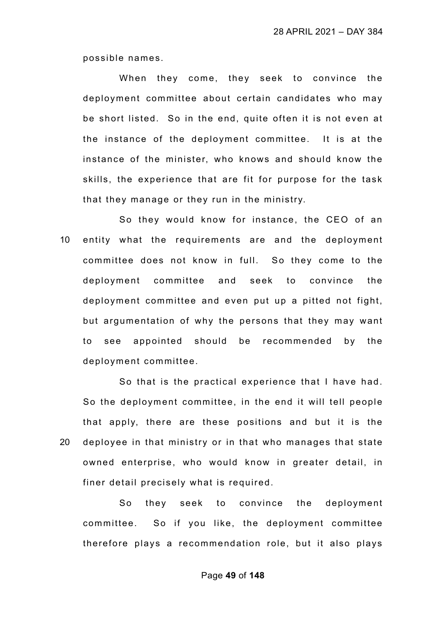possible names.

When they come, they seek to convince the deployment committee about certain candidates who may be short listed. So in the end, quite often it is not even at the instance of the deployment committee. It is at the instance of the minister, who knows and should know the skills, the experience that are fit for purpose for the task that they manage or they run in the ministry.

So they would know for instance, the CEO of an 10 entity what the requirements are and the deployment committee does not know in full. So they come to the deployment committee and seek to convince the deployment committee and even put up a pitted not fight, but argumentation of why the persons that they may want to see appointed should be recommended by the deployment committee.

So that is the practical experience that I have had. So the deployment committee, in the end it will tell people that apply, there are these positions and but it is the 20 deployee in that ministry or in that who manages that state owned enterprise, who would know in greater detail, in finer detail precisely what is required.

So they seek to convince the deployment committee. So if you like, the deployment committee therefore plays a recommendation role, but it also plays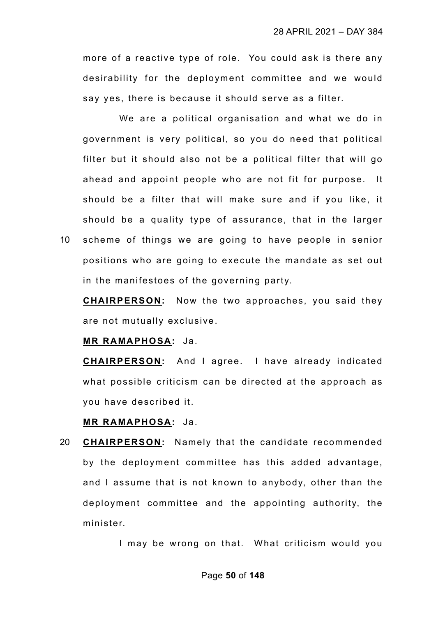more of a reactive type of role. You could ask is there any desirability for the deployment committee and we would say yes, there is because it should serve as a filter.

We are a political organisation and what we do in government is very political, so you do need that political filter but it should also not be a political filter that will go ahead and appoint people who are not fit for purpose. It should be a filter that will make sure and if you like, it should be a quality type of assurance, that in the larger 10 scheme of things we are going to have people in senior

positions who are going to execute the mandate as set out in the manifestoes of the governing party.

**CHAIRPERSON:** Now the two approaches, you said they are not mutually exclusive.

#### **MR RAMAPHOSA:** Ja.

**CHAIRPERSON:** And I agree. I have already indicated what possible criticism can be directed at the approach as you have described it.

## **MR RAMAPHOSA:** Ja.

20 **CHAIRPERSON:** Namely that the candidate recommended by the deployment committee has this added advantage, and I assume that is not known to anybody, other than the deployment committee and the appointing authority, the minister.

I may be wrong on that. What criticism would you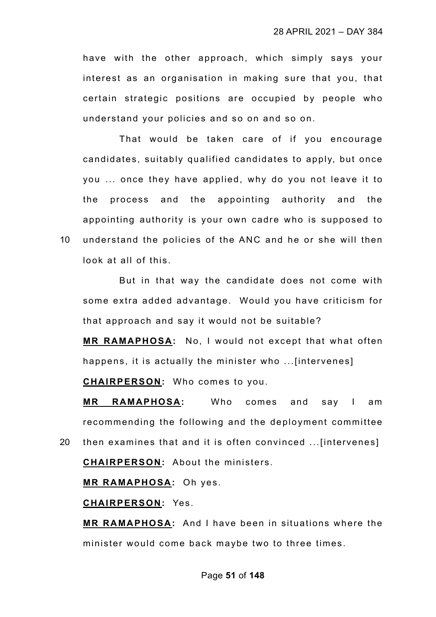have with the other approach, which simply says your interest as an organisation in making sure that you, that certain strategic positions are occupied by people who understand your policies and so on and so on.

That would be taken care of if you encourage candidates, suitably qualified candidates to apply, but once you ... once they have applied, why do you not leave it to the process and the appointing authority and the appointing authority is your own cadre who is supposed to 10 understand the policies of the ANC and he or she will then look at all of this.

But in that way the candidate does not come with some extra added advantage. Would you have criticism for that approach and say it would not be suitable?

**MR RAMAPHOSA:** No, I would not except that what often happens, it is actually the minister who ...[intervenes]

**CHAIRPERSON:** Who comes to you.

**MR RAMAPHOSA:** Who comes and say I am recommending the following and the deployment committee

20 then examines that and it is often convinced ...[intervenes] **CHAIRPERSON:** About the ministers.

**MR RAMAPHOSA:** Oh yes.

**CHAIRPERSON:** Yes.

**MR RAMAPHOSA:** And I have been in situations where the minister would come back maybe two to three times.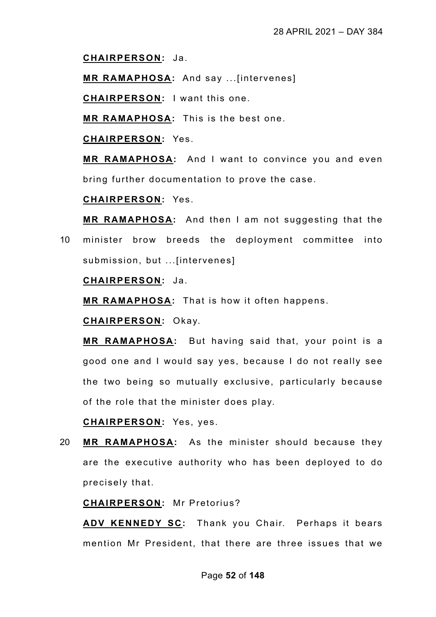**CHAIRPERSON:** Ja.

**MR RAMAPHOSA:** And say ...[intervenes]

**CHAIRPERSON:** I want this one.

**MR RAMAPHOSA:** This is the best one.

**CHAIRPERSON:** Yes.

**MR RAMAPHOSA:** And I want to convince you and even bring further documentation to prove the case.

**CHAIRPERSON:** Yes.

**MR RAMAPHOSA:** And then I am not suggesting that the 10 minister brow breeds the deployment committee into submission, but ...[intervenes]

**CHAIRPERSON:** Ja.

**MR RAMAPHOSA:** That is how it often happens.

**CHAIRPERSON:** Okay.

**MR RAMAPHOSA:** But having said that, your point is a good one and I would say yes, because I do not really see the two being so mutually exclusive, particularly because of the role that the minister does play.

**CHAIRPERSON:** Yes, yes.

20 **MR RAMAPHOSA:** As the minister should because they are the executive authority who has been deployed to do precisely that.

**CHAIRPERSON:** Mr Pretorius?

**ADV KENNEDY SC:** Thank you Chair. Perhaps it bears mention Mr President, that there are three issues that we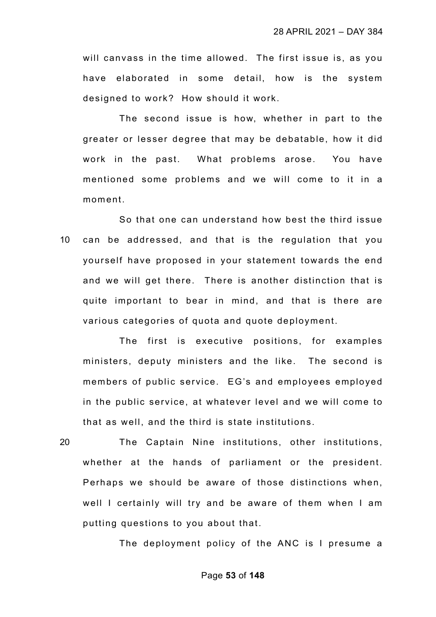will canvass in the time allowed. The first issue is, as you have elaborated in some detail, how is the system designed to work? How should it work.

The second issue is how, whether in part to the greater or lesser degree that may be debatable, how it did work in the past. What problems arose. You have mentioned some problems and we will come to it in a moment.

So that one can understand how best the third issue 10 can be addressed, and that is the regulation that you yourself have proposed in your statement towards the end and we will get there. There is another distinction that is quite important to bear in mind, and that is there are various categories of quota and quote deployment.

The first is executive positions, for examples ministers, deputy ministers and the like. The second is members of public service. EG's and employees employed in the public service, at whatever level and we will come to that as well, and the third is state institutions.

20 The Captain Nine institutions, other institutions, whether at the hands of parliament or the president. Perhaps we should be aware of those distinctions when, well I certainly will try and be aware of them when I am putting questions to you about that.

The deployment policy of the ANC is I presume a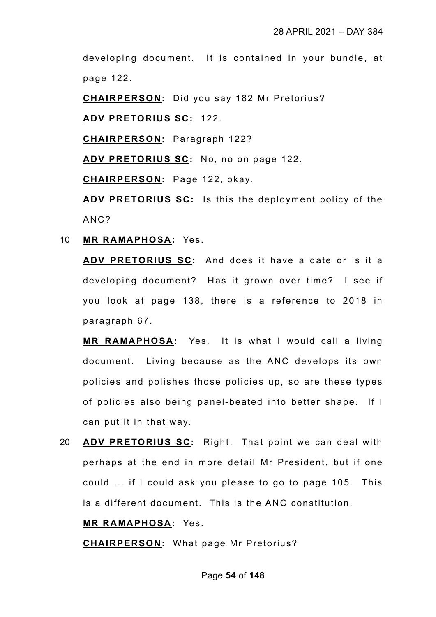developing document. It is contained in your bundle, at page 122.

**CHAIRPERSON:** Did you say 182 Mr Pretorius?

**ADV PRETORIUS SC:** 122.

**CHAIRPERSON:** Paragraph 122?

**ADV PRETORIUS SC:** No, no on page 122.

**CHAIRPERSON:** Page 122, okay.

**ADV PRETORIUS SC:** Is this the deployment policy of the ANC?

10 **MR RAMAPHOSA:** Yes.

**ADV PRETORIUS SC:** And does it have a date or is it a developing document? Has it grown over time? I see if you look at page 138, there is a reference to 2018 in paragraph 67.

**MR RAMAPHOSA:** Yes. It is what I would call a living document. Living because as the ANC develops its own policies and polishes those policies up, so are these types of policies also being panel-beated into better shape. If I can put it in that way.

20 **ADV PRETORIUS SC:** Right. That point we can deal with perhaps at the end in more detail Mr President, but if one could ... if I could ask you please to go to page 105. This is a different document. This is the ANC constitution.

# **MR RAMAPHOSA:** Yes.

**CHAIRPERSON:** What page Mr Pretorius?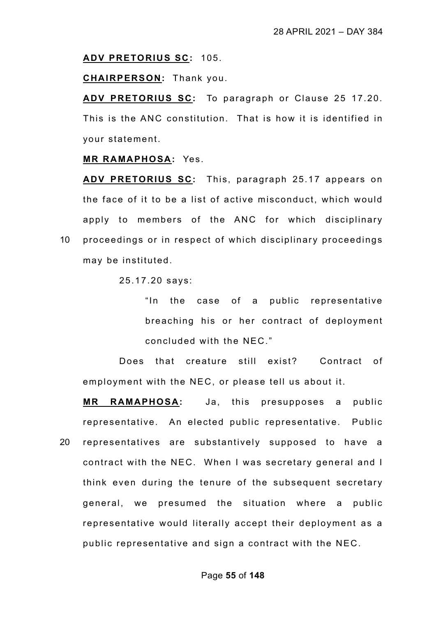#### **ADV PRETORIUS SC:** 105.

**CHAIRPERSON:** Thank you.

**ADV PRETORIUS SC:** To paragraph or Clause 25 17.20. This is the ANC constitution. That is how it is identified in your statement.

### **MR RAMAPHOSA:** Yes.

**ADV PRETORIUS SC:** This, paragraph 25.17 appears on the face of it to be a list of active misconduct, which would apply to members of the ANC for which disciplinary 10 proceedings or in respect of which disciplinary proceedings may be instituted.

25.17.20 says:

"In the case of a public representative breaching his or her contract of deployment concluded with the NEC."

Does that creature still exist? Contract of employment with the NEC, or please tell us about it.

**MR RAMAPHOSA:** Ja, this presupposes a public representative. An elected public representative. Public 20 representatives are substantively supposed to have a contract with the NEC. When I was secretary general and I think even during the tenure of the subsequent secretary general, we presumed the situation where a public representative would literally accept their deployment as a public representative and sign a contract with the NEC.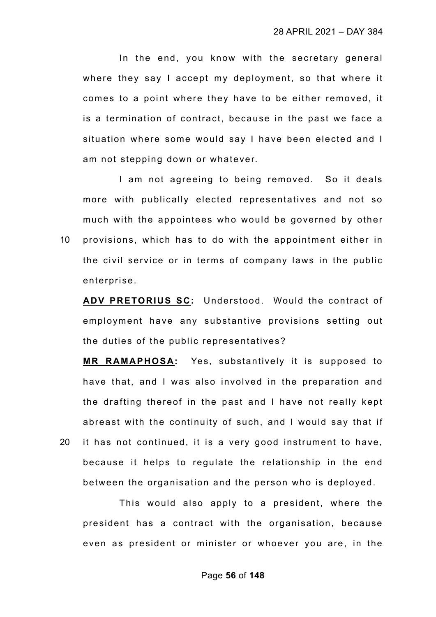In the end, you know with the secretary general where they say I accept my deployment, so that where it comes to a point where they have to be either removed, it is a termination of contract, because in the past we face a situation where some would say I have been elected and I am not stepping down or whatever.

I am not agreeing to being removed. So it deals more with publically elected representatives and not so much with the appointees who would be governed by other 10 provisions, which has to do with the appointment either in the civil service or in terms of company laws in the public enterprise.

**ADV PRETORIUS SC:** Understood. Would the contract of employment have any substantive provisions setting out the duties of the public representatives?

**MR RAMAPHOSA:** Yes, substantively it is supposed to have that, and I was also involved in the preparation and the drafting thereof in the past and I have not really kept abreast with the continuity of such, and I would say that if 20 it has not continued, it is a very good instrument to have, because it helps to regulate the relationship in the end between the organisation and the person who is deployed.

This would also apply to a president, where the president has a contract with the organisation, because even as president or minister or whoever you are, in the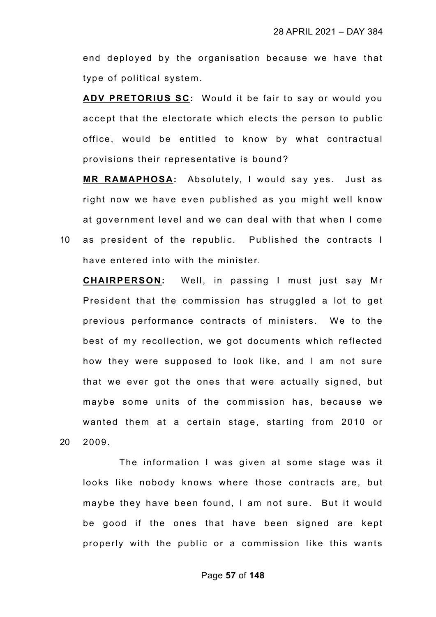end deployed by the organisation because we have that type of political system.

**ADV PRETORIUS SC:** Would it be fair to say or would you accept that the electorate which elects the person to public office, would be entitled to know by what contractual provisions their representative is bound?

**MR RAMAPHOSA:** Absolutely, I would say yes. Just as right now we have even published as you might well know at government level and we can deal with that when I come 10 as president of the republic. Published the contracts I have entered into with the minister.

**CHAIRPERSON:** Well, in passing I must just say Mr President that the commission has struggled a lot to get previous performance contracts of ministers. We to the best of my recollection, we got documents which reflected how they were supposed to look like, and I am not sure that we ever got the ones that were actually signed, but maybe some units of the commission has, because we wanted them at a certain stage, starting from 2010 or 20 2009.

The information I was given at some stage was it looks like nobody knows where those contracts are, but maybe they have been found, I am not sure. But it would be good if the ones that have been signed are kept properly with the public or a commission like this wants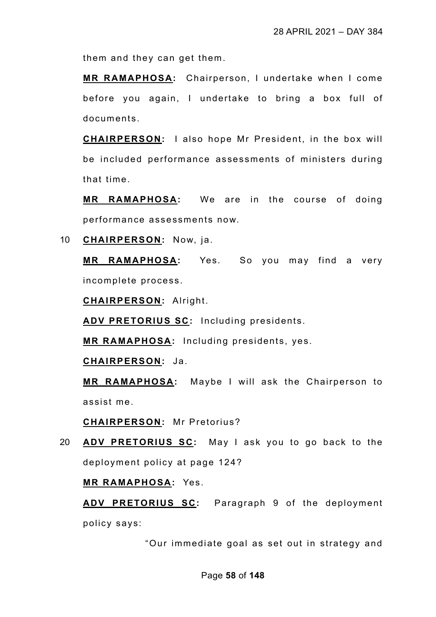them and they can get them.

**MR RAMAPHOSA:** Chairperson, I undertake when I come before you again, I undertake to bring a box full of documents.

**CHAIRPERSON:** I also hope Mr President, in the box will be included performance assessments of ministers during that time.

**MR RAMAPHOSA:** We are in the course of doing performance assessments now.

10 **CHAIRPERSON:** Now, ja.

**MR RAMAPHOSA:** Yes. So you may find a very incomplete process.

**CHAIRPERSON:** Alright.

**ADV PRETORIUS SC:** Including presidents.

**MR RAMAPHOSA:** Including presidents, yes.

**CHAIRPERSON:** Ja.

**MR RAMAPHOSA:** Maybe I will ask the Chairperson to assist me.

**CHAIRPERSON:** Mr Pretorius?

20 **ADV PRETORIUS SC:** May I ask you to go back to the deployment policy at page 124?

**MR RAMAPHOSA:** Yes.

**ADV PRETORIUS SC:** Paragraph 9 of the deployment policy says:

"Our immediate goal as set out in strategy and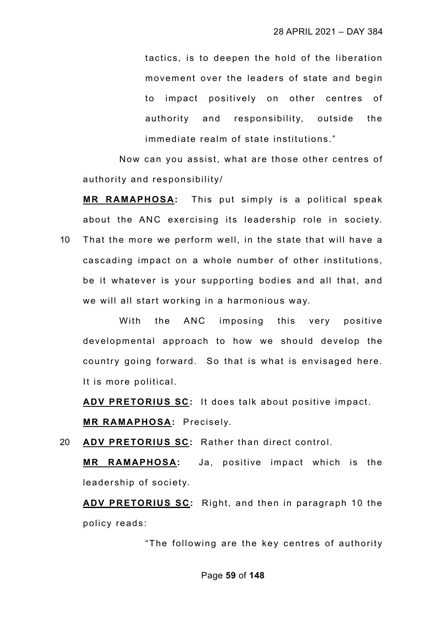tactics, is to deepen the hold of the liberation movement over the leaders of state and begin to impact positively on other centres of authority and responsibility, outside the immediate realm of state institutions."

Now can you assist, what are those other centres of authority and responsibility/

**MR RAMAPHOSA:** This put simply is a political speak about the ANC exercising its leadership role in society. 10 That the more we perform well, in the state that will have a cascading impact on a whole number of other institutions, be it whatever is your supporting bodies and all that, and we will all start working in a harmonious way.

With the ANC imposing this very positive developmental approach to how we should develop the country going forward. So that is what is envisaged here. It is more political.

**ADV PRETORIUS SC:** It does talk about positive impact.

**MR RAMAPHOSA:** Precisely.

20 **ADV PRETORIUS SC:** Rather than direct control.

**MR RAMAPHOSA:** Ja, positive impact which is the leadership of society.

**ADV PRETORIUS SC:** Right, and then in paragraph 10 the policy reads:

"The following are the key centres of authority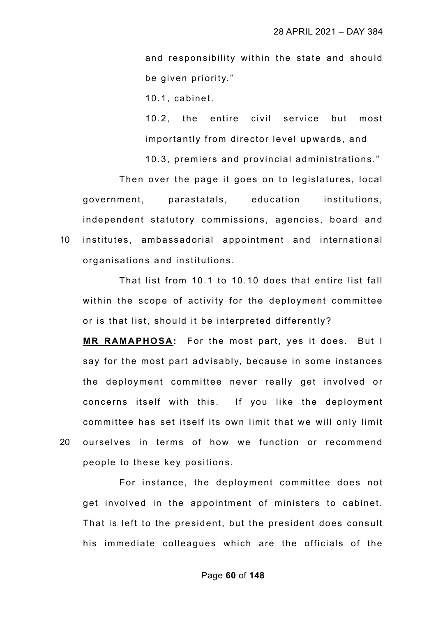and responsibility within the state and should be given priority."

10.1, cabinet.

10.2, the entire civil service but most importantly from director level upwards, and

10.3, premiers and provincial administrations."

Then over the page it goes on to legislatures, local government, parastatals, education institutions, independent statutory commissions, agencies, board and 10 institutes, ambassadorial appointment and international organisations and institutions.

That list from 10.1 to 10.10 does that entire list fall within the scope of activity for the deployment committee or is that list, should it be interpreted differently?

**MR RAMAPHOSA:** For the most part, yes it does. But I say for the most part advisably, because in some instances the deployment committee never really get involved or concerns itself with this. If you like the deployment committee has set itself its own limit that we will only limit 20 ourselves in terms of how we function or recommend people to these key positions.

For instance, the deployment committee does not get involved in the appointment of ministers to cabinet. That is left to the president, but the president does consult his immediate colleagues which are the officials of the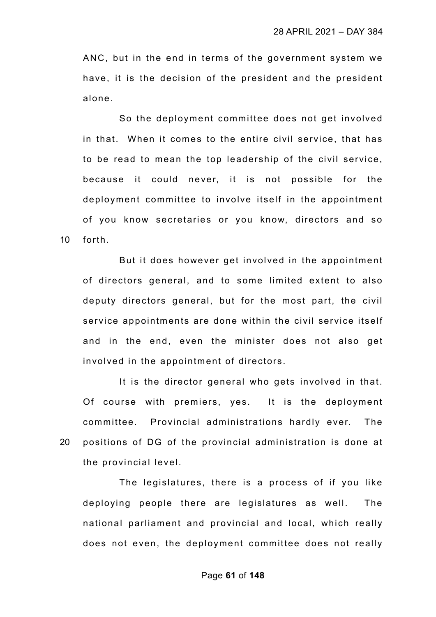ANC, but in the end in terms of the government system we have, it is the decision of the president and the president alone.

So the deployment committee does not get involved in that. When it comes to the entire civil service, that has to be read to mean the top leadership of the civil service, because it could never, it is not possible for the deployment committee to involve itself in the appointment of you know secretaries or you know, directors and so 10 forth.

But it does however get involved in the appointment of directors general, and to some limited extent to also deputy directors general, but for the most part, the civil service appointments are done within the civil service itself and in the end, even the minister does not also get involved in the appointment of directors.

It is the director general who gets involved in that. Of course with premiers, yes. It is the deployment committee. Provincial administrations hardly ever. The 20 positions of DG of the provincial administration is done at the provincial level.

The legislatures, there is a process of if you like deploying people there are legislatures as well. The national parliament and provincial and local, which really does not even, the deployment committee does not really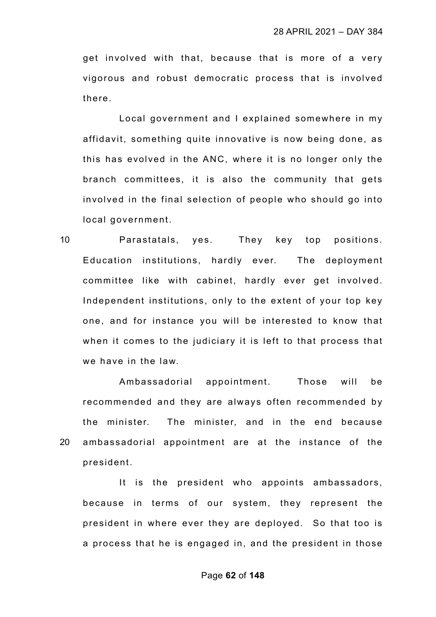get involved with that, because that is more of a very vigorous and robust democratic process that is involved there.

Local government and I explained somewhere in my affidavit, something quite innovative is now being done, as this has evolved in the ANC, where it is no longer only the branch committees, it is also the community that gets involved in the final selection of people who should go into local government.

10 Parastatals, yes. They key top positions. Education institutions, hardly ever. The deployment committee like with cabinet, hardly ever get involved. Independent institutions, only to the extent of your top key one, and for instance you will be interested to know that when it comes to the judiciary it is left to that process that we have in the law.

Ambassadorial appointment. Those will be recommended and they are always often recommended by the minister. The minister, and in the end because 20 ambassadorial appointment are at the instance of the president.

It is the president who appoints ambassadors, because in terms of our system, they represent the president in where ever they are deployed. So that too is a process that he is engaged in, and the president in those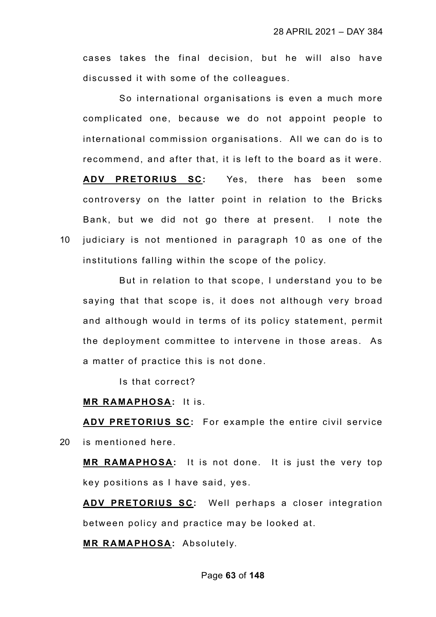cases takes the final decision, but he will also have discussed it with some of the colleagues.

So international organisations is even a much more complicated one, because we do not appoint people to international commission organisations. All we can do is to recommend, and after that, it is left to the board as it were. **ADV PRETORIUS SC:** Yes, there has been some controversy on the latter point in relation to the Bricks Bank, but we did not go there at present. I note the 10 judiciary is not mentioned in paragraph 10 as one of the institutions falling within the scope of the policy.

But in relation to that scope, I understand you to be saying that that scope is, it does not although very broad and although would in terms of its policy statement, permit the deployment committee to intervene in those areas. As a matter of practice this is not done.

Is that correct?

# **MR RAMAPHOSA:** It is.

**ADV PRETORIUS SC:** For example the entire civil service 20 is mentioned here.

**MR RAMAPHOSA:** It is not done. It is just the very top key positions as I have said, yes.

**ADV PRETORIUS SC:** Well perhaps a closer integration between policy and practice may be looked at.

**MR RAMAPHOSA:** Absolutely.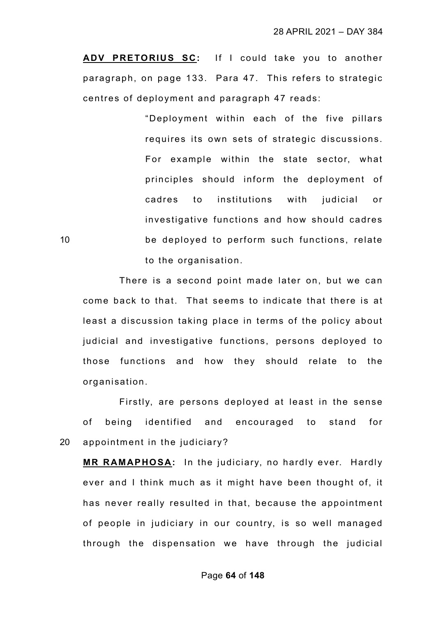**ADV PRETORIUS SC:** If I could take you to another paragraph, on page 133. Para 47. This refers to strategic centres of deployment and paragraph 47 reads:

"Deployment within each of the five pillars requires its own sets of strategic discussions. For example within the state sector, what principles should inform the deployment of cadres to institutions with judicial or investigative functions and how should cadres 10 be deployed to perform such functions, relate to the organisation.

There is a second point made later on, but we can come back to that. That seems to indicate that there is at least a discussion taking place in terms of the policy about judicial and investigative functions, persons deployed to those functions and how they should relate to the organisation.

Firstly, are persons deployed at least in the sense of being identified and encouraged to stand for 20 appointment in the judiciary?

**MR RAMAPHOSA:** In the judiciary, no hardly ever. Hardly ever and I think much as it might have been thought of, it has never really resulted in that, because the appointment of people in judiciary in our country, is so well managed through the dispensation we have through the judicial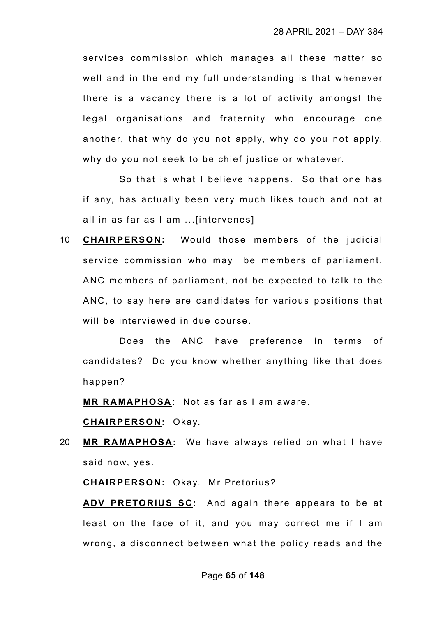services commission which manages all these matter so well and in the end my full understanding is that whenever there is a vacancy there is a lot of activity amongst the legal organisations and fraternity who encourage one another, that why do you not apply, why do you not apply, why do you not seek to be chief justice or whatever.

So that is what I believe happens. So that one has if any, has actually been very much likes touch and not at all in as far as I am ...[intervenes]

10 **CHAIRPERSON:** Would those members of the judicial service commission who may be members of parliament, ANC members of parliament, not be expected to talk to the ANC, to say here are candidates for various positions that will be interviewed in due course.

Does the ANC have preference in terms of candidates? Do you know whether anything like that does happen?

**MR RAMAPHOSA:** Not as far as I am aware.

**CHAIRPERSON:** Okay.

20 **MR RAMAPHOSA:** We have always relied on what I have said now, yes.

**CHAIRPERSON:** Okay. Mr Pretorius?

**ADV PRETORIUS SC:** And again there appears to be at least on the face of it, and you may correct me if I am wrong, a disconnect between what the policy reads and the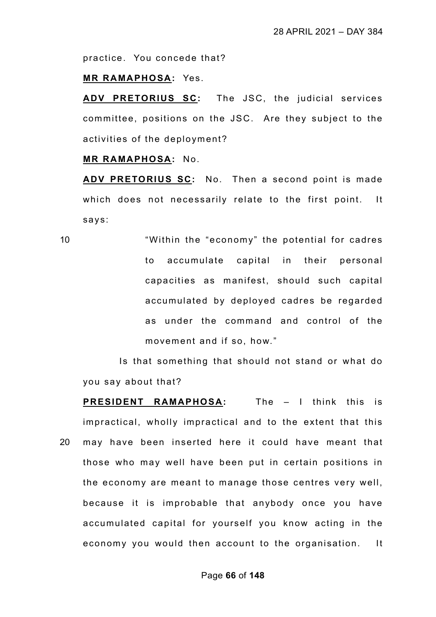practice. You concede that?

### **MR RAMAPHOSA:** Yes.

**ADV PRETORIUS SC:** The JSC, the judicial services committee, positions on the JSC. Are they subject to the activities of the deployment?

### **MR RAMAPHOSA:** No.

**ADV PRETORIUS SC:** No. Then a second point is made which does not necessarily relate to the first point. It says:

10 "Within the "economy" the potential for cadres to accumulate capital in their personal capacities as manifest, should such capital accumulated by deployed cadres be regarded as under the command and control of the movement and if so, how."

Is that something that should not stand or what do you say about that?

**PRESIDENT RAMAPHOSA:** The – I think this is impractical, wholly impractical and to the extent that this 20 may have been inserted here it could have meant that those who may well have been put in certain positions in the economy are meant to manage those centres very well, because it is improbable that anybody once you have accumulated capital for yourself you know acting in the economy you would then account to the organisation. It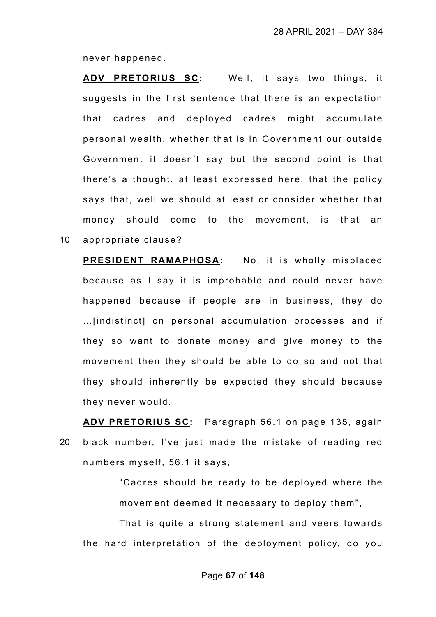never happened.

**ADV PRETORIUS SC:** Well, it says two things, it suggests in the first sentence that there is an expectation that cadres and deployed cadres might accumulate personal wealth, whether that is in Government our outside Government it doesn't say but the second point is that there's a thought, at least expressed here, that the policy says that, well we should at least or consider whether that money should come to the movement, is that an 10 appropriate clause?

**PRESIDENT RAMAPHOSA:** No, it is wholly misplaced because as I say it is improbable and could never have happened because if people are in business, they do …[indistinct] on personal accumulation processes and if they so want to donate money and give money to the movement then they should be able to do so and not that they should inherently be expected they should because they never would.

**ADV PRETORIUS SC:** Paragraph 56.1 on page 135, again 20 black number, I've just made the mistake of reading red numbers myself, 56.1 it says,

> "Cadres should be ready to be deployed where the movement deemed it necessary to deploy them",

That is quite a strong statement and veers towards the hard interpretation of the deployment policy, do you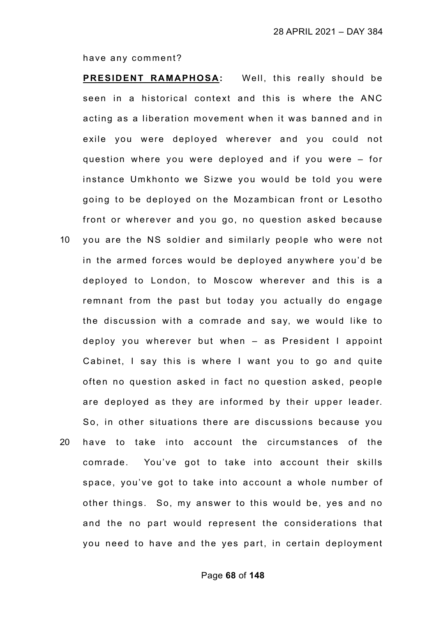have any comment?

**PRESIDENT RAMAPHOSA:** Well, this really should be seen in a historical context and this is where the ANC acting as a liberation movement when it was banned and in exile you were deployed wherever and you could not question where you were deployed and if you were – for instance Umkhonto we Sizwe you would be told you were going to be deployed on the Mozambican front or Lesotho front or wherever and you go, no question asked because 10 you are the NS soldier and similarly people who were not in the armed forces would be deployed anywhere you'd be deployed to London, to Moscow wherever and this is a remnant from the past but today you actually do engage the discussion with a comrade and say, we would like to deploy you wherever but when – as President I appoint

Cabinet, I say this is where I want you to go and quite often no question asked in fact no question asked, people are deployed as they are informed by their upper leader. So, in other situations there are discussions because you 20 have to take into account the circumstances of the comrade. You've got to take into account their skills space, you've got to take into account a whole number of other things. So, my answer to this would be, yes and no and the no part would represent the considerations that

you need to have and the yes part, in certain deployment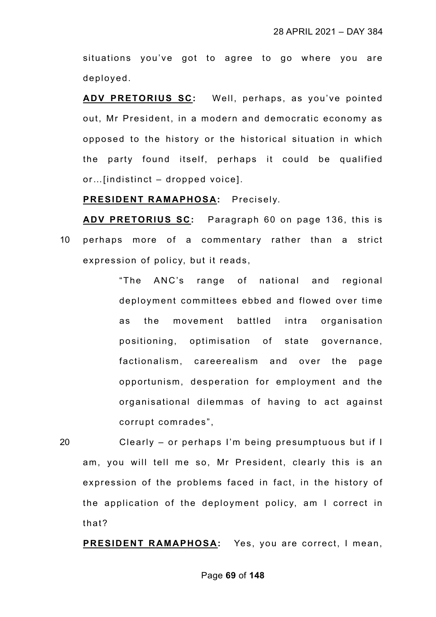situations you've got to agree to go where you are deployed.

**ADV PRETORIUS SC:** Well, perhaps, as you've pointed out, Mr President, in a modern and democratic economy as opposed to the history or the historical situation in which the party found itself, perhaps it could be qualified or…[indistinct – dropped voice].

**PRESIDENT RAMAPHOSA:** Precisely.

**ADV PRETORIUS SC:** Paragraph 60 on page 136, this is 10 perhaps more of a commentary rather than a strict expression of policy, but it reads,

> "The ANC's range of national and regional deployment committees ebbed and flowed over time as the movement battled intra organisation positioning, optimisation of state governance, factionalism, careerealism and over the page opportunism, desperation for employment and the organisational dilemmas of having to act against corrupt comrades",

20 Clearly – or perhaps I'm being presumptuous but if I am, you will tell me so, Mr President, clearly this is an expression of the problems faced in fact, in the history of the application of the deployment policy, am I correct in that?

**PRESIDENT RAMAPHOSA:** Yes, you are correct, I mean,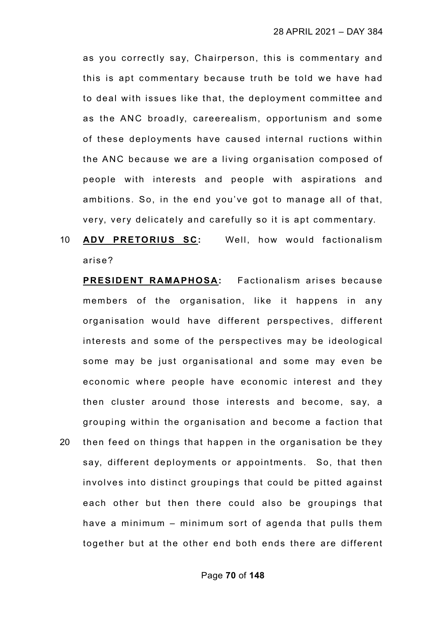as you correctly say, Chairperson, this is commentary and this is apt commentary because truth be told we have had to deal with issues like that, the deployment committee and as the ANC broadly, careerealism, opportunism and some of these deployments have caused internal ructions within the ANC because we are a living organisation composed of people with interests and people with aspirations and ambitions. So, in the end you've got to manage all of that, very, very delicately and carefully so it is apt commentary.

10 **ADV PRETORIUS SC:** Well, how would factionalism arise?

**PRESIDENT RAMAPHOSA:** Factionalism arises because members of the organisation, like it happens in any organisation would have different perspectives, different interests and some of the perspectives may be ideological some may be just organisational and some may even be economic where people have economic interest and they then cluster around those interests and become, say, a grouping within the organisation and become a faction that 20 then feed on things that happen in the organisation be they say, different deployments or appointments. So, that then

involves into distinct groupings that could be pitted against each other but then there could also be groupings that have a minimum – minimum sort of agenda that pulls them together but at the other end both ends there are different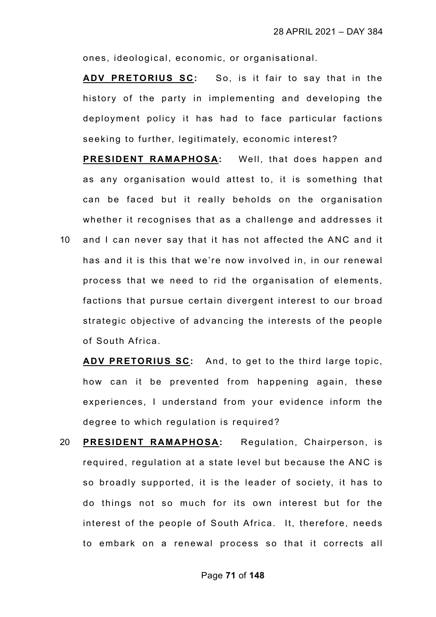ones, ideological, economic, or organisational.

**ADV PRETORIUS SC:** So, is it fair to say that in the history of the party in implementing and developing the deployment policy it has had to face particular factions seeking to further, legitimately, economic interest?

**PRESIDENT RAMAPHOSA:** Well, that does happen and as any organisation would attest to, it is something that can be faced but it really beholds on the organisation whether it recognises that as a challenge and addresses it 10 and I can never say that it has not affected the ANC and it has and it is this that we're now involved in, in our renewal

process that we need to rid the organisation of elements, factions that pursue certain divergent interest to our broad strategic objective of advancing the interests of the people of South Africa.

**ADV PRETORIUS SC:** And, to get to the third large topic, how can it be prevented from happening again, these experiences, I understand from your evidence inform the degree to which regulation is required?

20 **PRESIDENT RAMAPHOSA:** Regulation, Chairperson, is required, regulation at a state level but because the ANC is so broadly supported, it is the leader of society, it has to do things not so much for its own interest but for the interest of the people of South Africa. It, therefore, needs to embark on a renewal process so that it corrects all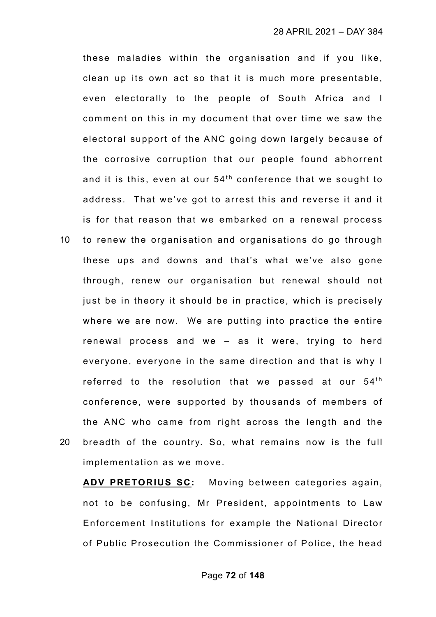these maladies within the organisation and if you like, clean up its own act so that it is much more presentable, even electorally to the people of South Africa and I comment on this in my document that over time we saw the electoral support of the ANC going down largely because of the corrosive corruption that our people found abhorrent and it is this, even at our  $54<sup>th</sup>$  conference that we sought to address. That we've got to arrest this and reverse it and it is for that reason that we embarked on a renewal process 10 to renew the organisation and organisations do go through these ups and downs and that's what we've also gone through, renew our organisation but renewal should not just be in theory it should be in practice, which is precisely where we are now. We are putting into practice the entire renewal process and we – as it were, trying to herd everyone, everyone in the same direction and that is why I

referred to the resolution that we passed at our  $54<sup>th</sup>$ conference, were supported by thousands of members of the ANC who came from right across the length and the 20 breadth of the country. So, what remains now is the full implementation as we move.

**ADV PRETORIUS SC:** Moving between categories again, not to be confusing, Mr President, appointments to Law Enforcement Institutions for example the National Director of Public Prosecution the Commissioner of Police, the head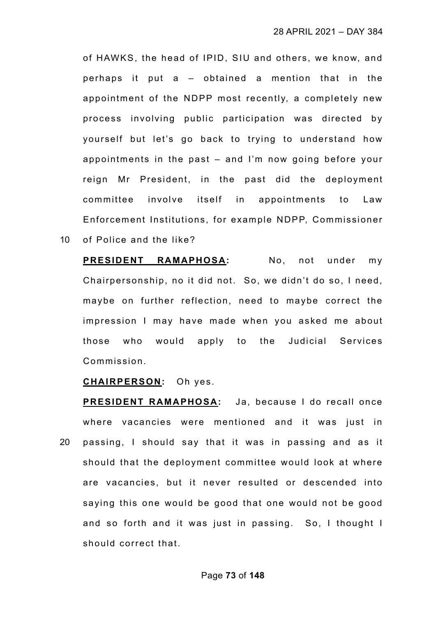of HAWKS, the head of IPID, SIU and others, we know, and perhaps it put a – obtained a mention that in the appointment of the NDPP most recently, a completely new process involving public participation was directed by yourself but let's go back to trying to understand how appointments in the past – and I'm now going before your reign Mr President, in the past did the deployment committee involve itself in appointments to Law Enforcement Institutions, for example NDPP, Commissioner 10 of Police and the like?

**PRESIDENT RAMAPHOSA:** No, not under my Chairpersonship, no it did not. So, we didn't do so, I need, maybe on further reflection, need to maybe correct the impression I may have made when you asked me about those who would apply to the Judicial Services Commission.

**CHAIRPERSON:** Oh yes.

**PRESIDENT RAMAPHOSA:** Ja, because I do recall once where vacancies were mentioned and it was just in 20 passing, I should say that it was in passing and as it should that the deployment committee would look at where are vacancies, but it never resulted or descended into saying this one would be good that one would not be good and so forth and it was just in passing. So, I thought I should correct that.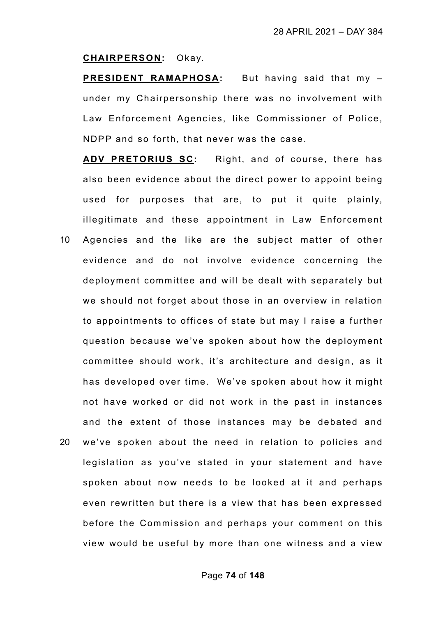#### **CHAIRPERSON:** Okay.

**PRESIDENT RAMAPHOSA:** But having said that my – under my Chairpersonship there was no involvement with Law Enforcement Agencies, like Commissioner of Police, NDPP and so forth, that never was the case.

**ADV PRETORIUS SC:** Right, and of course, there has also been evidence about the direct power to appoint being used for purposes that are, to put it quite plainly, illegitimate and these appointment in Law Enforcement

10 Agencies and the like are the subject matter of other evidence and do not involve evidence concerning the deployment committee and will be dealt with separately but we should not forget about those in an overview in relation to appointments to offices of state but may I raise a further question because we've spoken about how the deployment committee should work, it's architecture and design, as it has developed over time. We've spoken about how it might not have worked or did not work in the past in instances and the extent of those instances may be debated and 20 we've spoken about the need in relation to policies and legislation as you've stated in your statement and have spoken about now needs to be looked at it and perhaps even rewritten but there is a view that has been expressed before the Commission and perhaps your comment on this

view would be useful by more than one witness and a view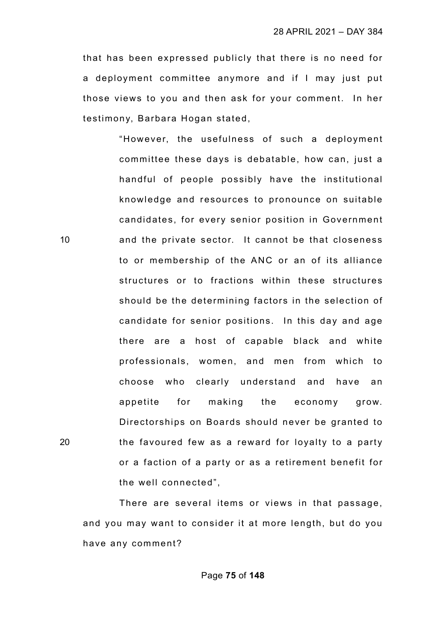that has been expressed publicly that there is no need for a deployment committee anymore and if I may just put those views to you and then ask for your comment. In her testimony, Barbara Hogan stated,

"However, the usefulness of such a deployment committee these days is debatable, how can, just a handful of people possibly have the institutional knowledge and resources to pronounce on suitable candidates, for every senior position in Government 10 and the private sector. It cannot be that closeness to or membership of the ANC or an of its alliance structures or to fractions within these structures should be the determining factors in the selection of candidate for senior positions. In this day and age there are a host of capable black and white professionals, women, and men from which to choose who clearly understand and have an appetite for making the economy grow. Directorships on Boards should never be granted to 20 the favoured few as a reward for loyalty to a party or a faction of a party or as a retirement benefit for the well connected",

There are several items or views in that passage, and you may want to consider it at more length, but do you have any comment?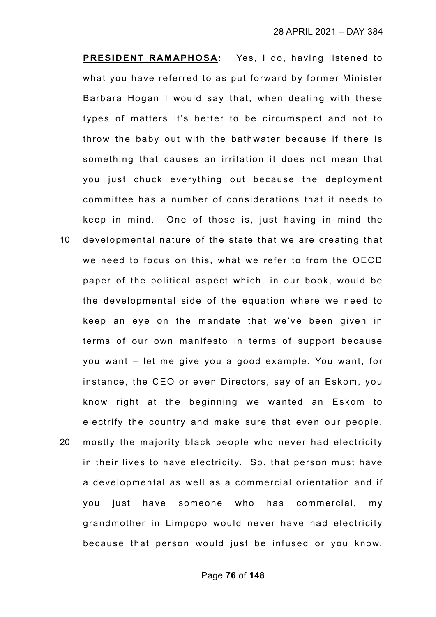**PRESIDENT RAMAPHOSA:** Yes, I do, having listened to what you have referred to as put forward by former Minister Barbara Hogan I would say that, when dealing with these types of matters it's better to be circumspect and not to throw the baby out with the bathwater because if there is something that causes an irritation it does not mean that you just chuck everything out because the deployment committee has a number of considerations that it needs to keep in mind. One of those is, just having in mind the 10 developmental nature of the state that we are creating that we need to focus on this, what we refer to from the OECD paper of the political aspect which, in our book, would be the developmental side of the equation where we need to keep an eye on the mandate that we've been given in terms of our own manifesto in terms of support because you want – let me give you a good example. You want, for instance, the CEO or even Directors, say of an Eskom, you know right at the beginning we wanted an Eskom to electrify the country and make sure that even our people, 20 mostly the majority black people who never had electricity in their lives to have electricity. So, that person must have a developmental as well as a commercial orientation and if you just have someone who has commercial, my grandmother in Limpopo would never have had electricity

because that person would just be infused or you know,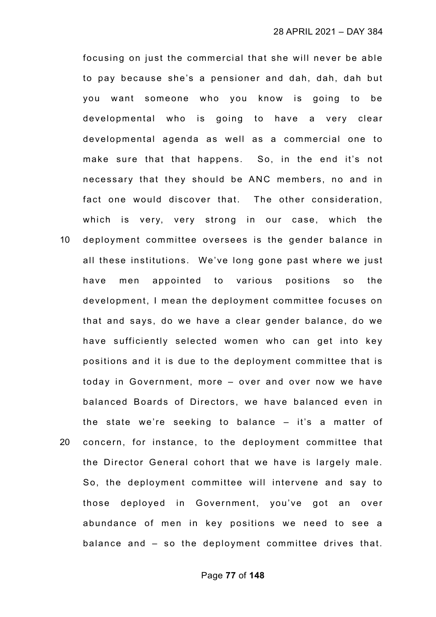focusing on just the commercial that she will never be able to pay because she's a pensioner and dah, dah, dah but you want someone who you know is going to be developmental who is going to have a very clear developmental agenda as well as a commercial one to make sure that that happens. So, in the end it's not necessary that they should be ANC members, no and in fact one would discover that. The other consideration, which is very, very strong in our case, which the

10 deployment committee oversees is the gender balance in all these institutions. We've long gone past where we just have men appointed to various positions so the development, I mean the deployment committee focuses on that and says, do we have a clear gender balance, do we have sufficiently selected women who can get into key positions and it is due to the deployment committee that is today in Government, more – over and over now we have balanced Boards of Directors, we have balanced even in the state we're seeking to balance – it's a matter of 20 concern, for instance, to the deployment committee that the Director General cohort that we have is largely male. So, the deployment committee will intervene and say to those deployed in Government, you've got an over abundance of men in key positions we need to see a balance and – so the deployment committee drives that.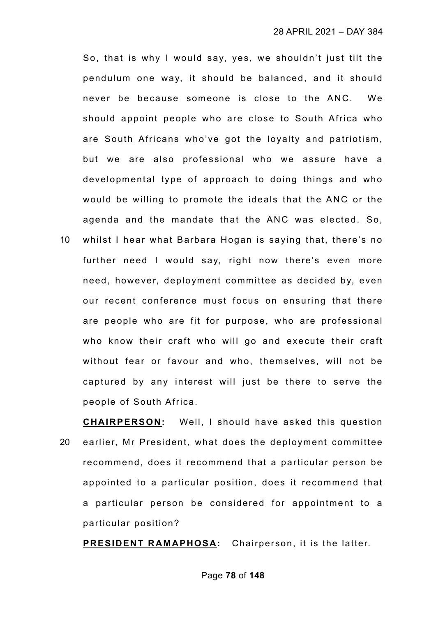So, that is why I would say, yes, we shouldn't just tilt the pendulum one way, it should be balanced, and it should never be because someone is close to the ANC. We should appoint people who are close to South Africa who are South Africans who've got the loyalty and patriotism, but we are also professional who we assure have a developmental type of approach to doing things and who would be willing to promote the ideals that the ANC or the agenda and the mandate that the ANC was elected. So,

10 whilst I hear what Barbara Hogan is saying that, there's no further need I would say, right now there's even more need, however, deployment committee as decided by, even our recent conference must focus on ensuring that there are people who are fit for purpose, who are professional who know their craft who will go and execute their craft without fear or favour and who, themselves, will not be captured by any interest will just be there to serve the people of South Africa.

**CHAIRPERSON:** Well, I should have asked this question 20 earlier, Mr President, what does the deployment committee recommend, does it recommend that a particular person be appointed to a particular position, does it recommend that a particular person be considered for appointment to a particular position?

**PRESIDENT RAMAPHOSA:** Chairperson, it is the latter.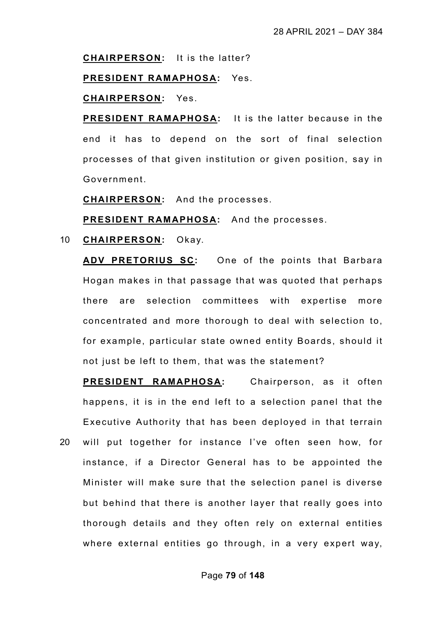**CHAIRPERSON:** It is the latter?

**PRESIDENT RAMAPHOSA:** Yes.

**CHAIRPERSON:** Yes.

**PRESIDENT RAMAPHOSA:** It is the latter because in the end it has to depend on the sort of final selection processes of that given institution or given position, say in Government.

**CHAIRPERSON:** And the processes.

**PRESIDENT RAMAPHOSA:** And the processes.

10 **CHAIRPERSON:** Okay.

**ADV PRETORIUS SC:** One of the points that Barbara Hogan makes in that passage that was quoted that perhaps there are selection committees with expertise more concentrated and more thorough to deal with selection to, for example, particular state owned entity Boards, should it not just be left to them, that was the statement?

**PRESIDENT RAMAPHOSA:** Chairperson, as it often happens, it is in the end left to a selection panel that the Executive Authority that has been deployed in that terrain 20 will put together for instance I've often seen how, for instance, if a Director General has to be appointed the Minister will make sure that the selection panel is diverse but behind that there is another layer that really goes into thorough details and they often rely on external entities where external entities go through, in a very expert way,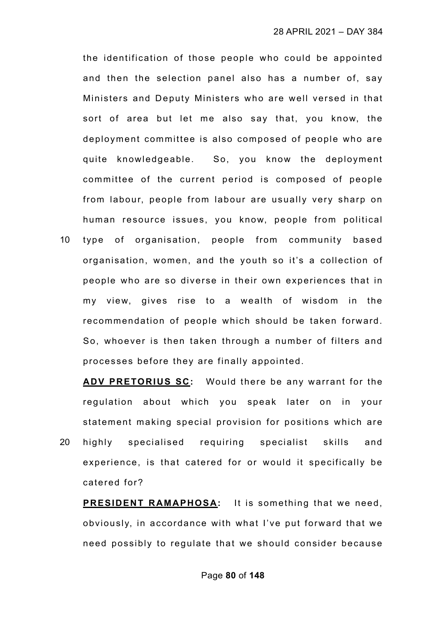the identification of those people who could be appointed and then the selection panel also has a number of, say Ministers and Deputy Ministers who are well versed in that sort of area but let me also say that, you know, the deployment committee is also composed of people who are quite knowledgeable. So, you know the deployment committee of the current period is composed of people from labour, people from labour are usually very sharp on human resource issues, you know, people from political

10 type of organisation, people from community based organisation, women, and the youth so it's a collection of people who are so diverse in their own experiences that in my view, gives rise to a wealth of wisdom in the recommendation of people which should be taken forward. So, whoever is then taken through a number of filters and processes before they are finally appointed.

**ADV PRETORIUS SC:** Would there be any warrant for the regulation about which you speak later on in your statement making special provision for positions which are 20 highly specialised requiring specialist skills and experience, is that catered for or would it specifically be catered for?

**PRESIDENT RAMAPHOSA:** It is something that we need, obviously, in accordance with what I've put forward that we need possibly to regulate that we should consider because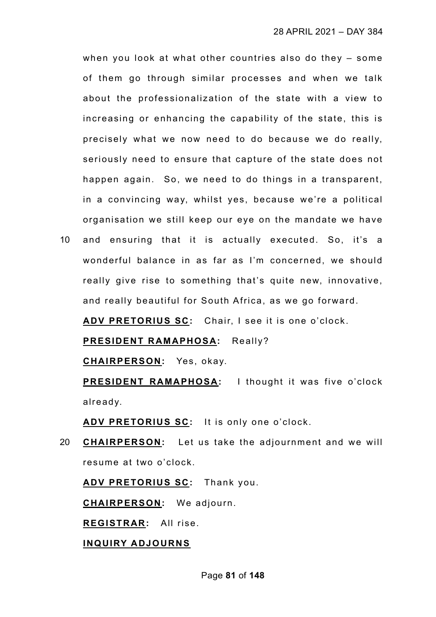when you look at what other countries also do they – some of them go through similar processes and when we talk about the professionalization of the state with a view to increasing or enhancing the capability of the state, this is precisely what we now need to do because we do really, seriously need to ensure that capture of the state does not happen again. So, we need to do things in a transparent, in a convincing way, whilst yes, because we're a political organisation we still keep our eye on the mandate we have

10 and ensuring that it is actually executed. So, it's a wonderful balance in as far as I'm concerned, we should really give rise to something that's quite new, innovative, and really beautiful for South Africa, as we go forward.

**ADV PRETORIUS SC:** Chair, I see it is one o'clock.

**PRESIDENT RAMAPHOSA:** Really?

**CHAIRPERSON:** Yes, okay.

**PRESIDENT RAMAPHOSA:** I thought it was five o'clock already.

**ADV PRETORIUS SC:** It is only one o'clock.

20 **CHAIRPERSON:** Let us take the adjournment and we will resume at two o'clock.

**ADV PRETORIUS SC:** Thank you.

**CHAIRPERSON:** We adjourn.

**REGISTRAR:** All rise.

## **INQUIRY ADJOURNS**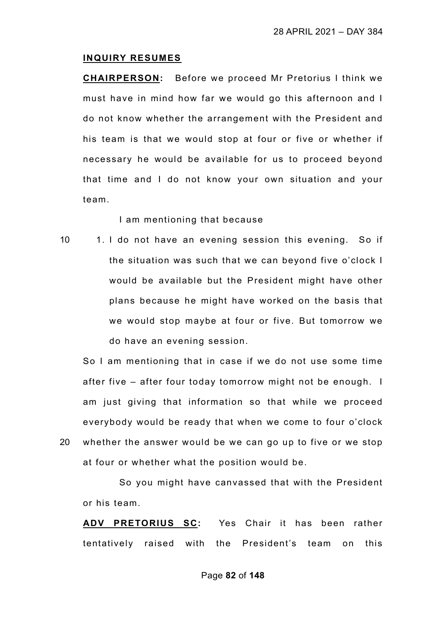#### **INQUIRY RESUMES**

**CHAIRPERSON:** Before we proceed Mr Pretorius I think we must have in mind how far we would go this afternoon and I do not know whether the arrangement with the President and his team is that we would stop at four or five or whether if necessary he would be available for us to proceed beyond that time and I do not know your own situation and your team.

I am mentioning that because

10 1. I do not have an evening session this evening. So if the situation was such that we can beyond five o'clock I would be available but the President might have other plans because he might have worked on the basis that we would stop maybe at four or five. But tomorrow we do have an evening session.

So I am mentioning that in case if we do not use some time after five – after four today tomorrow might not be enough. I am just giving that information so that while we proceed everybody would be ready that when we come to four o'clock 20 whether the answer would be we can go up to five or we stop at four or whether what the position would be.

So you might have canvassed that with the President or his team.

**ADV PRETORIUS SC:** Yes Chair it has been rather tentatively raised with the President's team on this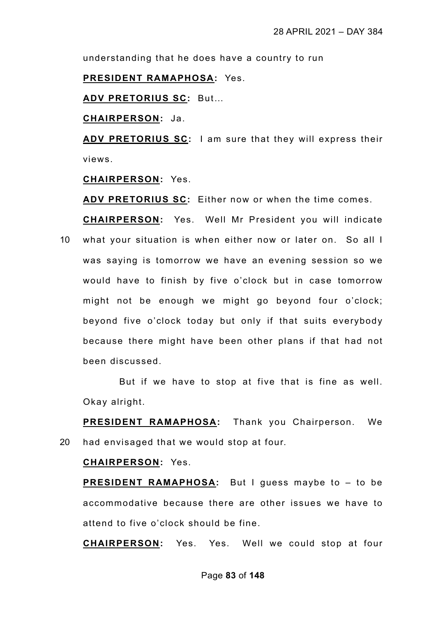understanding that he does have a country to run

**PRESIDENT RAMAPHOSA:** Yes.

**ADV PRETORIUS SC:** But…

**CHAIRPERSON:** Ja.

**ADV PRETORIUS SC:** I am sure that they will express their views.

**CHAIRPERSON:** Yes.

**ADV PRETORIUS SC:** Either now or when the time comes.

**CHAIRPERSON:** Yes. Well Mr President you will indicate 10 what your situation is when either now or later on. So all I was saying is tomorrow we have an evening session so we would have to finish by five o'clock but in case tomorrow might not be enough we might go beyond four o'clock; beyond five o'clock today but only if that suits everybody because there might have been other plans if that had not been discussed.

But if we have to stop at five that is fine as well. Okay alright.

**PRESIDENT RAMAPHOSA:** Thank you Chairperson. We 20 had envisaged that we would stop at four.

### **CHAIRPERSON:** Yes.

**PRESIDENT RAMAPHOSA:** But I guess maybe to – to be accommodative because there are other issues we have to attend to five o'clock should be fine.

**CHAIRPERSON:** Yes. Yes. Well we could stop at four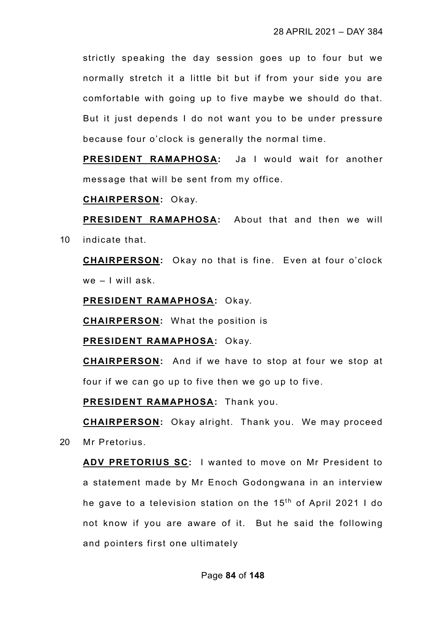strictly speaking the day session goes up to four but we normally stretch it a little bit but if from your side you are comfortable with going up to five maybe we should do that. But it just depends I do not want you to be under pressure because four o'clock is generally the normal time.

**PRESIDENT RAMAPHOSA:** Ja I would wait for another message that will be sent from my office.

**CHAIRPERSON:** Okay.

**PRESIDENT RAMAPHOSA:** About that and then we will 10 indicate that.

**CHAIRPERSON:** Okay no that is fine. Even at four o'clock we – I will ask.

**PRESIDENT RAMAPHOSA:** Okay.

**CHAIRPERSON:** What the position is

**PRESIDENT RAMAPHOSA:** Okay.

**CHAIRPERSON:** And if we have to stop at four we stop at four if we can go up to five then we go up to five.

**PRESIDENT RAMAPHOSA:** Thank you.

**CHAIRPERSON:** Okay alright. Thank you. We may proceed 20 Mr Pretorius.

**ADV PRETORIUS SC:** I wanted to move on Mr President to a statement made by Mr Enoch Godongwana in an interview he gave to a television station on the  $15<sup>th</sup>$  of April 2021 I do not know if you are aware of it. But he said the following and pointers first one ultimately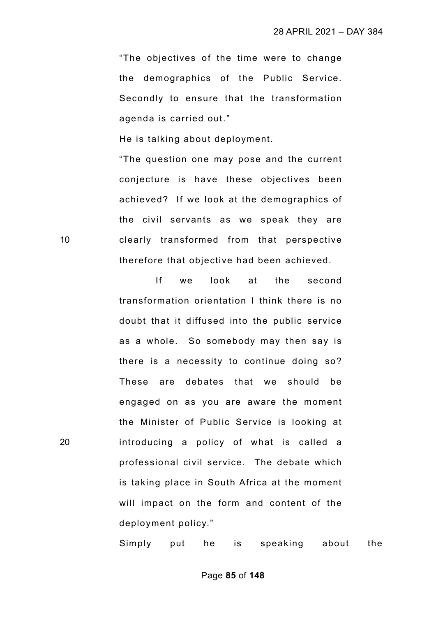"The objectives of the time were to change the demographics of the Public Service. Secondly to ensure that the transformation agenda is carried out."

He is talking about deployment.

"The question one may pose and the current conjecture is have these objectives been achieved? If we look at the demographics of the civil servants as we speak they are 10 clearly transformed from that perspective therefore that objective had been achieved.

If we look at the second transformation orientation I think there is no doubt that it diffused into the public service as a whole. So somebody may then say is there is a necessity to continue doing so? These are debates that we should be engaged on as you are aware the moment the Minister of Public Service is looking at 20 introducing a policy of what is called a professional civil service. The debate which is taking place in South Africa at the moment will impact on the form and content of the deployment policy."

Simply put he is speaking about the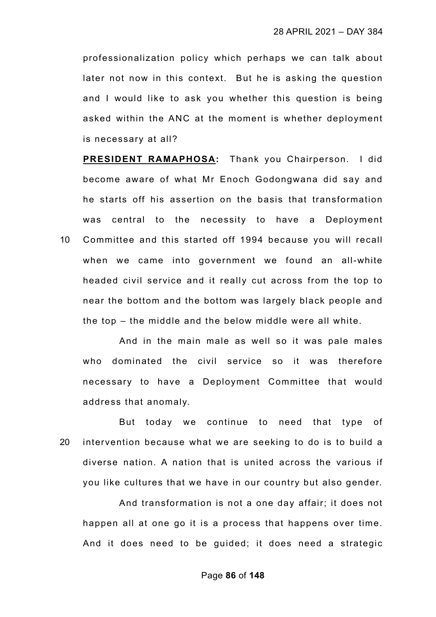professionalization policy which perhaps we can talk about later not now in this context. But he is asking the question and I would like to ask you whether this question is being asked within the ANC at the moment is whether deployment is necessary at all?

**PRESIDENT RAMAPHOSA:** Thank you Chairperson. I did become aware of what Mr Enoch Godongwana did say and he starts off his assertion on the basis that transformation was central to the necessity to have a Deployment 10 Committee and this started off 1994 because you will recall when we came into government we found an all-white headed civil service and it really cut across from the top to near the bottom and the bottom was largely black people and the top – the middle and the below middle were all white.

And in the main male as well so it was pale males who dominated the civil service so it was therefore necessary to have a Deployment Committee that would address that anomaly.

But today we continue to need that type of 20 intervention because what we are seeking to do is to build a diverse nation. A nation that is united across the various if you like cultures that we have in our country but also gender.

And transformation is not a one day affair; it does not happen all at one go it is a process that happens over time. And it does need to be guided; it does need a strategic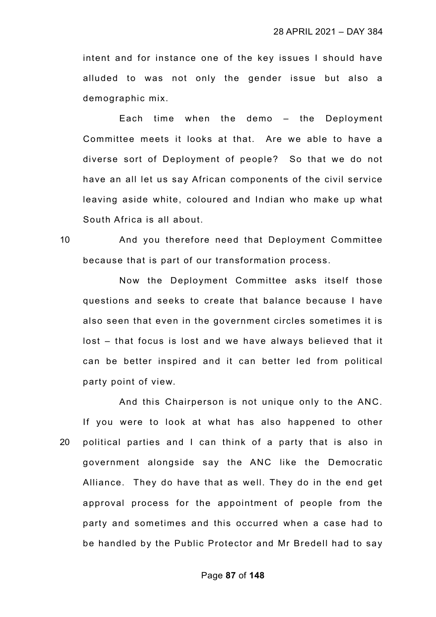intent and for instance one of the key issues I should have alluded to was not only the gender issue but also a demographic mix.

Each time when the demo – the Deployment Committee meets it looks at that. Are we able to have a diverse sort of Deployment of people? So that we do not have an all let us say African components of the civil service leaving aside white, coloured and Indian who make up what South Africa is all about.

10 And you therefore need that Deployment Committee because that is part of our transformation process.

Now the Deployment Committee asks itself those questions and seeks to create that balance because I have also seen that even in the government circles sometimes it is lost – that focus is lost and we have always believed that it can be better inspired and it can better led from political party point of view.

And this Chairperson is not unique only to the ANC. If you were to look at what has also happened to other 20 political parties and I can think of a party that is also in government alongside say the ANC like the Democratic Alliance. They do have that as well. They do in the end get approval process for the appointment of people from the party and sometimes and this occurred when a case had to be handled by the Public Protector and Mr Bredell had to say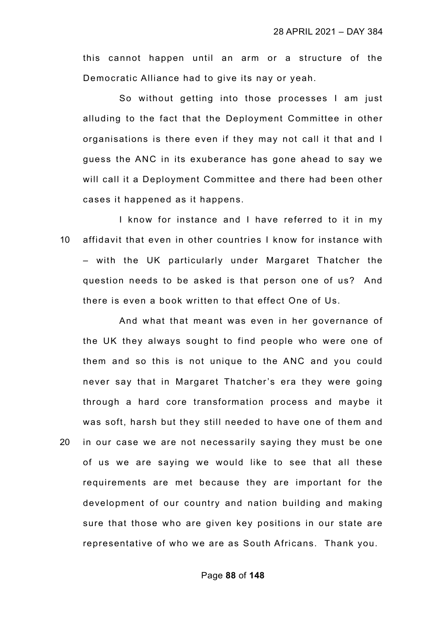this cannot happen until an arm or a structure of the Democratic Alliance had to give its nay or yeah.

So without getting into those processes I am just alluding to the fact that the Deployment Committee in other organisations is there even if they may not call it that and I guess the ANC in its exuberance has gone ahead to say we will call it a Deployment Committee and there had been other cases it happened as it happens.

I know for instance and I have referred to it in my 10 affidavit that even in other countries I know for instance with – with the UK particularly under Margaret Thatcher the question needs to be asked is that person one of us? And there is even a book written to that effect One of Us.

And what that meant was even in her governance of the UK they always sought to find people who were one of them and so this is not unique to the ANC and you could never say that in Margaret Thatcher's era they were going through a hard core transformation process and maybe it was soft, harsh but they still needed to have one of them and 20 in our case we are not necessarily saying they must be one of us we are saying we would like to see that all these requirements are met because they are important for the development of our country and nation building and making sure that those who are given key positions in our state are representative of who we are as South Africans. Thank you.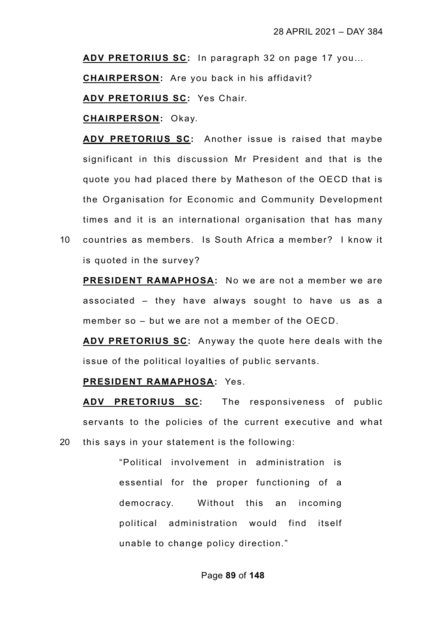**ADV PRETORIUS SC:** In paragraph 32 on page 17 you…

**CHAIRPERSON:** Are you back in his affidavit?

**ADV PRETORIUS SC:** Yes Chair.

**CHAIRPERSON:** Okay.

**ADV PRETORIUS SC:** Another issue is raised that maybe significant in this discussion Mr President and that is the quote you had placed there by Matheson of the OECD that is the Organisation for Economic and Community Development times and it is an international organisation that has many

10 countries as members. Is South Africa a member? I know it is quoted in the survey?

**PRESIDENT RAMAPHOSA:** No we are not a member we are associated – they have always sought to have us as a member so – but we are not a member of the OECD.

**ADV PRETORIUS SC:** Anyway the quote here deals with the issue of the political loyalties of public servants.

# **PRESIDENT RAMAPHOSA:** Yes.

**ADV PRETORIUS SC:** The responsiveness of public servants to the policies of the current executive and what 20 this says in your statement is the following:

> "Political involvement in administration is essential for the proper functioning of a democracy. Without this an incoming political administration would find itself unable to change policy direction."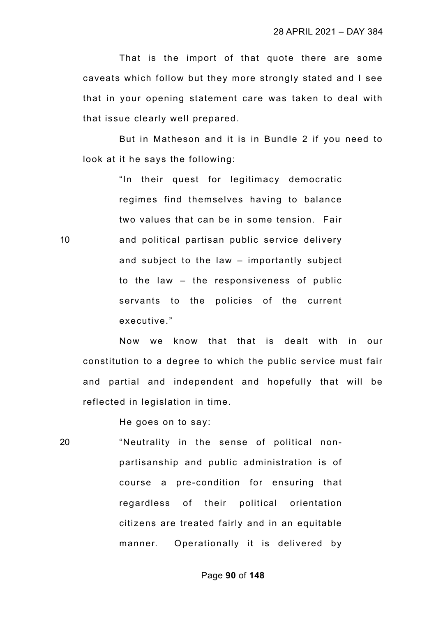That is the import of that quote there are some caveats which follow but they more strongly stated and I see that in your opening statement care was taken to deal with that issue clearly well prepared.

But in Matheson and it is in Bundle 2 if you need to look at it he says the following:

"In their quest for legitimacy democratic regimes find themselves having to balance two values that can be in some tension. Fair 10 and political partisan public service delivery and subject to the law – importantly subject to the law – the responsiveness of public servants to the policies of the current executive."

Now we know that that is dealt with in our constitution to a degree to which the public service must fair and partial and independent and hopefully that will be reflected in legislation in time.

He goes on to say:

20 "Neutrality in the sense of political nonpartisanship and public administration is of course a pre-condition for ensuring that regardless of their political orientation citizens are treated fairly and in an equitable manner. Operationally it is delivered by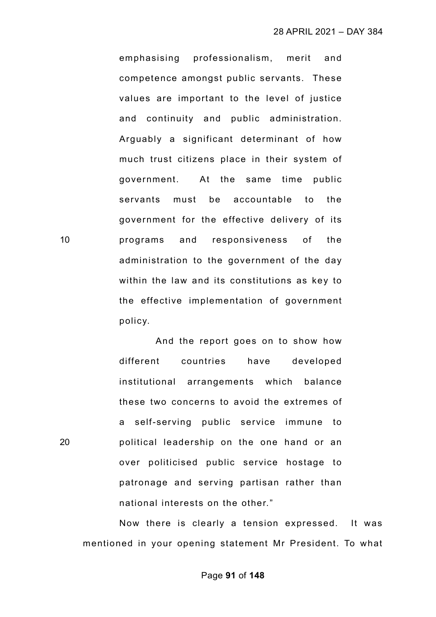emphasising professionalism, merit and competence amongst public servants. These values are important to the level of justice and continuity and public administration. Arguably a significant determinant of how much trust citizens place in their system of government. At the same time public servants must be accountable to the government for the effective delivery of its 10 programs and responsiveness of the administration to the government of the day within the law and its constitutions as key to the effective implementation of government policy.

And the report goes on to show how different countries have developed institutional arrangements which balance these two concerns to avoid the extremes of a self-serving public service immune to 20 political leadership on the one hand or an over politicised public service hostage to patronage and serving partisan rather than national interests on the other."

Now there is clearly a tension expressed. It was mentioned in your opening statement Mr President. To what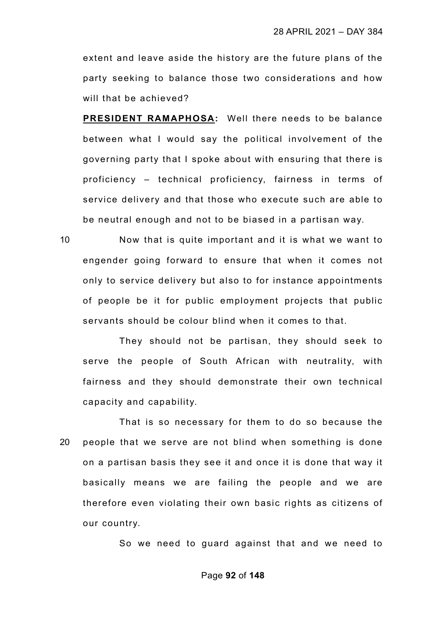extent and leave aside the history are the future plans of the party seeking to balance those two considerations and how will that be achieved?

**PRESIDENT RAMAPHOSA:** Well there needs to be balance between what I would say the political involvement of the governing party that I spoke about with ensuring that there is proficiency – technical proficiency, fairness in terms of service delivery and that those who execute such are able to be neutral enough and not to be biased in a partisan way.

10 Now that is quite important and it is what we want to engender going forward to ensure that when it comes not only to service delivery but also to for instance appointments of people be it for public employment projects that public servants should be colour blind when it comes to that.

They should not be partisan, they should seek to serve the people of South African with neutrality, with fairness and they should demonstrate their own technical capacity and capability.

That is so necessary for them to do so because the 20 people that we serve are not blind when something is done on a partisan basis they see it and once it is done that way it basically means we are failing the people and we are therefore even violating their own basic rights as citizens of our country.

So we need to guard against that and we need to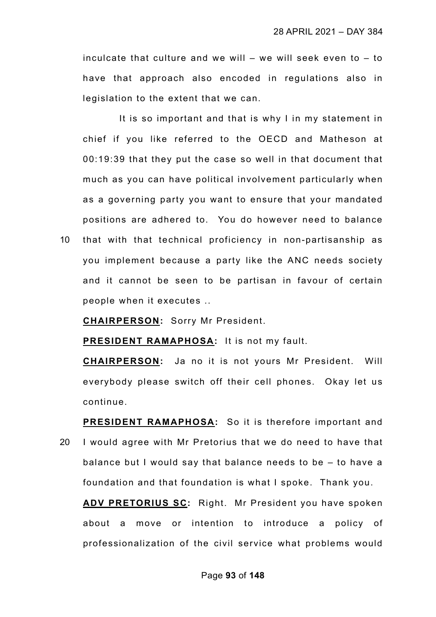inculcate that culture and we will  $-$  we will seek even to  $-$  to have that approach also encoded in regulations also in legislation to the extent that we can.

It is so important and that is why I in my statement in chief if you like referred to the OECD and Matheson at 00:19:39 that they put the case so well in that document that much as you can have political involvement particularly when as a governing party you want to ensure that your mandated positions are adhered to. You do however need to balance

10 that with that technical proficiency in non-partisanship as you implement because a party like the ANC needs society and it cannot be seen to be partisan in favour of certain people when it executes ..

**CHAIRPERSON:** Sorry Mr President.

**PRESIDENT RAMAPHOSA:** It is not my fault.

**CHAIRPERSON:** Ja no it is not yours Mr President. Will everybody please switch off their cell phones. Okay let us continue.

**PRESIDENT RAMAPHOSA:** So it is therefore important and 20 I would agree with Mr Pretorius that we do need to have that balance but I would say that balance needs to be – to have a foundation and that foundation is what I spoke. Thank you.

**ADV PRETORIUS SC:** Right. Mr President you have spoken about a move or intention to introduce a policy of professionalization of the civil service what problems would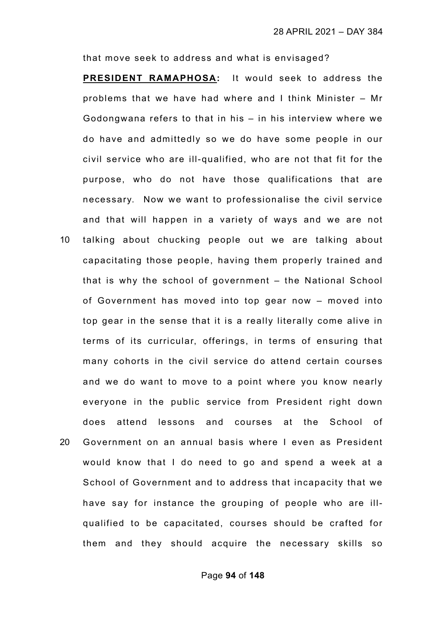that move seek to address and what is envisaged?

**PRESIDENT RAMAPHOSA:** It would seek to address the problems that we have had where and I think Minister – Mr Godongwana refers to that in his – in his interview where we do have and admittedly so we do have some people in our civil service who are ill-qualified, who are not that fit for the purpose, who do not have those qualifications that are necessary. Now we want to professionalise the civil service and that will happen in a variety of ways and we are not 10 talking about chucking people out we are talking about

capacitating those people, having them properly trained and that is why the school of government – the National School of Government has moved into top gear now – moved into top gear in the sense that it is a really literally come alive in terms of its curricular, offerings, in terms of ensuring that many cohorts in the civil service do attend certain courses and we do want to move to a point where you know nearly everyone in the public service from President right down does attend lessons and courses at the School of 20 Government on an annual basis where I even as President would know that I do need to go and spend a week at a School of Government and to address that incapacity that we have say for instance the grouping of people who are illqualified to be capacitated, courses should be crafted for

them and they should acquire the necessary skills so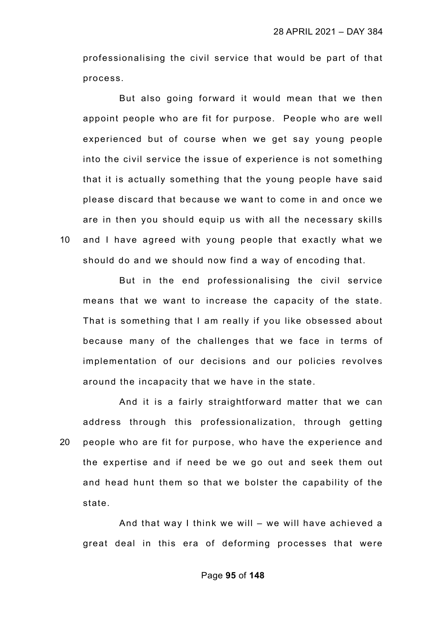professionalising the civil service that would be part of that process.

But also going forward it would mean that we then appoint people who are fit for purpose. People who are well experienced but of course when we get say young people into the civil service the issue of experience is not something that it is actually something that the young people have said please discard that because we want to come in and once we are in then you should equip us with all the necessary skills 10 and I have agreed with young people that exactly what we should do and we should now find a way of encoding that.

But in the end professionalising the civil service means that we want to increase the capacity of the state. That is something that I am really if you like obsessed about because many of the challenges that we face in terms of implementation of our decisions and our policies revolves around the incapacity that we have in the state.

And it is a fairly straightforward matter that we can address through this professionalization, through getting 20 people who are fit for purpose, who have the experience and the expertise and if need be we go out and seek them out and head hunt them so that we bolster the capability of the state.

And that way I think we will – we will have achieved a great deal in this era of deforming processes that were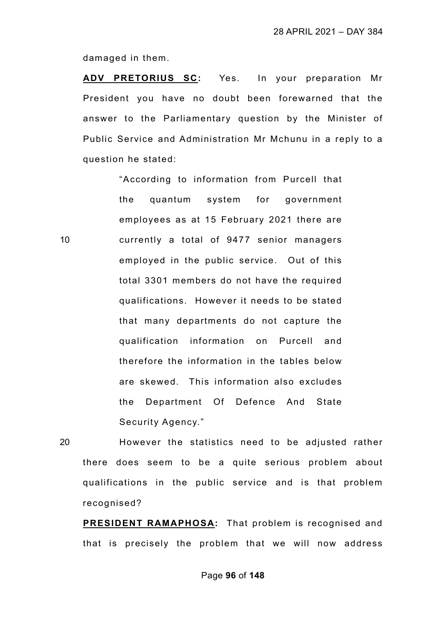damaged in them.

**ADV PRETORIUS SC:** Yes. In your preparation Mr President you have no doubt been forewarned that the answer to the Parliamentary question by the Minister of Public Service and Administration Mr Mchunu in a reply to a question he stated:

"According to information from Purcell that the quantum system for government employees as at 15 February 2021 there are 10 currently a total of 9477 senior managers employed in the public service. Out of this total 3301 members do not have the required qualifications. However it needs to be stated that many departments do not capture the qualification information on Purcell and therefore the information in the tables below are skewed. This information also excludes the Department Of Defence And State Security Agency."

20 However the statistics need to be adjusted rather there does seem to be a quite serious problem about qualifications in the public service and is that problem recognised?

**PRESIDENT RAMAPHOSA:** That problem is recognised and that is precisely the problem that we will now address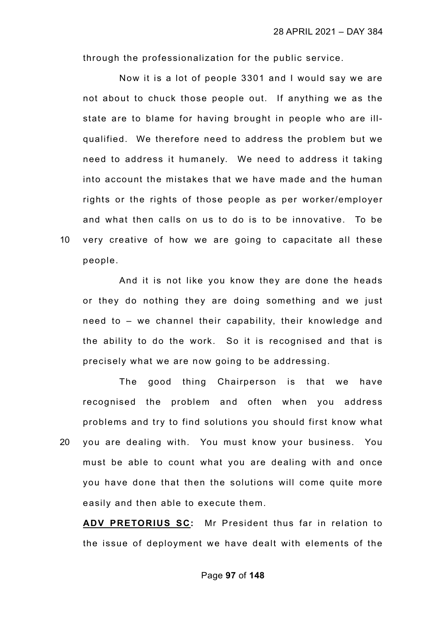through the professionalization for the public service.

Now it is a lot of people 3301 and I would say we are not about to chuck those people out. If anything we as the state are to blame for having brought in people who are illqualified. We therefore need to address the problem but we need to address it humanely. We need to address it taking into account the mistakes that we have made and the human rights or the rights of those people as per worker/employer and what then calls on us to do is to be innovative. To be 10 very creative of how we are going to capacitate all these people.

And it is not like you know they are done the heads or they do nothing they are doing something and we just need to – we channel their capability, their knowledge and the ability to do the work. So it is recognised and that is precisely what we are now going to be addressing.

The good thing Chairperson is that we have recognised the problem and often when you address problems and try to find solutions you should first know what 20 you are dealing with. You must know your business. You must be able to count what you are dealing with and once you have done that then the solutions will come quite more easily and then able to execute them.

**ADV PRETORIUS SC:** Mr President thus far in relation to the issue of deployment we have dealt with elements of the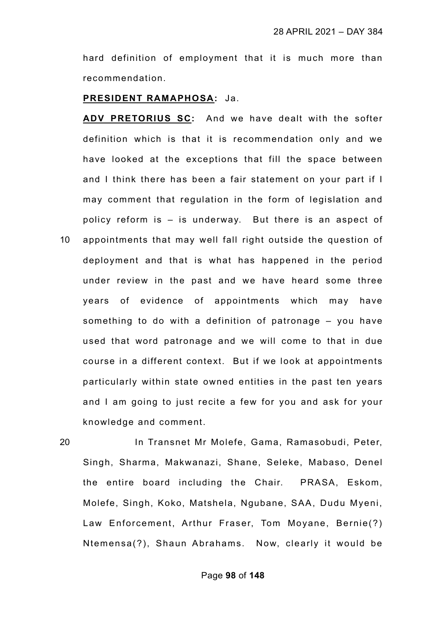hard definition of employment that it is much more than recommendation.

#### **PRESIDENT RAMAPHOSA:** Ja.

**ADV PRETORIUS SC:** And we have dealt with the softer definition which is that it is recommendation only and we have looked at the exceptions that fill the space between and I think there has been a fair statement on your part if I may comment that regulation in the form of legislation and policy reform is – is underway. But there is an aspect of 10 appointments that may well fall right outside the question of deployment and that is what has happened in the period under review in the past and we have heard some three years of evidence of appointments which may have something to do with a definition of patronage – you have used that word patronage and we will come to that in due course in a different context. But if we look at appointments particularly within state owned entities in the past ten years and I am going to just recite a few for you and ask for your knowledge and comment.

20 In Transnet Mr Molefe, Gama, Ramasobudi, Peter, Singh, Sharma, Makwanazi, Shane, Seleke, Mabaso, Denel the entire board including the Chair. PRASA, Eskom, Molefe, Singh, Koko, Matshela, Ngubane, SAA, Dudu Myeni, Law Enforcement, Arthur Fraser, Tom Moyane, Bernie(?) Ntemensa(?), Shaun Abrahams. Now, clearly it would be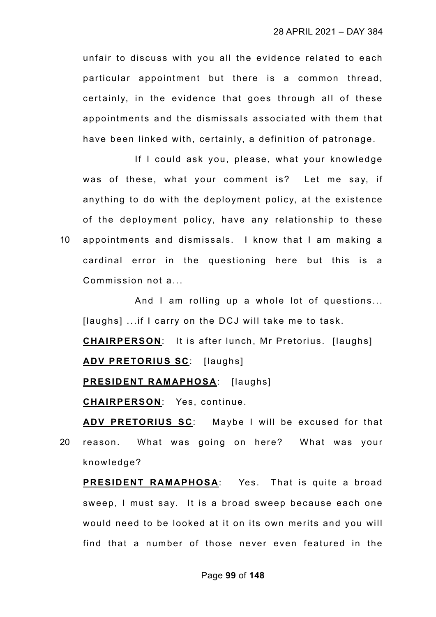unfair to discuss with you all the evidence related to each particular appointment but there is a common thread, certainly, in the evidence that goes through all of these appointments and the dismissals associated with them that have been linked with, certainly, a definition of patronage.

If I could ask you, please, what your knowledge was of these, what your comment is? Let me say, if anything to do with the deployment policy, at the existence of the deployment policy, have any relationship to these 10 appointments and dismissals. I know that I am making a cardinal error in the questioning here but this is a Commission not a...

And I am rolling up a whole lot of questions... [laughs] ...if I carry on the DCJ will take me to task.

**CHAIRPERSON**: It is after lunch, Mr Pretorius. [laughs] **ADV PRETORIUS SC**: [laughs]

**PRESIDENT RAMAPHOSA:** [laughs]

**CHAIRPERSON**: Yes, continue.

**ADV PRETORIUS SC**: Maybe I will be excused for that 20 reason. What was going on here? What was your knowledge?

**PRESIDENT RAMAPHOSA**: Yes. That is quite a broad sweep, I must say. It is a broad sweep because each one would need to be looked at it on its own merits and you will find that a number of those never even featured in the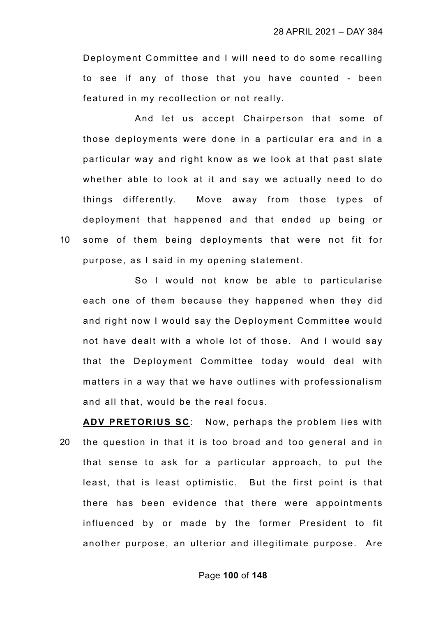Deployment Committee and I will need to do some recalling to see if any of those that you have counted - been featured in my recollection or not really.

And let us accept Chairperson that some of those deployments were done in a particular era and in a particular way and right know as we look at that past slate whether able to look at it and say we actually need to do things differently. Move away from those types of deployment that happened and that ended up being or 10 some of them being deployments that were not fit for purpose, as I said in my opening statement.

So I would not know be able to particularise each one of them because they happened when they did and right now I would say the Deployment Committee would not have dealt with a whole lot of those. And I would say that the Deployment Committee today would deal with matters in a way that we have outlines with professionalism and all that, would be the real focus.

**ADV PRETORIUS SC**: Now, perhaps the problem lies with 20 the question in that it is too broad and too general and in that sense to ask for a particular approach, to put the least, that is least optimistic. But the first point is that there has been evidence that there were appointments influenced by or made by the former President to fit another purpose, an ulterior and illegitimate purpose. Are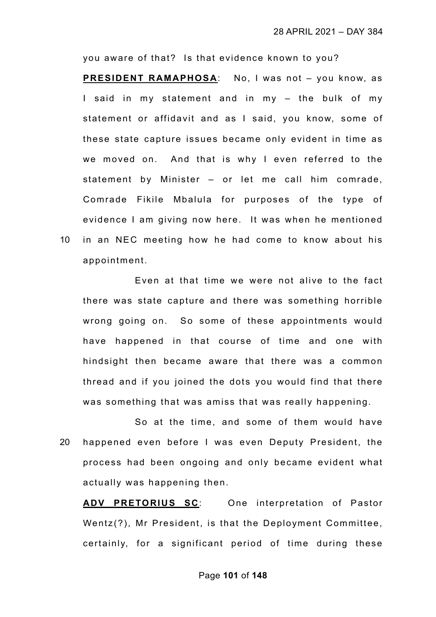you aware of that? Is that evidence known to you?

**PRESIDENT RAMAPHOSA**: No, I was not – you know, as I said in my statement and in my – the bulk of my statement or affidavit and as I said, you know, some of these state capture issues became only evident in time as we moved on. And that is why I even referred to the statement by Minister – or let me call him comrade, Comrade Fikile Mbalula for purposes of the type of evidence I am giving now here. It was when he mentioned 10 in an NEC meeting how he had come to know about his appointment.

Even at that time we were not alive to the fact there was state capture and there was something horrible wrong going on. So some of these appointments would have happened in that course of time and one with hindsight then became aware that there was a common thread and if you joined the dots you would find that there was something that was amiss that was really happening.

So at the time, and some of them would have 20 happened even before I was even Deputy President, the process had been ongoing and only became evident what actually was happening then.

**ADV PRETORIUS SC**: One interpretation of Pastor Wentz(?), Mr President, is that the Deployment Committee, certainly, for a significant period of time during these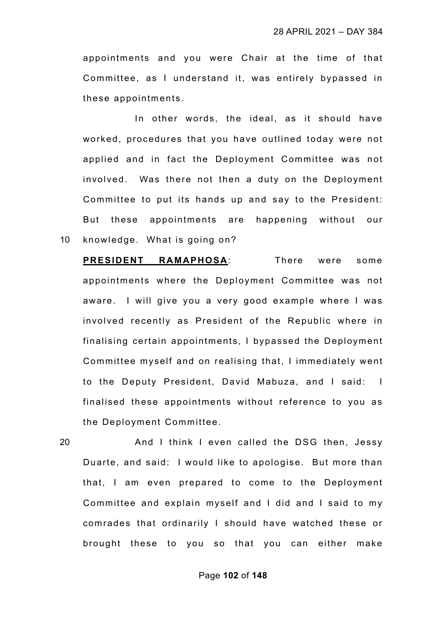appointments and you were Chair at the time of that Committee, as I understand it, was entirely bypassed in these appointments.

In other words, the ideal, as it should have worked, procedures that you have outlined today were not applied and in fact the Deployment Committee was not involved. Was there not then a duty on the Deployment Committee to put its hands up and say to the President: But these appointments are happening without our 10 knowledge. What is going on?

**PRESIDENT RAMAPHOSA**: There were some appointments where the Deployment Committee was not aware. I will give you a very good example where I was involved recently as President of the Republic where in finalising certain appointments, I bypassed the Deployment Committee myself and on realising that, I immediately went to the Deputy President, David Mabuza, and I said: I finalised these appointments without reference to you as the Deployment Committee.

20 And I think I even called the DSG then, Jessy Duarte, and said: I would like to apologise. But more than that, I am even prepared to come to the Deployment Committee and explain myself and I did and I said to my comrades that ordinarily I should have watched these or brought these to you so that you can either make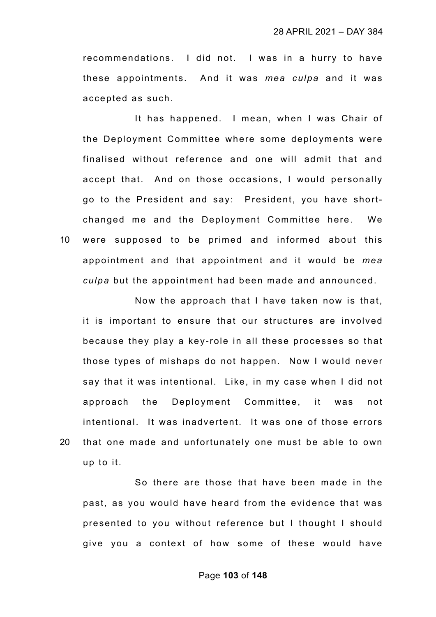recommendations. I did not. I was in a hurry to have these appointments. And it was *mea culpa* and it was accepted as such.

It has happened. I mean, when I was Chair of the Deployment Committee where some deployments were finalised without reference and one will admit that and accept that. And on those occasions, I would personally go to the President and say: President, you have shortchanged me and the Deployment Committee here. We 10 were supposed to be primed and informed about this appointment and that appointment and it would be *mea culpa* but the appointment had been made and announced.

Now the approach that I have taken now is that, it is important to ensure that our structures are involved because they play a key-role in all these processes so that those types of mishaps do not happen. Now I would never say that it was intentional. Like, in my case when I did not approach the Deployment Committee, it was not intentional. It was inadvertent. It was one of those errors 20 that one made and unfortunately one must be able to own up to it.

So there are those that have been made in the past, as you would have heard from the evidence that was presented to you without reference but I thought I should give you a context of how some of these would have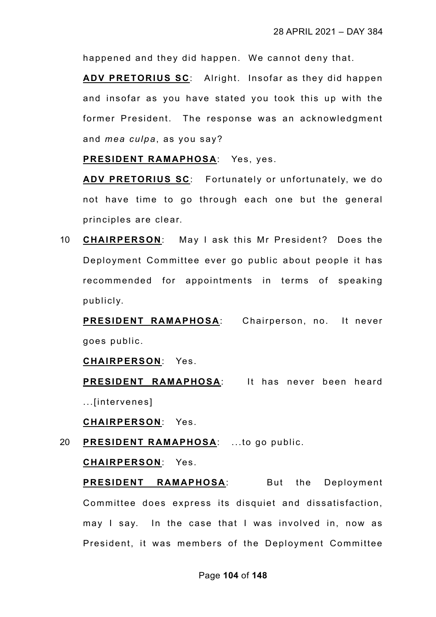happened and they did happen. We cannot deny that.

**ADV PRETORIUS SC**: Alright. Insofar as they did happen and insofar as you have stated you took this up with the former President. The response was an acknowledgment and *mea culpa*, as you say?

**PRESIDENT RAMAPHOSA**: Yes, yes.

**ADV PRETORIUS SC**: Fortunately or unfortunately, we do not have time to go through each one but the general principles are clear.

10 **CHAIRPERSON**: May I ask this Mr President? Does the Deployment Committee ever go public about people it has recommended for appointments in terms of speaking publicly.

**PRESIDENT RAMAPHOSA**: Chairperson, no. It never goes public.

**CHAIRPERSON**: Yes.

**PRESIDENT RAMAPHOSA**: It has never been heard ...[intervenes]

**CHAIRPERSON**: Yes.

20 **PRESIDENT RAMAPHOSA**: ...to go public.

**CHAIRPERSON**: Yes.

**PRESIDENT RAMAPHOSA**: But the Deployment Committee does express its disquiet and dissatisfaction, may I say. In the case that I was involved in, now as President, it was members of the Deployment Committee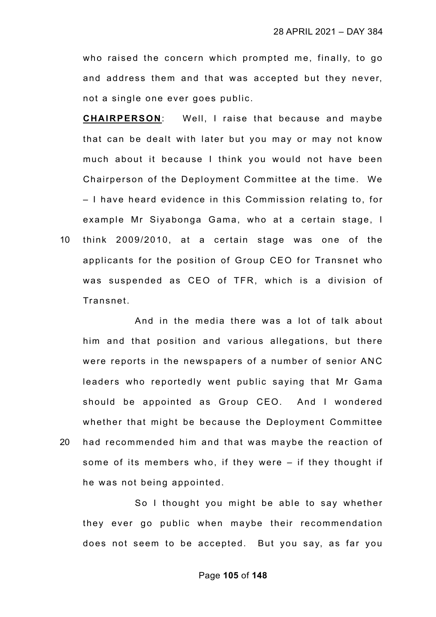who raised the concern which prompted me, finally, to go and address them and that was accepted but they never, not a single one ever goes public.

**CHAIRPERSON**: Well, I raise that because and maybe that can be dealt with later but you may or may not know much about it because I think you would not have been Chairperson of the Deployment Committee at the time. We – I have heard evidence in this Commission relating to, for example Mr Siyabonga Gama, who at a certain stage, I 10 think 2009/2010, at a certain stage was one of the applicants for the position of Group CEO for Transnet who was suspended as CEO of TFR, which is a division of Transnet.

And in the media there was a lot of talk about him and that position and various allegations, but there were reports in the newspapers of a number of senior ANC leaders who reportedly went public saying that Mr Gama should be appointed as Group CEO. And I wondered whether that might be because the Deployment Committee 20 had recommended him and that was maybe the reaction of some of its members who, if they were – if they thought if he was not being appointed.

So I thought you might be able to say whether they ever go public when maybe their recommendation does not seem to be accepted. But you say, as far you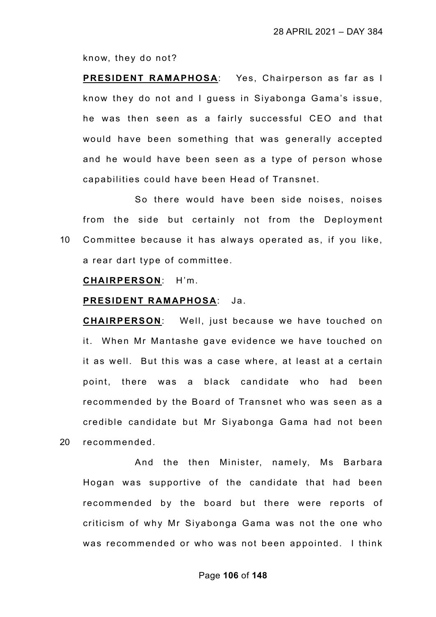know, they do not?

**PRESIDENT RAMAPHOSA**: Yes, Chairperson as far as I know they do not and I guess in Siyabonga Gama's issue, he was then seen as a fairly successful CEO and that would have been something that was generally accepted and he would have been seen as a type of person whose capabilities could have been Head of Transnet.

So there would have been side noises, noises from the side but certainly not from the Deployment 10 Committee because it has always operated as, if you like, a rear dart type of committee.

### **CHAIRPERSON**: H'm.

#### **PRESIDENT RAMAPHOSA**: Ja.

**CHAIRPERSON**: Well, just because we have touched on it. When Mr Mantashe gave evidence we have touched on it as well. But this was a case where, at least at a certain point, there was a black candidate who had been recommended by the Board of Transnet who was seen as a credible candidate but Mr Siyabonga Gama had not been 20 recommended.

And the then Minister, namely, Ms Barbara Hogan was supportive of the candidate that had been recommended by the board but there were reports of criticism of why Mr Siyabonga Gama was not the one who was recommended or who was not been appointed. I think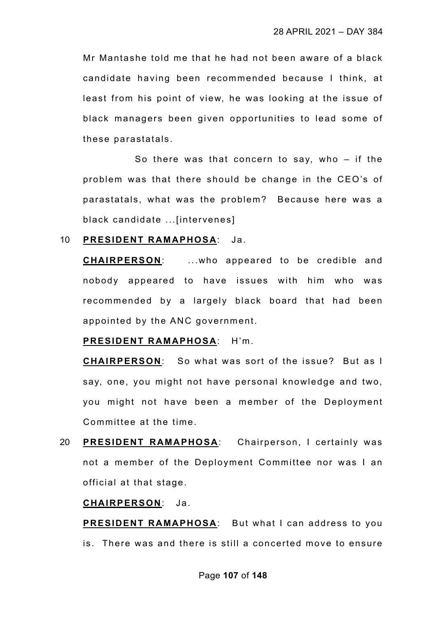Mr Mantashe told me that he had not been aware of a black candidate having been recommended because I think, at least from his point of view, he was looking at the issue of black managers been given opportunities to lead some of these parastatals.

So there was that concern to say, who – if the problem was that there should be change in the CEO's of parastatals, what was the problem? Because here was a black candidate ...[intervenes]

## 10 **PRESIDENT RAMAPHOSA**: Ja.

**CHAIRPERSON**: ...who appeared to be credible and nobody appeared to have issues with him who was recommended by a largely black board that had been appointed by the ANC government.

**PRESIDENT RAMAPHOSA**: H'm.

**CHAIRPERSON**: So what was sort of the issue? But as I say, one, you might not have personal knowledge and two, you might not have been a member of the Deployment Committee at the time.

20 **PRESIDENT RAMAPHOSA**: Chairperson, I certainly was not a member of the Deployment Committee nor was I an official at that stage.

# **CHAIRPERSON**: Ja.

**PRESIDENT RAMAPHOSA**: But what I can address to you is. There was and there is still a concerted move to ensure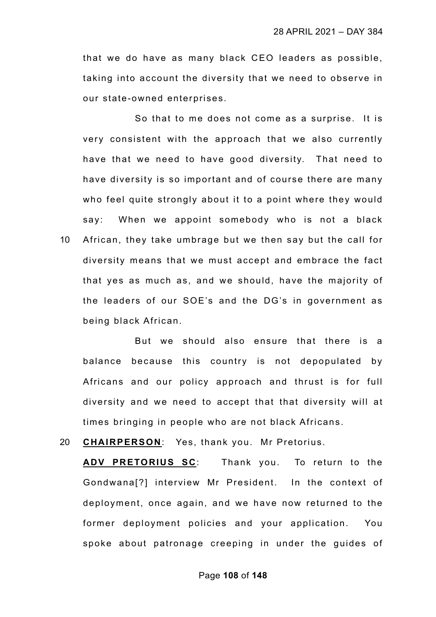that we do have as many black CEO leaders as possible, taking into account the diversity that we need to observe in our state-owned enterprises.

So that to me does not come as a surprise. It is very consistent with the approach that we also currently have that we need to have good diversity. That need to have diversity is so important and of course there are many who feel quite strongly about it to a point where they would say: When we appoint somebody who is not a black 10 African, they take umbrage but we then say but the call for diversity means that we must accept and embrace the fact that yes as much as, and we should, have the majority of the leaders of our SOE's and the DG's in government as being black African.

But we should also ensure that there is a balance because this country is not depopulated by Africans and our policy approach and thrust is for full diversity and we need to accept that that diversity will at times bringing in people who are not black Africans.

20 **CHAIRPERSON**: Yes, thank you. Mr Pretorius.

**ADV PRETORIUS SC**: Thank you. To return to the Gondwana[?] interview Mr President. In the context of deployment, once again, and we have now returned to the former deployment policies and your application. You spoke about patronage creeping in under the guides of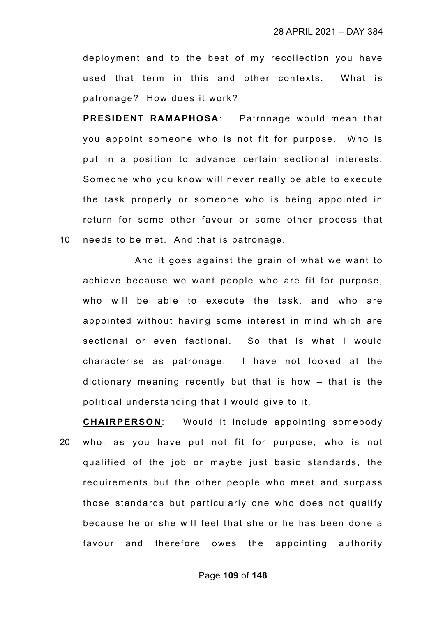deployment and to the best of my recollection you have used that term in this and other contexts. What is patronage? How does it work?

**PRESIDENT RAMAPHOSA**: Patronage would mean that you appoint someone who is not fit for purpose. Who is put in a position to advance certain sectional interests. Someone who you know will never really be able to execute the task properly or someone who is being appointed in return for some other favour or some other process that 10 needs to be met. And that is patronage.

And it goes against the grain of what we want to achieve because we want people who are fit for purpose, who will be able to execute the task, and who are appointed without having some interest in mind which are sectional or even factional. So that is what I would characterise as patronage. I have not looked at the dictionary meaning recently but that is how – that is the political understanding that I would give to it.

**CHAIRPERSON**: Would it include appointing somebody 20 who, as you have put not fit for purpose, who is not qualified of the job or maybe just basic standards, the requirements but the other people who meet and surpass those standards but particularly one who does not qualify because he or she will feel that she or he has been done a favour and therefore owes the appointing authority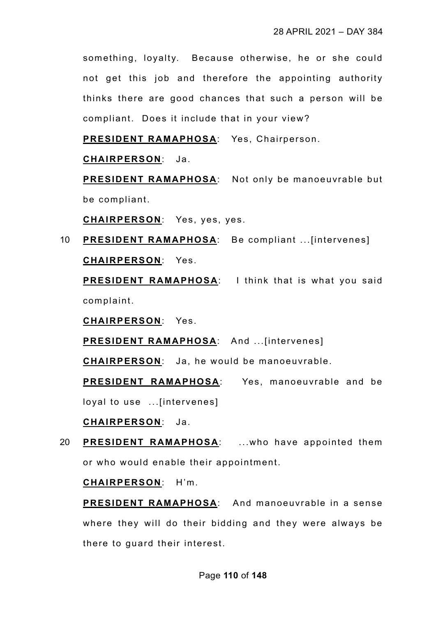something, loyalty. Because otherwise, he or she could not get this job and therefore the appointing authority thinks there are good chances that such a person will be compliant. Does it include that in your view?

**PRESIDENT RAMAPHOSA**: Yes, Chairperson.

**CHAIRPERSON**: Ja.

**PRESIDENT RAMAPHOSA**: Not only be manoeuvrable but be compliant.

**CHAIRPERSON**: Yes, yes, yes.

10 **PRESIDENT RAMAPHOSA**: Be compliant ...[intervenes] **CHAIRPERSON**: Yes.

**PRESIDENT RAMAPHOSA**: I think that is what you said complaint.

**CHAIRPERSON**: Yes.

**PRESIDENT RAMAPHOSA**: And ...[intervenes]

**CHAIRPERSON**: Ja, he would be manoeuvrable.

**PRESIDENT RAMAPHOSA**: Yes, manoeuvrable and be loyal to use ...[intervenes]

**CHAIRPERSON**: Ja.

20 **PRESIDENT RAMAPHOSA**: ...who have appointed them or who would enable their appointment.

**CHAIRPERSON**: H'm.

**PRESIDENT RAMAPHOSA**: And manoeuvrable in a sense where they will do their bidding and they were always be there to guard their interest.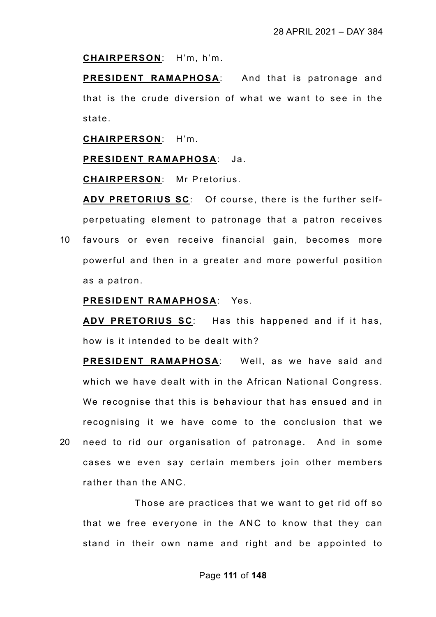#### **CHAIRPERSON**: H'm, h'm.

**PRESIDENT RAMAPHOSA**: And that is patronage and that is the crude diversion of what we want to see in the state.

**CHAIRPERSON**: H'm.

## **PRESIDENT RAMAPHOSA**: Ja.

**CHAIRPERSON**: Mr Pretorius.

**ADV PRETORIUS SC**: Of course, there is the further selfperpetuating element to patronage that a patron receives 10 favours or even receive financial gain, becomes more powerful and then in a greater and more powerful position as a patron.

# **PRESIDENT RAMAPHOSA**: Yes.

**ADV PRETORIUS SC**: Has this happened and if it has, how is it intended to be dealt with?

**PRESIDENT RAMAPHOSA**: Well, as we have said and which we have dealt with in the African National Congress. We recognise that this is behaviour that has ensued and in recognising it we have come to the conclusion that we 20 need to rid our organisation of patronage. And in some cases we even say certain members join other members rather than the ANC.

Those are practices that we want to get rid off so that we free everyone in the ANC to know that they can stand in their own name and right and be appointed to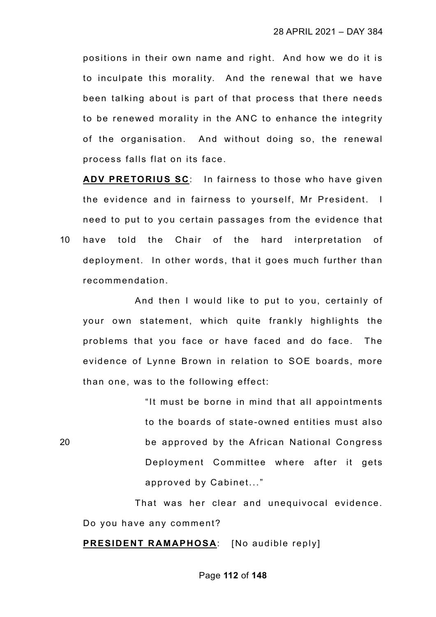positions in their own name and right. And how we do it is to inculpate this morality. And the renewal that we have been talking about is part of that process that there needs to be renewed morality in the ANC to enhance the integrity of the organisation. And without doing so, the renewal process falls flat on its face.

**ADV PRETORIUS SC**: In fairness to those who have given the evidence and in fairness to yourself, Mr President. I need to put to you certain passages from the evidence that 10 have told the Chair of the hard interpretation of deployment. In other words, that it goes much further than recommendation.

And then I would like to put to you, certainly of your own statement, which quite frankly highlights the problems that you face or have faced and do face. The evidence of Lynne Brown in relation to SOE boards, more than one, was to the following effect:

"It must be borne in mind that all appointments to the boards of state-owned entities must also 20 be approved by the African National Congress Deployment Committee where after it gets approved by Cabinet..."

That was her clear and unequivocal evidence. Do you have any comment?

# **PRESIDENT RAMAPHOSA**: [No audible reply]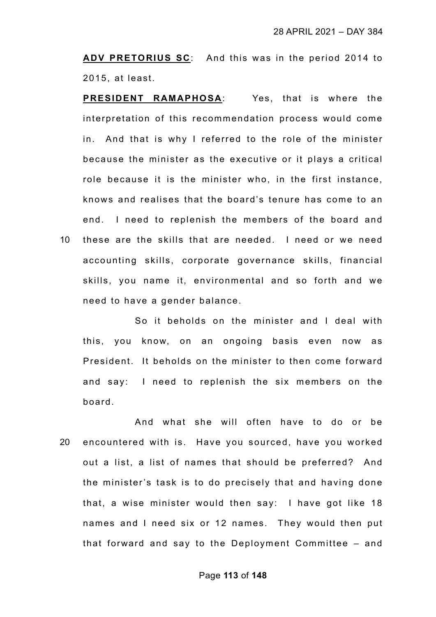**ADV PRETORIUS SC**: And this was in the period 2014 to 2015, at least.

**PRESIDENT RAMAPHOSA**: Yes, that is where the interpretation of this recommendation process would come in. And that is why I referred to the role of the minister because the minister as the executive or it plays a critical role because it is the minister who, in the first instance, knows and realises that the board's tenure has come to an end. I need to replenish the members of the board and 10 these are the skills that are needed. I need or we need accounting skills, corporate governance skills, financial skills, you name it, environmental and so forth and we

need to have a gender balance.

So it beholds on the minister and I deal with this, you know, on an ongoing basis even now as President. It beholds on the minister to then come forward and say: I need to replenish the six members on the board.

And what she will often have to do or be 20 encountered with is. Have you sourced, have you worked out a list, a list of names that should be preferred? And the minister's task is to do precisely that and having done that, a wise minister would then say: I have got like 18 names and I need six or 12 names. They would then put that forward and say to the Deployment Committee – and

## Page **113** of **148**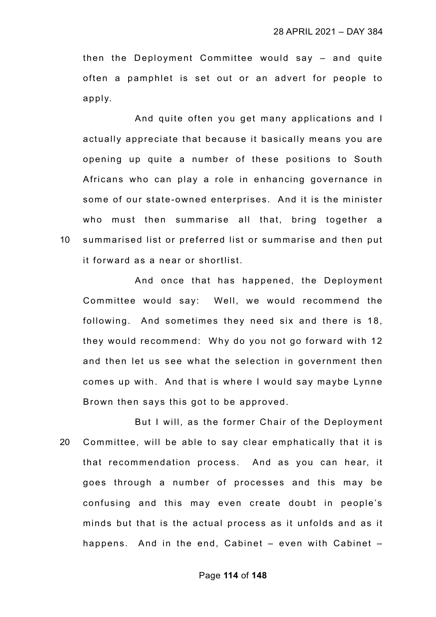then the Deployment Committee would say – and quite often a pamphlet is set out or an advert for people to apply.

And quite often you get many applications and I actually appreciate that because it basically means you are opening up quite a number of these positions to South Africans who can play a role in enhancing governance in some of our state-owned enterprises. And it is the minister who must then summarise all that, bring together a 10 summarised list or preferred list or summarise and then put it forward as a near or shortlist.

And once that has happened, the Deployment Committee would say: Well, we would recommend the following. And sometimes they need six and there is 18, they would recommend: Why do you not go forward with 12 and then let us see what the selection in government then comes up with. And that is where I would say maybe Lynne Brown then says this got to be approved.

But I will, as the former Chair of the Deployment 20 Committee, will be able to say clear emphatically that it is that recommendation process. And as you can hear, it goes through a number of processes and this may be confusing and this may even create doubt in people's minds but that is the actual process as it unfolds and as it happens. And in the end, Cabinet – even with Cabinet –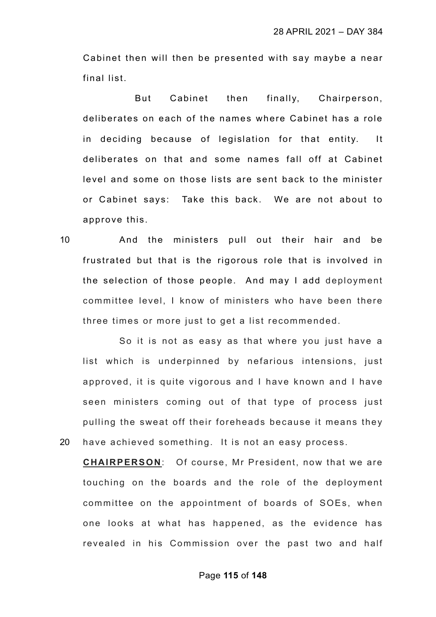Cabinet then will then be presented with say maybe a near final list.

But Cabinet then finally, Chairperson, deliberates on each of the names where Cabinet has a role in deciding because of legislation for that entity. It deliberates on that and some names fall off at Cabinet level and some on those lists are sent back to the minister or Cabinet says: Take this back. We are not about to approve this.

10 And the ministers pull out their hair and be frustrated but that is the rigorous role that is involved in the selection of those people. And may I add deployment committee level, I know of ministers who have been there three times or more just to get a list recommended.

So it is not as easy as that where you just have a list which is underpinned by nefarious intensions, just approved, it is quite vigorous and I have known and I have seen ministers coming out of that type of process just pulling the sweat off their foreheads because it means they 20 have achieved something. It is not an easy process.

**CHAIRPERSON**: Of course, Mr President, now that we are touching on the boards and the role of the deployment committee on the appointment of boards of SOEs, when one looks at what has happened, as the evidence has revealed in his Commission over the past two and half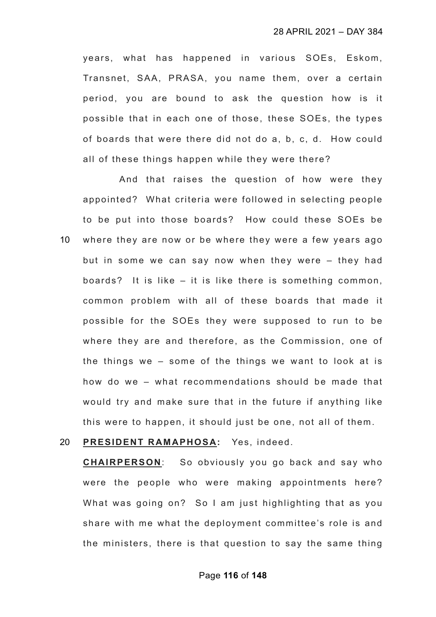years, what has happened in various SOEs, Eskom, Transnet, SAA, PRASA, you name them, over a certain period, you are bound to ask the question how is it possible that in each one of those, these SOEs, the types of boards that were there did not do a, b, c, d. How could all of these things happen while they were there?

And that raises the question of how were they appointed? What criteria were followed in selecting people to be put into those boards? How could these SOEs be 10 where they are now or be where they were a few years ago but in some we can say now when they were – they had boards? It is like – it is like there is something common, common problem with all of these boards that made it possible for the SOEs they were supposed to run to be where they are and therefore, as the Commission, one of the things we – some of the things we want to look at is how do we – what recommendations should be made that would try and make sure that in the future if anything like this were to happen, it should just be one, not all of them.

## 20 **PRESIDENT RAMAPHOSA:** Yes, indeed.

**CHAIRPERSON**: So obviously you go back and say who were the people who were making appointments here? What was going on? So I am just highlighting that as you share with me what the deployment committee's role is and the ministers, there is that question to say the same thing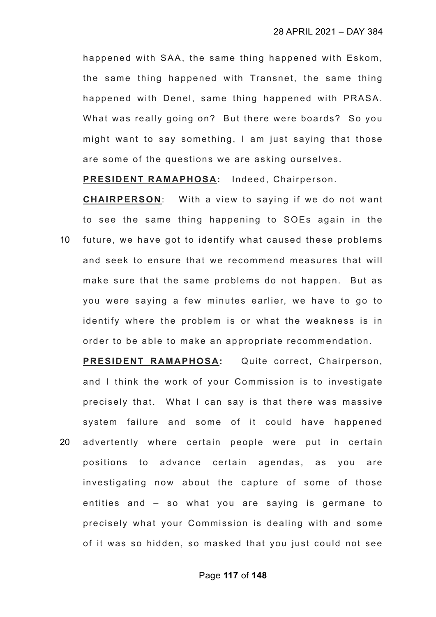happened with SAA, the same thing happened with Eskom, the same thing happened with Transnet, the same thing happened with Denel, same thing happened with PRASA. What was really going on? But there were boards? So you might want to say something, I am just saying that those are some of the questions we are asking ourselves.

**PRESIDENT RAMAPHOSA:** Indeed, Chairperson.

**CHAIRPERSON**: With a view to saying if we do not want to see the same thing happening to SOEs again in the 10 future, we have got to identify what caused these problems and seek to ensure that we recommend measures that will make sure that the same problems do not happen. But as you were saying a few minutes earlier, we have to go to identify where the problem is or what the weakness is in

order to be able to make an appropriate recommendation.

**PRESIDENT RAMAPHOSA:** Quite correct, Chairperson, and I think the work of your Commission is to investigate precisely that. What I can say is that there was massive system failure and some of it could have happened 20 advertently where certain people were put in certain positions to advance certain agendas, as you are investigating now about the capture of some of those entities and – so what you are saying is germane to precisely what your Commission is dealing with and some of it was so hidden, so masked that you just could not see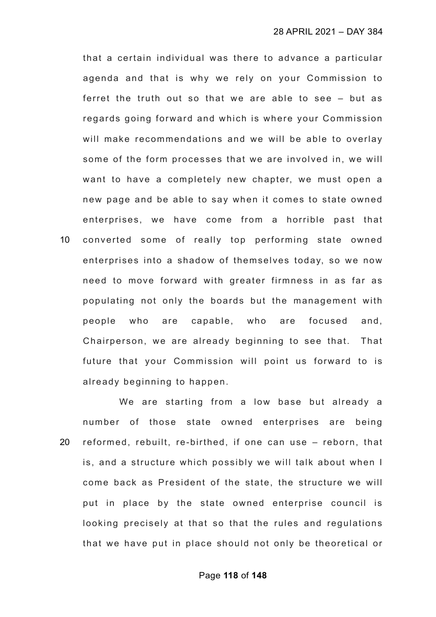that a certain individual was there to advance a particular agenda and that is why we rely on your Commission to ferret the truth out so that we are able to see – but as regards going forward and which is where your Commission will make recommendations and we will be able to overlay some of the form processes that we are involved in, we will want to have a completely new chapter, we must open a new page and be able to say when it comes to state owned enterprises, we have come from a horrible past that 10 converted some of really top performing state owned enterprises into a shadow of themselves today, so we now need to move forward with greater firmness in as far as populating not only the boards but the management with people who are capable, who are focused and, Chairperson, we are already beginning to see that. That future that your Commission will point us forward to is already beginning to happen.

We are starting from a low base but already a number of those state owned enterprises are being 20 reformed, rebuilt, re-birthed, if one can use – reborn, that is, and a structure which possibly we will talk about when I come back as President of the state, the structure we will put in place by the state owned enterprise council is looking precisely at that so that the rules and regulations that we have put in place should not only be theoretical or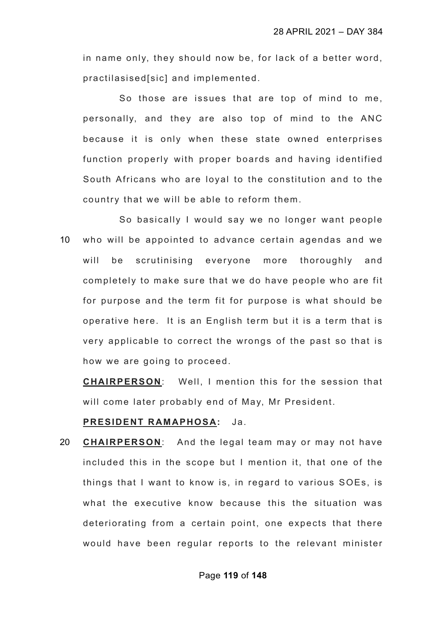in name only, they should now be, for lack of a better word, practilasised[sic] and implemented.

So those are issues that are top of mind to me, personally, and they are also top of mind to the ANC because it is only when these state owned enterprises function properly with proper boards and having identified South Africans who are loyal to the constitution and to the country that we will be able to reform them.

So basically I would say we no longer want people 10 who will be appointed to advance certain agendas and we will be scrutinising everyone more thoroughly and completely to make sure that we do have people who are fit for purpose and the term fit for purpose is what should be operative here. It is an English term but it is a term that is very applicable to correct the wrongs of the past so that is how we are going to proceed.

**CHAIRPERSON**: Well, I mention this for the session that will come later probably end of May, Mr President.

### **PRESIDENT RAMAPHOSA:** Ja.

20 **CHAIRPERSON**: And the legal team may or may not have included this in the scope but I mention it, that one of the things that I want to know is, in regard to various SOEs, is what the executive know because this the situation was deteriorating from a certain point, one expects that there would have been regular reports to the relevant minister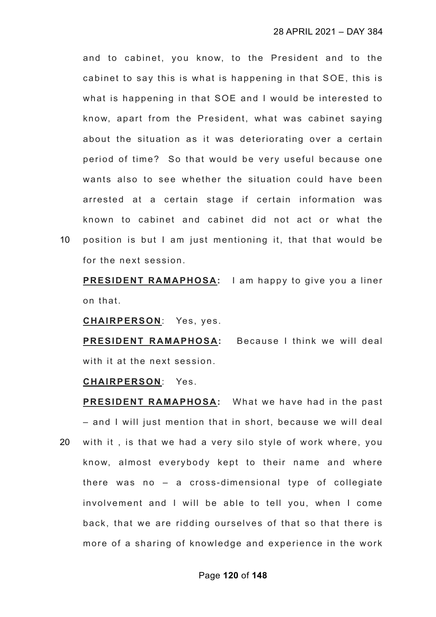and to cabinet, you know, to the President and to the cabinet to say this is what is happening in that SOE, this is what is happening in that SOE and I would be interested to know, apart from the President, what was cabinet saying about the situation as it was deteriorating over a certain period of time? So that would be very useful because one wants also to see whether the situation could have been arrested at a certain stage if certain information was known to cabinet and cabinet did not act or what the

10 position is but I am just mentioning it, that that would be for the next session.

**PRESIDENT RAMAPHOSA:** I am happy to give you a liner on that.

**CHAIRPERSON**: Yes, yes.

**PRESIDENT RAMAPHOSA:** Because I think we will deal with it at the next session.

### **CHAIRPERSON**: Yes.

**PRESIDENT RAMAPHOSA:** What we have had in the past – and I will just mention that in short, because we will deal 20 with it , is that we had a very silo style of work where, you know, almost everybody kept to their name and where there was no – a cross-dimensional type of collegiate involvement and I will be able to tell you, when I come back, that we are ridding ourselves of that so that there is more of a sharing of knowledge and experience in the work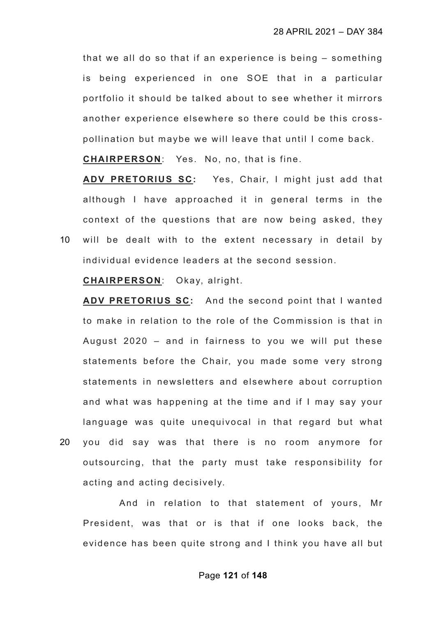that we all do so that if an experience is being – something is being experienced in one SOE that in a particular portfolio it should be talked about to see whether it mirrors another experience elsewhere so there could be this crosspollination but maybe we will leave that until I come back.

**CHAIRPERSON**: Yes. No, no, that is fine.

**ADV PRETORIUS SC:** Yes, Chair, I might just add that although I have approached it in general terms in the context of the questions that are now being asked, they 10 will be dealt with to the extent necessary in detail by

individual evidence leaders at the second session.

**CHAIRPERSON**: Okay, alright.

**ADV PRETORIUS SC:** And the second point that I wanted to make in relation to the role of the Commission is that in August 2020 – and in fairness to you we will put these statements before the Chair, you made some very strong statements in newsletters and elsewhere about corruption and what was happening at the time and if I may say your language was quite unequivocal in that regard but what 20 you did say was that there is no room anymore for outsourcing, that the party must take responsibility for acting and acting decisively.

And in relation to that statement of yours, Mr President, was that or is that if one looks back, the evidence has been quite strong and I think you have all but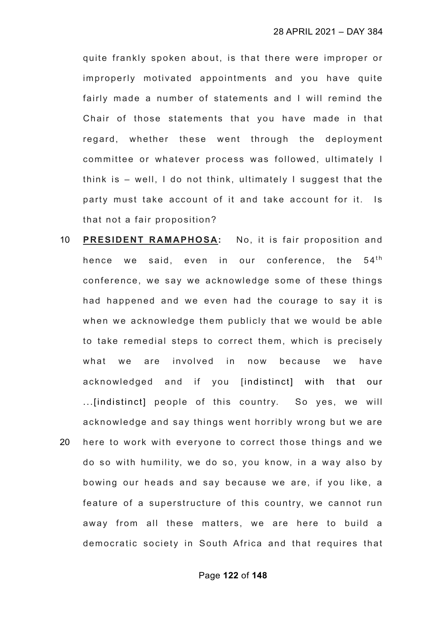quite frankly spoken about, is that there were improper or improperly motivated appointments and you have quite fairly made a number of statements and I will remind the Chair of those statements that you have made in that regard, whether these went through the deployment committee or whatever process was followed, ultimately I think is – well, I do not think, ultimately I suggest that the party must take account of it and take account for it. Is that not a fair proposition?

10 **PRESIDENT RAMAPHOSA:** No, it is fair proposition and hence we said, even in our conference, the  $54<sup>th</sup>$ conference, we say we acknowledge some of these things had happened and we even had the courage to say it is when we acknowledge them publicly that we would be able to take remedial steps to correct them, which is precisely what we are involved in now because we have acknowledged and if you [indistinct] with that our ...[indistinct] people of this country. So yes, we will acknowledge and say things went horribly wrong but we are 20 here to work with everyone to correct those things and we do so with humility, we do so, you know, in a way also by bowing our heads and say because we are, if you like, a feature of a superstructure of this country, we cannot run away from all these matters, we are here to build a democratic society in South Africa and that requires that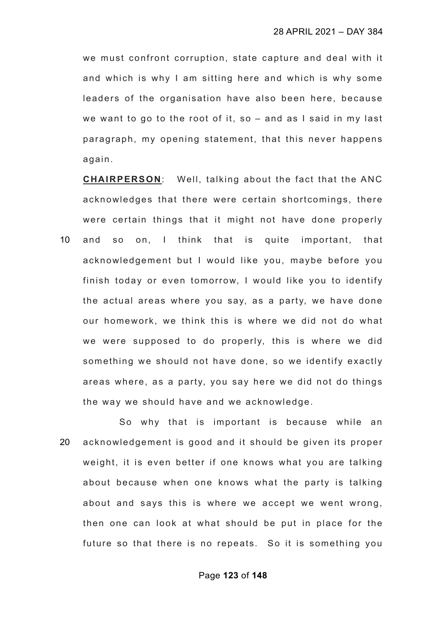we must confront corruption, state capture and deal with it and which is why I am sitting here and which is why some leaders of the organisation have also been here, because we want to go to the root of it, so – and as I said in my last paragraph, my opening statement, that this never happens again.

**CHAIRPERSON**: Well, talking about the fact that the ANC acknowledges that there were certain shortcomings, there were certain things that it might not have done properly 10 and so on, I think that is quite important, that acknowledgement but I would like you, maybe before you finish today or even tomorrow, I would like you to identify the actual areas where you say, as a party, we have done our homework, we think this is where we did not do what we were supposed to do properly, this is where we did something we should not have done, so we identify exactly areas where, as a party, you say here we did not do things the way we should have and we acknowledge.

So why that is important is because while an 20 acknowledgement is good and it should be given its proper weight, it is even better if one knows what you are talking about because when one knows what the party is talking about and says this is where we accept we went wrong, then one can look at what should be put in place for the future so that there is no repeats. So it is something you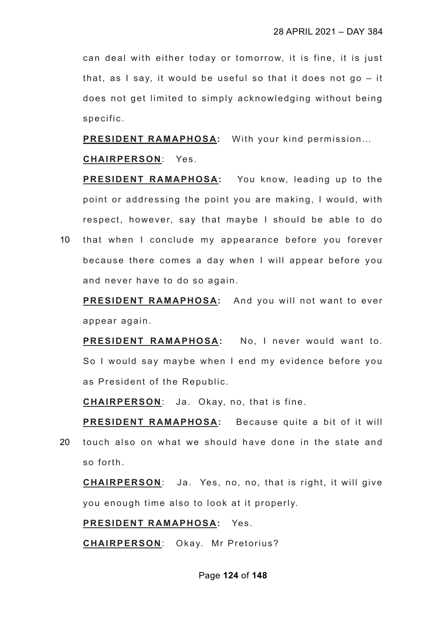can deal with either today or tomorrow, it is fine, it is just that, as I say, it would be useful so that it does not go – it does not get limited to simply acknowledging without being specific.

**PRESIDENT RAMAPHOSA:** With your kind permission…

# **CHAIRPERSON**: Yes.

**PRESIDENT RAMAPHOSA:** You know, leading up to the point or addressing the point you are making, I would, with respect, however, say that maybe I should be able to do

10 that when I conclude my appearance before you forever because there comes a day when I will appear before you and never have to do so again.

**PRESIDENT RAMAPHOSA:** And you will not want to ever appear again.

**PRESIDENT RAMAPHOSA:** No, I never would want to. So I would say maybe when I end my evidence before you as President of the Republic.

**CHAIRPERSON**: Ja. Okay, no, that is fine.

**PRESIDENT RAMAPHOSA:** Because quite a bit of it will 20 touch also on what we should have done in the state and so forth.

**CHAIRPERSON**: Ja. Yes, no, no, that is right, it will give you enough time also to look at it properly.

**PRESIDENT RAMAPHOSA:** Yes.

**CHAIRPERSON**: Okay. Mr Pretorius?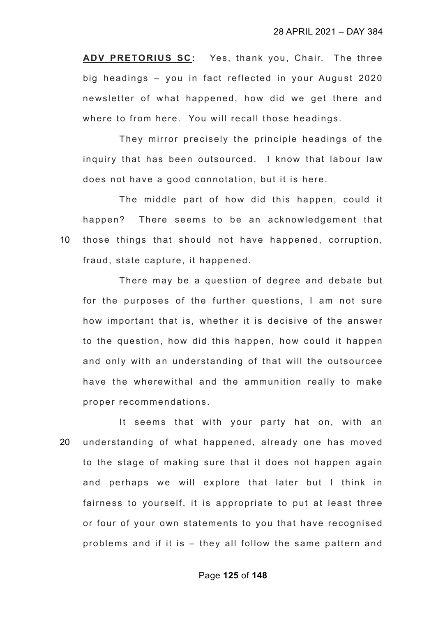**ADV PRETORIUS SC:** Yes, thank you, Chair. The three big headings – you in fact reflected in your August 2020 newsletter of what happened, how did we get there and where to from here. You will recall those headings.

They mirror precisely the principle headings of the inquiry that has been outsourced. I know that labour law does not have a good connotation, but it is here.

The middle part of how did this happen, could it happen? There seems to be an acknowledgement that 10 those things that should not have happened, corruption, fraud, state capture, it happened.

There may be a question of degree and debate but for the purposes of the further questions, I am not sure how important that is, whether it is decisive of the answer to the question, how did this happen, how could it happen and only with an understanding of that will the outsourcee have the wherewithal and the ammunition really to make proper recommendations.

It seems that with your party hat on, with an 20 understanding of what happened, already one has moved to the stage of making sure that it does not happen again and perhaps we will explore that later but I think in fairness to yourself, it is appropriate to put at least three or four of your own statements to you that have recognised problems and if it is – they all follow the same pattern and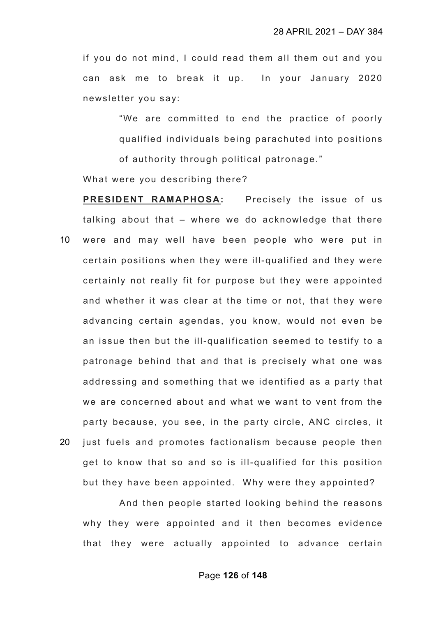if you do not mind, I could read them all them out and you can ask me to break it up. In your January 2020 newsletter you say:

"We are committed to end the practice of poorly qualified individuals being parachuted into positions of authority through political patronage."

What were you describing there?

**PRESIDENT RAMAPHOSA:** Precisely the issue of us talking about that – where we do acknowledge that there 10 were and may well have been people who were put in certain positions when they were ill-qualified and they were certainly not really fit for purpose but they were appointed and whether it was clear at the time or not, that they were advancing certain agendas, you know, would not even be an issue then but the ill-qualification seemed to testify to a patronage behind that and that is precisely what one was addressing and something that we identified as a party that we are concerned about and what we want to vent from the party because, you see, in the party circle, ANC circles, it 20 just fuels and promotes factionalism because people then get to know that so and so is ill-qualified for this position but they have been appointed. Why were they appointed?

And then people started looking behind the reasons why they were appointed and it then becomes evidence that they were actually appointed to advance certain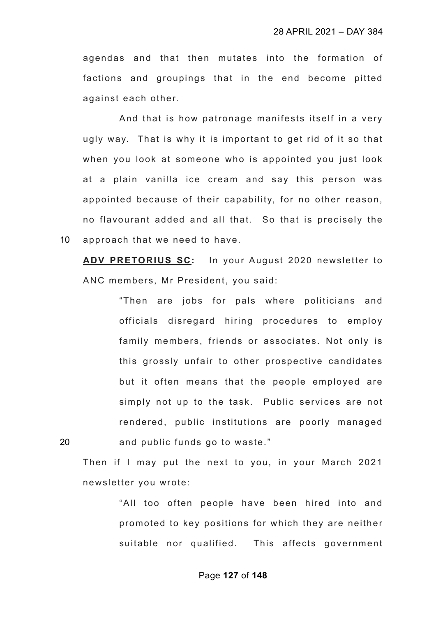agendas and that then mutates into the formation of factions and groupings that in the end become pitted against each other.

And that is how patronage manifests itself in a very ugly way. That is why it is important to get rid of it so that when you look at someone who is appointed you just look at a plain vanilla ice cream and say this person was appointed because of their capability, for no other reason, no flavourant added and all that. So that is precisely the 10 approach that we need to have.

**ADV PRETORIUS SC:** In your August 2020 newsletter to ANC members, Mr President, you said:

"Then are jobs for pals where politicians and officials disregard hiring procedures to employ family members, friends or associates. Not only is this grossly unfair to other prospective candidates but it often means that the people employed are simply not up to the task. Public services are not rendered, public institutions are poorly managed 20 and public funds go to waste."

Then if I may put the next to you, in your March 2021 newsletter you wrote:

> "All too often people have been hired into and promoted to key positions for which they are neither suitable nor qualified. This affects government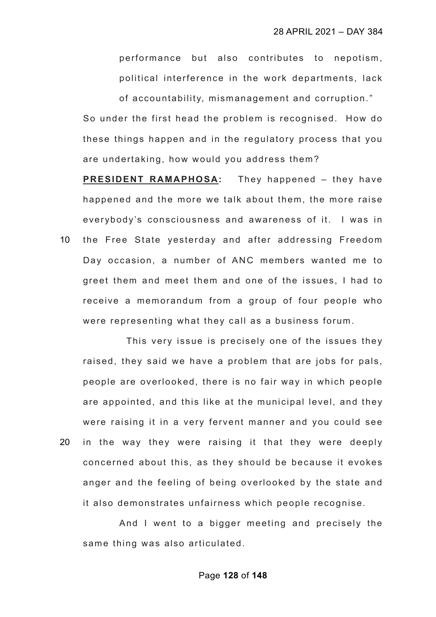performance but also contributes to nepotism, political interference in the work departments, lack

of accountability, mismanagement and corruption."

So under the first head the problem is recognised. How do these things happen and in the regulatory process that you are undertaking, how would you address them?

**PRESIDENT RAMAPHOSA:** They happened – they have happened and the more we talk about them, the more raise everybody's consciousness and awareness of it. I was in 10 the Free State yesterday and after addressing Freedom Day occasion, a number of ANC members wanted me to greet them and meet them and one of the issues, I had to receive a memorandum from a group of four people who were representing what they call as a business forum.

 This very issue is precisely one of the issues they raised, they said we have a problem that are jobs for pals, people are overlooked, there is no fair way in which people are appointed, and this like at the municipal level, and they were raising it in a very fervent manner and you could see 20 in the way they were raising it that they were deeply concerned about this, as they should be because it evokes anger and the feeling of being overlooked by the state and it also demonstrates unfairness which people recognise.

And I went to a bigger meeting and precisely the same thing was also articulated.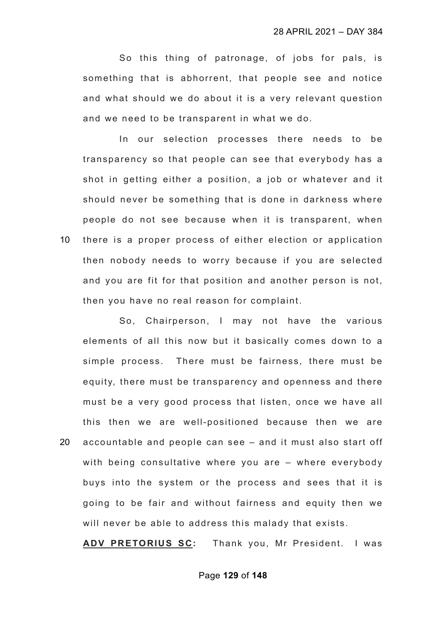So this thing of patronage, of jobs for pals, is something that is abhorrent, that people see and notice and what should we do about it is a very relevant question and we need to be transparent in what we do.

In our selection processes there needs to be transparency so that people can see that everybody has a shot in getting either a position, a job or whatever and it should never be something that is done in darkness where people do not see because when it is transparent, when 10 there is a proper process of either election or application then nobody needs to worry because if you are selected

and you are fit for that position and another person is not, then you have no real reason for complaint.

So, Chairperson, I may not have the various elements of all this now but it basically comes down to a simple process. There must be fairness, there must be equity, there must be transparency and openness and there must be a very good process that listen, once we have all this then we are well-positioned because then we are 20 accountable and people can see – and it must also start off with being consultative where you are – where everybody buys into the system or the process and sees that it is going to be fair and without fairness and equity then we will never be able to address this malady that exists.

**ADV PRETORIUS SC:** Thank you, Mr President. I was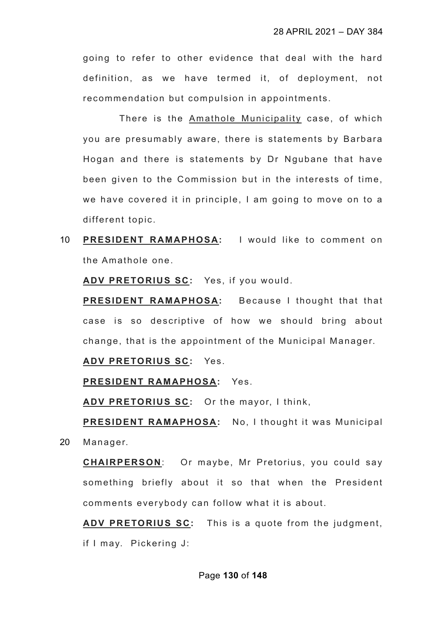going to refer to other evidence that deal with the hard definition, as we have termed it, of deployment, not recommendation but compulsion in appointments.

There is the Amathole Municipality case, of which you are presumably aware, there is statements by Barbara Hogan and there is statements by Dr Ngubane that have been given to the Commission but in the interests of time, we have covered it in principle, I am going to move on to a different topic.

10 **PRESIDENT RAMAPHOSA:** I would like to comment on the Amathole one.

**ADV PRETORIUS SC:** Yes, if you would.

**PRESIDENT RAMAPHOSA:** Because I thought that that case is so descriptive of how we should bring about change, that is the appointment of the Municipal Manager.

**ADV PRETORIUS SC:** Yes.

**PRESIDENT RAMAPHOSA:** Yes.

**ADV PRETORIUS SC:** Or the mayor, I think,

**PRESIDENT RAMAPHOSA:** No, I thought it was Municipal 20 Manager.

**CHAIRPERSON**: Or maybe, Mr Pretorius, you could say something briefly about it so that when the President comments everybody can follow what it is about.

**ADV PRETORIUS SC:** This is a quote from the judgment, if I may. Pickering J: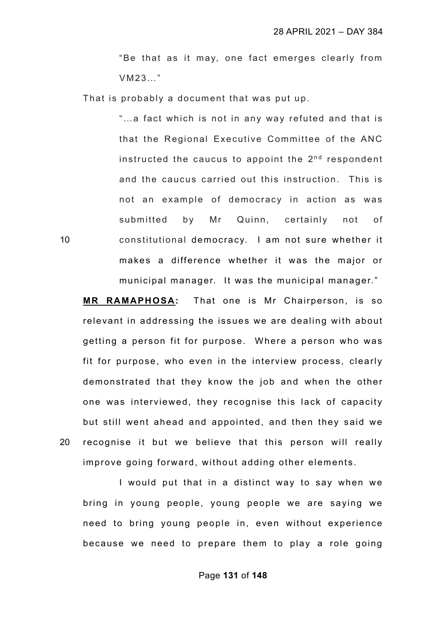"Be that as it may, one fact emerges clearly from VM23…"

That is probably a document that was put up.

"…a fact which is not in any way refuted and that is that the Regional Executive Committee of the ANC instructed the caucus to appoint the  $2<sup>nd</sup>$  respondent and the caucus carried out this instruction. This is not an example of democracy in action as was submitted by Mr Quinn, certainly not of 10 constitutional democracy. I am not sure whether it makes a difference whether it was the major or municipal manager. It was the municipal manager."

**MR RAMAPHOSA:** That one is Mr Chairperson, is so relevant in addressing the issues we are dealing with about getting a person fit for purpose. Where a person who was fit for purpose, who even in the interview process, clearly demonstrated that they know the job and when the other one was interviewed, they recognise this lack of capacity but still went ahead and appointed, and then they said we 20 recognise it but we believe that this person will really improve going forward, without adding other elements.

I would put that in a distinct way to say when we bring in young people, young people we are saying we need to bring young people in, even without experience because we need to prepare them to play a role going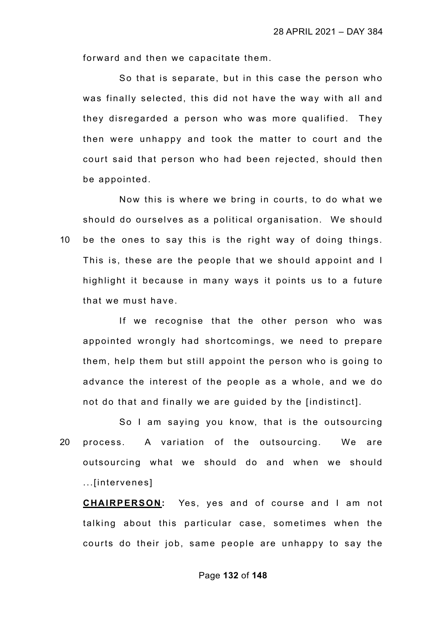forward and then we capacitate them.

So that is separate, but in this case the person who was finally selected, this did not have the way with all and they disregarded a person who was more qualified. They then were unhappy and took the matter to court and the court said that person who had been rejected, should then be appointed.

Now this is where we bring in courts, to do what we should do ourselves as a political organisation. We should 10 be the ones to say this is the right way of doing things. This is, these are the people that we should appoint and I highlight it because in many ways it points us to a future that we must have.

If we recognise that the other person who was appointed wrongly had shortcomings, we need to prepare them, help them but still appoint the person who is going to advance the interest of the people as a whole, and we do not do that and finally we are guided by the [indistinct].

So I am saying you know, that is the outsourcing 20 process. A variation of the outsourcing. We are outsourcing what we should do and when we should ...[intervenes]

**CHAIRPERSON:** Yes, yes and of course and I am not talking about this particular case, sometimes when the courts do their job, same people are unhappy to say the

#### Page **132** of **148**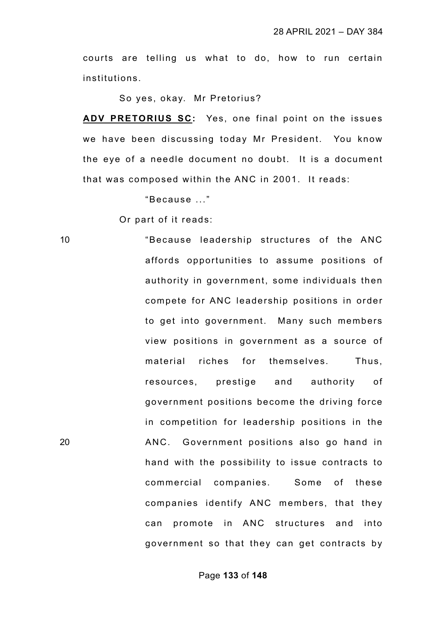courts are telling us what to do, how to run certain institutions.

So yes, okay. Mr Pretorius?

**ADV PRETORIUS SC:** Yes, one final point on the issues we have been discussing today Mr President. You know the eye of a needle document no doubt. It is a document that was composed within the ANC in 2001. It reads:

"Because ..."

Or part of it reads:

10 "Because leadership structures of the ANC affords opportunities to assume positions of authority in government, some individuals then compete for ANC leadership positions in order to get into government. Many such members view positions in government as a source of material riches for themselves. Thus, resources, prestige and authority of government positions become the driving force in competition for leadership positions in the 20 ANC. Government positions also go hand in hand with the possibility to issue contracts to commercial companies. Some of these companies identify ANC members, that they can promote in ANC structures and into government so that they can get contracts by

Page **133** of **148**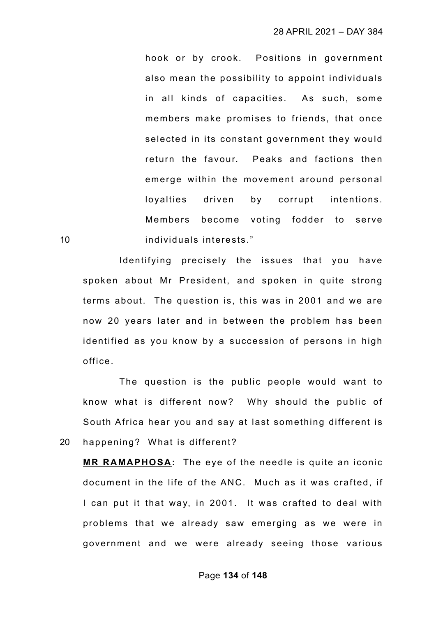hook or by crook. Positions in government also mean the possibility to appoint individuals in all kinds of capacities. As such, some members make promises to friends, that once selected in its constant government they would return the favour. Peaks and factions then emerge within the movement around personal loyalties driven by corrupt intentions. Members become voting fodder to serve 10 individuals interests."

Identifying precisely the issues that you have spoken about Mr President, and spoken in quite strong terms about. The question is, this was in 2001 and we are now 20 years later and in between the problem has been identified as you know by a succession of persons in high office.

The question is the public people would want to know what is different now? Why should the public of South Africa hear you and say at last something different is 20 happening? What is different?

**MR RAMAPHOSA:** The eye of the needle is quite an iconic document in the life of the ANC. Much as it was crafted, if I can put it that way, in 2001. It was crafted to deal with problems that we already saw emerging as we were in government and we were already seeing those various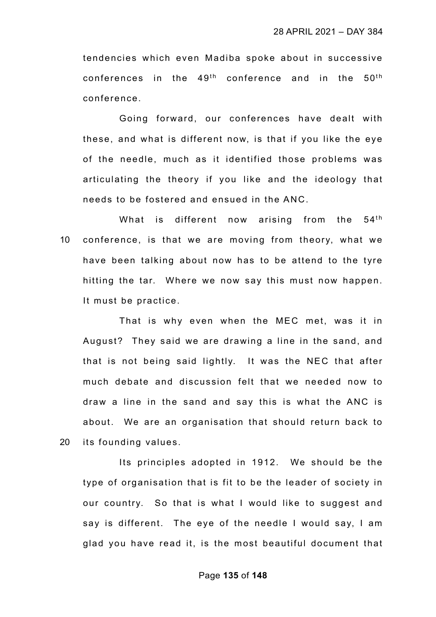tendencies which even Madiba spoke about in successive conferences in the  $49<sup>th</sup>$  conference and in the  $50<sup>th</sup>$ conference.

Going forward, our conferences have dealt with these, and what is different now, is that if you like the eye of the needle, much as it identified those problems was articulating the theory if you like and the ideology that needs to be fostered and ensued in the ANC.

What is different now arising from the  $54<sup>th</sup>$ 10 conference, is that we are moving from theory, what we have been talking about now has to be attend to the tyre hitting the tar. Where we now say this must now happen. It must be practice.

That is why even when the MEC met, was it in August? They said we are drawing a line in the sand, and that is not being said lightly. It was the NEC that after much debate and discussion felt that we needed now to draw a line in the sand and say this is what the ANC is about. We are an organisation that should return back to 20 its founding values.

Its principles adopted in 1912. We should be the type of organisation that is fit to be the leader of society in our country. So that is what I would like to suggest and say is different. The eye of the needle I would say, I am glad you have read it, is the most beautiful document that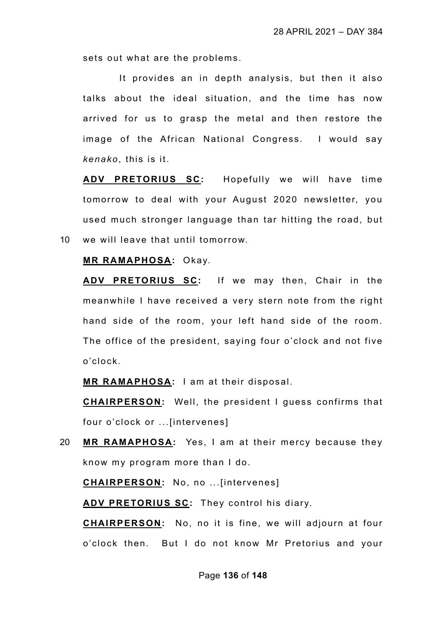sets out what are the problems.

It provides an in depth analysis, but then it also talks about the ideal situation, and the time has now arrived for us to grasp the metal and then restore the image of the African National Congress. I would say *kenako*, this is it.

**ADV PRETORIUS SC:** Hopefully we will have time tomorrow to deal with your August 2020 newsletter, you used much stronger language than tar hitting the road, but 10 we will leave that until tomorrow.

#### **MR RAMAPHOSA:** Okay.

**ADV PRETORIUS SC:** If we may then, Chair in the meanwhile I have received a very stern note from the right hand side of the room, your left hand side of the room. The office of the president, saying four o'clock and not five o'clock.

**MR RAMAPHOSA:** I am at their disposal.

**CHAIRPERSON:** Well, the president I guess confirms that four o'clock or ...[intervenes]

20 **MR RAMAPHOSA:** Yes, I am at their mercy because they know my program more than I do.

**CHAIRPERSON:** No, no ...[intervenes]

**ADV PRETORIUS SC:** They control his diary.

**CHAIRPERSON:** No, no it is fine, we will adjourn at four o'clock then. But I do not know Mr Pretorius and your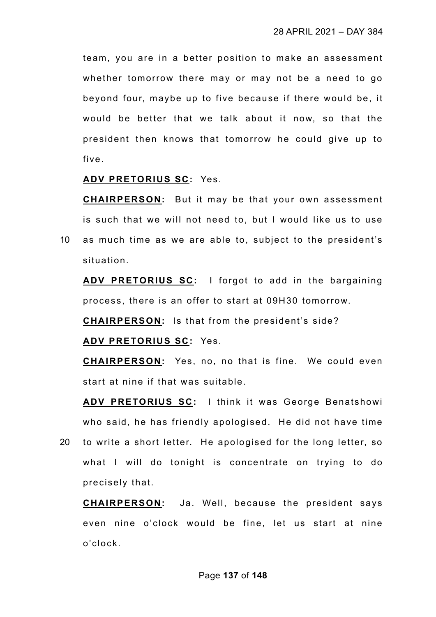team, you are in a better position to make an assessment whether tomorrow there may or may not be a need to go beyond four, maybe up to five because if there would be, it would be better that we talk about it now, so that the president then knows that tomorrow he could give up to five.

## **ADV PRETORIUS SC:** Yes.

**CHAIRPERSON:** But it may be that your own assessment is such that we will not need to, but I would like us to use

10 as much time as we are able to, subject to the president's situation.

**ADV PRETORIUS SC:** I forgot to add in the bargaining process, there is an offer to start at 09H30 tomorrow.

**CHAIRPERSON:** Is that from the president's side?

**ADV PRETORIUS SC:** Yes.

**CHAIRPERSON:** Yes, no, no that is fine. We could even start at nine if that was suitable.

**ADV PRETORIUS SC:** I think it was George Benatshowi who said, he has friendly apologised. He did not have time

20 to write a short letter. He apologised for the long letter, so what I will do tonight is concentrate on trying to do precisely that.

**CHAIRPERSON:** Ja. Well, because the president says even nine o'clock would be fine, let us start at nine o'clock.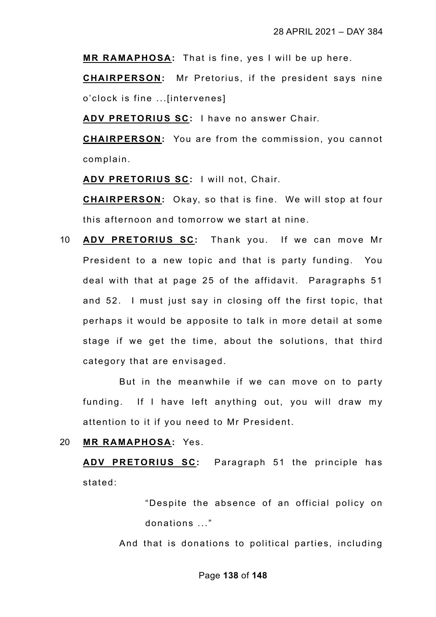**MR RAMAPHOSA:** That is fine, yes I will be up here.

**CHAIRPERSON:** Mr Pretorius, if the president says nine o'clock is fine ...[intervenes]

**ADV PRETORIUS SC:** I have no answer Chair.

**CHAIRPERSON:** You are from the commission, you cannot complain.

**ADV PRETORIUS SC:** I will not, Chair.

**CHAIRPERSON:** Okay, so that is fine. We will stop at four this afternoon and tomorrow we start at nine.

10 **ADV PRETORIUS SC:** Thank you. If we can move Mr President to a new topic and that is party funding. You deal with that at page 25 of the affidavit. Paragraphs 51 and 52. I must just say in closing off the first topic, that perhaps it would be apposite to talk in more detail at some stage if we get the time, about the solutions, that third category that are envisaged.

But in the meanwhile if we can move on to party funding. If I have left anything out, you will draw my attention to it if you need to Mr President.

20 **MR RAMAPHOSA:** Yes.

**ADV PRETORIUS SC:** Paragraph 51 the principle has stated:

> "Despite the absence of an official policy on donations ..."

And that is donations to political parties, including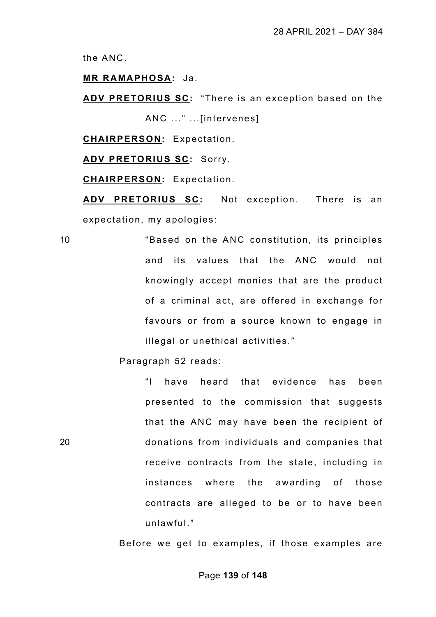the ANC.

**MR RAMAPHOSA:** Ja.

**ADV PRETORIUS SC:** "There is an exception based on the ANC ..." ...[intervenes]

**CHAIRPERSON:** Expectation.

**ADV PRETORIUS SC:** Sorry.

**CHAIRPERSON:** Expectation.

**ADV PRETORIUS SC:** Not exception. There is an expectation, my apologies:

10 "Based on the ANC constitution, its principles and its values that the ANC would not knowingly accept monies that are the product of a criminal act, are offered in exchange for favours or from a source known to engage in illegal or unethical activities."

Paragraph 52 reads:

"I have heard that evidence has been presented to the commission that suggests that the ANC may have been the recipient of 20 donations from individuals and companies that receive contracts from the state, including in instances where the awarding of those contracts are alleged to be or to have been unlawful."

Before we get to examples, if those examples are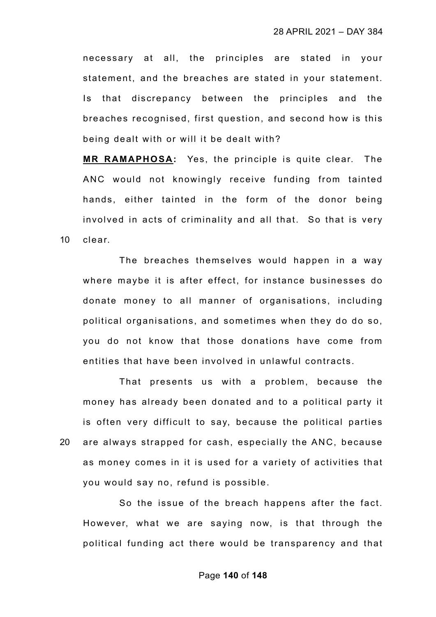necessary at all, the principles are stated in your statement, and the breaches are stated in your statement. Is that discrepancy between the principles and the breaches recognised, first question, and second how is this being dealt with or will it be dealt with?

**MR RAMAPHOSA:** Yes, the principle is quite clear. The ANC would not knowingly receive funding from tainted hands, either tainted in the form of the donor being involved in acts of criminality and all that. So that is very 10 clear.

The breaches themselves would happen in a way where maybe it is after effect, for instance businesses do donate money to all manner of organisations, including political organisations, and sometimes when they do do so, you do not know that those donations have come from entities that have been involved in unlawful contracts.

That presents us with a problem, because the money has already been donated and to a political party it is often very difficult to say, because the political parties 20 are always strapped for cash, especially the ANC, because as money comes in it is used for a variety of activities that you would say no, refund is possible.

So the issue of the breach happens after the fact. However, what we are saying now, is that through the political funding act there would be transparency and that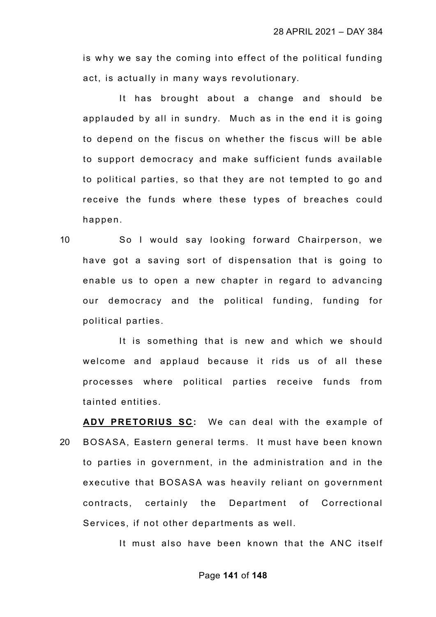is why we say the coming into effect of the political funding act, is actually in many ways revolutionary.

It has brought about a change and should be applauded by all in sundry. Much as in the end it is going to depend on the fiscus on whether the fiscus will be able to support democracy and make sufficient funds available to political parties, so that they are not tempted to go and receive the funds where these types of breaches could happen.

10 So I would say looking forward Chairperson, we have got a saving sort of dispensation that is going to enable us to open a new chapter in regard to advancing our democracy and the political funding, funding for political parties.

It is something that is new and which we should welcome and applaud because it rids us of all these processes where political parties receive funds from tainted entities.

**ADV PRETORIUS SC:** We can deal with the example of 20 BOSASA, Eastern general terms. It must have been known to parties in government, in the administration and in the executive that BOSASA was heavily reliant on government contracts, certainly the Department of Correctional Services, if not other departments as well.

It must also have been known that the ANC itself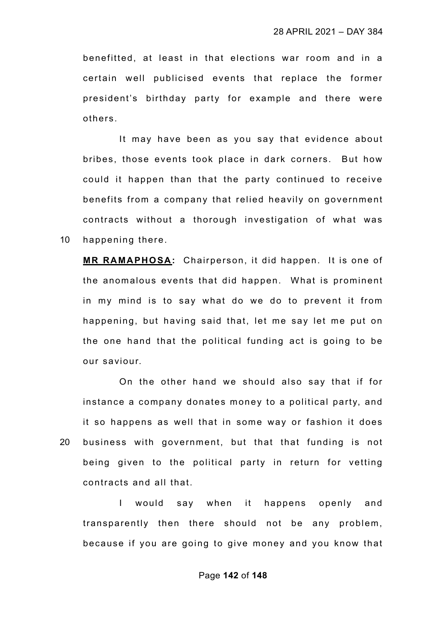benefitted, at least in that elections war room and in a certain well publicised events that replace the former president's birthday party for example and there were others.

It may have been as you say that evidence about bribes, those events took place in dark corners. But how could it happen than that the party continued to receive benefits from a company that relied heavily on government contracts without a thorough investigation of what was 10 happening there.

**MR RAMAPHOSA:** Chairperson, it did happen. It is one of the anomalous events that did happen. What is prominent in my mind is to say what do we do to prevent it from happening, but having said that, let me say let me put on the one hand that the political funding act is going to be our saviour.

On the other hand we should also say that if for instance a company donates money to a political party, and it so happens as well that in some way or fashion it does 20 business with government, but that that funding is not being given to the political party in return for vetting contracts and all that.

I would say when it happens openly and transparently then there should not be any problem, because if you are going to give money and you know that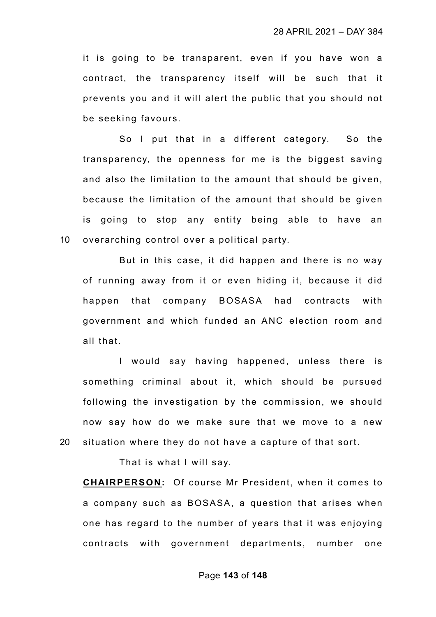it is going to be transparent, even if you have won a contract, the transparency itself will be such that it prevents you and it will alert the public that you should not be seeking favours.

So I put that in a different category. So the transparency, the openness for me is the biggest saving and also the limitation to the amount that should be given, because the limitation of the amount that should be given is going to stop any entity being able to have an 10 overarching control over a political party.

But in this case, it did happen and there is no way of running away from it or even hiding it, because it did happen that company BOSASA had contracts with government and which funded an ANC election room and all that.

I would say having happened, unless there is something criminal about it, which should be pursued following the investigation by the commission, we should now say how do we make sure that we move to a new 20 situation where they do not have a capture of that sort.

That is what I will say.

**CHAIRPERSON:** Of course Mr President, when it comes to a company such as BOSASA, a question that arises when one has regard to the number of years that it was enjoying contracts with government departments, number one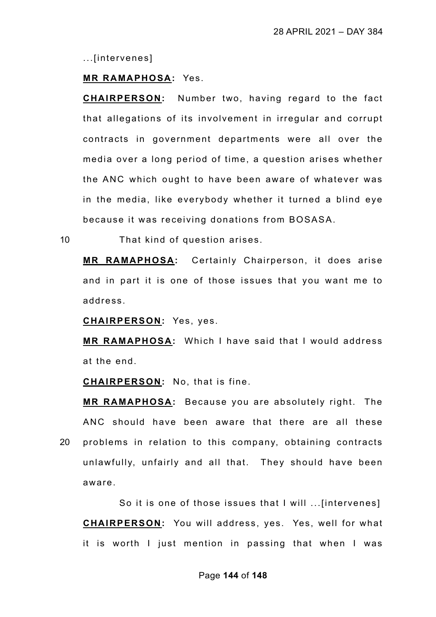...[intervenes]

## **MR RAMAPHOSA:** Yes.

**CHAIRPERSON:** Number two, having regard to the fact that allegations of its involvement in irregular and corrupt contracts in government departments were all over the media over a long period of time, a question arises whether the ANC which ought to have been aware of whatever was in the media, like everybody whether it turned a blind eye because it was receiving donations from BOSASA.

10 That kind of question arises.

**MR RAMAPHOSA:** Certainly Chairperson, it does arise and in part it is one of those issues that you want me to address.

**CHAIRPERSON:** Yes, yes.

**MR RAMAPHOSA:** Which I have said that I would address at the end.

**CHAIRPERSON:** No, that is fine.

**MR RAMAPHOSA:** Because you are absolutely right. The ANC should have been aware that there are all these 20 problems in relation to this company, obtaining contracts unlawfully, unfairly and all that. They should have been aware.

So it is one of those issues that I will ...[intervenes] **CHAIRPERSON:** You will address, yes. Yes, well for what it is worth I just mention in passing that when I was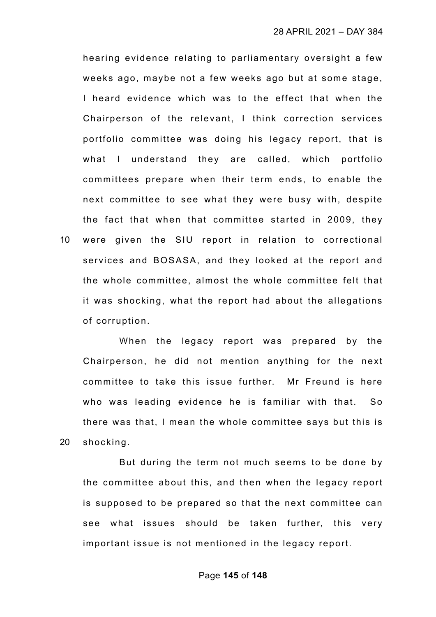hearing evidence relating to parliamentary oversight a few weeks ago, maybe not a few weeks ago but at some stage, I heard evidence which was to the effect that when the Chairperson of the relevant, I think correction services portfolio committee was doing his legacy report, that is what I understand they are called, which portfolio committees prepare when their term ends, to enable the next committee to see what they were busy with, despite the fact that when that committee started in 2009, they 10 were given the SIU report in relation to correctional services and BOSASA, and they looked at the report and the whole committee, almost the whole committee felt that it was shocking, what the report had about the allegations of corruption.

When the legacy report was prepared by the Chairperson, he did not mention anything for the next committee to take this issue further. Mr Freund is here who was leading evidence he is familiar with that. So there was that, I mean the whole committee says but this is 20 shocking.

But during the term not much seems to be done by the committee about this, and then when the legacy report is supposed to be prepared so that the next committee can see what issues should be taken further, this very important issue is not mentioned in the legacy report.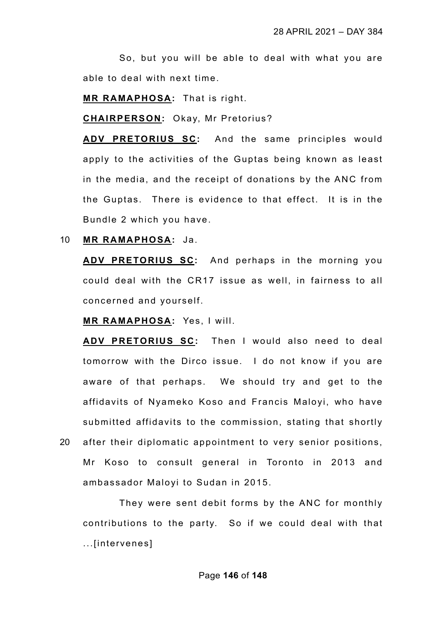So, but you will be able to deal with what you are able to deal with next time.

**MR RAMAPHOSA:** That is right.

**CHAIRPERSON:** Okay, Mr Pretorius?

**ADV PRETORIUS SC:** And the same principles would apply to the activities of the Guptas being known as least in the media, and the receipt of donations by the ANC from the Guptas. There is evidence to that effect. It is in the Bundle 2 which you have.

10 **MR RAMAPHOSA:** Ja.

**ADV PRETORIUS SC:** And perhaps in the morning you could deal with the CR17 issue as well, in fairness to all concerned and yourself.

**MR RAMAPHOSA:** Yes, I will.

**ADV PRETORIUS SC:** Then I would also need to deal tomorrow with the Dirco issue. I do not know if you are aware of that perhaps. We should try and get to the affidavits of Nyameko Koso and Francis Maloyi, who have submitted affidavits to the commission, stating that shortly 20 after their diplomatic appointment to very senior positions, Mr Koso to consult general in Toronto in 2013 and ambassador Maloyi to Sudan in 2015.

They were sent debit forms by the ANC for monthly contributions to the party. So if we could deal with that ...[intervenes]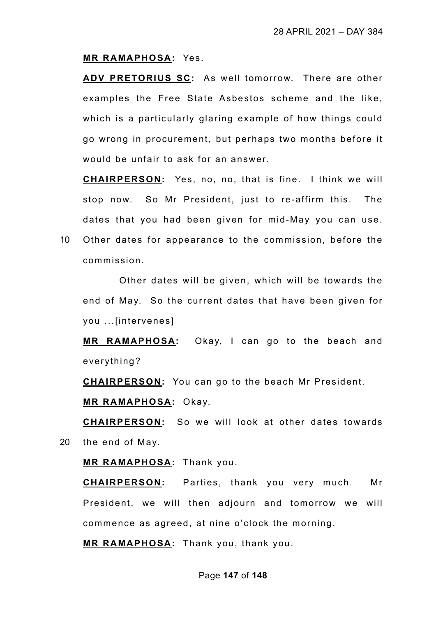## **MR RAMAPHOSA:** Yes.

**ADV PRETORIUS SC:** As well tomorrow. There are other examples the Free State Asbestos scheme and the like, which is a particularly glaring example of how things could go wrong in procurement, but perhaps two months before it would be unfair to ask for an answer.

**CHAIRPERSON:** Yes, no, no, that is fine. I think we will stop now. So Mr President, just to re-affirm this. The dates that you had been given for mid-May you can use.

10 Other dates for appearance to the commission, before the commission.

Other dates will be given, which will be towards the end of May. So the current dates that have been given for you ...[intervenes]

**MR RAMAPHOSA:** Okay, I can go to the beach and everything?

**CHAIRPERSON:** You can go to the beach Mr President.

**MR RAMAPHOSA:** Okay.

**CHAIRPERSON:** So we will look at other dates towards 20 the end of May.

**MR RAMAPHOSA:** Thank you.

**CHAIRPERSON:** Parties, thank you very much. Mr President, we will then adjourn and tomorrow we will commence as agreed, at nine o'clock the morning.

**MR RAMAPHOSA:** Thank you, thank you.

## Page **147** of **148**